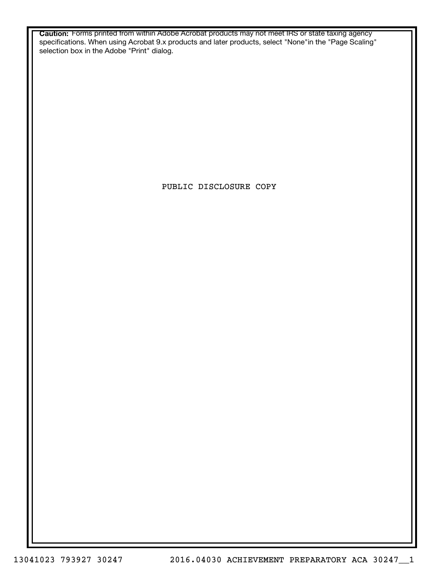**Caution:** Forms printed from within Adobe Acrobat products may not meet IRS or state taxing agency specifications. When using Acrobat 9.x products and later products, select "None"in the "Page Scaling" selection box in the Adobe "Print" dialog.

PUBLIC DISCLOSURE COPY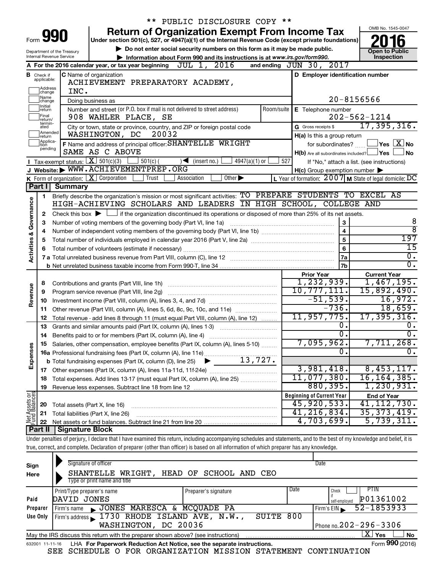|                         |                               |                                                                   |                                                                            |            |                                   | ** PUBLIC DISCLOSURE COPY **                                                         |               |     |                                                                                                                                             |                |                                                                                                                                                                            |
|-------------------------|-------------------------------|-------------------------------------------------------------------|----------------------------------------------------------------------------|------------|-----------------------------------|--------------------------------------------------------------------------------------|---------------|-----|---------------------------------------------------------------------------------------------------------------------------------------------|----------------|----------------------------------------------------------------------------------------------------------------------------------------------------------------------------|
|                         |                               |                                                                   |                                                                            |            |                                   |                                                                                      |               |     | <b>Return of Organization Exempt From Income Tax</b>                                                                                        |                | OMB No. 1545-0047                                                                                                                                                          |
| Form                    |                               | 99                                                                |                                                                            |            |                                   |                                                                                      |               |     | Under section 501(c), 527, or 4947(a)(1) of the Internal Revenue Code (except private foundations)                                          |                |                                                                                                                                                                            |
|                         |                               | Department of the Treasury                                        |                                                                            |            |                                   |                                                                                      |               |     | Do not enter social security numbers on this form as it may be made public.                                                                 |                | <b>Open to Public</b>                                                                                                                                                      |
|                         |                               | Internal Revenue Service                                          |                                                                            |            |                                   | Information about Form 990 and its instructions is at www.irs.gov/form990.           |               |     |                                                                                                                                             |                | Inspection                                                                                                                                                                 |
|                         |                               |                                                                   | A For the 2016 calendar year, or tax year beginning $JUL$ 1, $2016$        |            |                                   |                                                                                      |               |     | and ending JUN 30, 2017                                                                                                                     |                |                                                                                                                                                                            |
|                         | <b>B</b> Check if applicable: |                                                                   | C Name of organization                                                     |            |                                   |                                                                                      |               |     | D Employer identification number                                                                                                            |                |                                                                                                                                                                            |
|                         |                               |                                                                   | ACHIEVEMENT PREPARATORY ACADEMY,                                           |            |                                   |                                                                                      |               |     |                                                                                                                                             |                |                                                                                                                                                                            |
|                         | Address<br>change<br> Name    | INC.                                                              |                                                                            |            |                                   |                                                                                      |               |     |                                                                                                                                             |                |                                                                                                                                                                            |
|                         | change<br>Initial             |                                                                   | Doing business as                                                          |            |                                   |                                                                                      |               |     |                                                                                                                                             |                | $20 - 8156566$                                                                                                                                                             |
|                         | return                        |                                                                   | Number and street (or P.O. box if mail is not delivered to street address) |            |                                   |                                                                                      |               |     | Room/suite   E Telephone number                                                                                                             |                |                                                                                                                                                                            |
|                         | Final<br>return/<br>termin-   |                                                                   | 908 WAHLER PLACE, SE                                                       |            |                                   |                                                                                      |               |     |                                                                                                                                             |                | $202 - 562 - 1214$                                                                                                                                                         |
|                         | ated<br>Amended               |                                                                   |                                                                            |            |                                   | City or town, state or province, country, and ZIP or foreign postal code             |               |     | G Gross receipts \$                                                                                                                         |                | 17, 395, 316.                                                                                                                                                              |
|                         | Ireturn<br>Applica-           |                                                                   | WASHINGTON, DC                                                             |            | 20032                             |                                                                                      |               |     | H(a) Is this a group return                                                                                                                 |                |                                                                                                                                                                            |
|                         | pending                       |                                                                   |                                                                            |            |                                   | F Name and address of principal officer: SHANTELLE WRIGHT                            |               |     | for subordinates?                                                                                                                           |                | $ {\mathsf Y}{\mathsf e}{\mathsf s} \mid \overline{{\rm X}} $ No                                                                                                           |
|                         |                               |                                                                   | SAME AS C ABOVE<br>Tax-exempt status: $\boxed{\mathbf{X}}$ 501(c)(3)       |            |                                   |                                                                                      |               |     | $H(b)$ Are all subordinates included? $\Box$ Yes                                                                                            |                | <b>No</b>                                                                                                                                                                  |
|                         |                               |                                                                   | J Website: WWW.ACHIEVEMENTPREP.ORG                                         | $501(c)$ ( | $\sqrt{\frac{1}{1}}$ (insert no.) |                                                                                      | 4947(a)(1) or | 527 |                                                                                                                                             |                | If "No," attach a list. (see instructions)                                                                                                                                 |
|                         |                               |                                                                   | K Form of organization: $X$ Corporation                                    | Trust      | Association                       | Other $\blacktriangleright$                                                          |               |     | $H(c)$ Group exemption number $\blacktriangleright$                                                                                         |                | L Year of formation: $2007$ M State of legal domicile: DC                                                                                                                  |
|                         | Part I                        | Summary                                                           |                                                                            |            |                                   |                                                                                      |               |     |                                                                                                                                             |                |                                                                                                                                                                            |
|                         | 1                             |                                                                   |                                                                            |            |                                   |                                                                                      |               |     |                                                                                                                                             |                | Briefly describe the organization's mission or most significant activities: TO PREPARE STUDENTS TO EXCEL AS                                                                |
| Governance              |                               |                                                                   |                                                                            |            |                                   |                                                                                      |               |     | HIGH-ACHIEVING SCHOLARS AND LEADERS IN HIGH SCHOOL, COLLEGE AND                                                                             |                |                                                                                                                                                                            |
|                         | 2                             |                                                                   |                                                                            |            |                                   |                                                                                      |               |     | Check this box $\blacktriangleright$ $\Box$ if the organization discontinued its operations or disposed of more than 25% of its net assets. |                |                                                                                                                                                                            |
|                         | 3                             |                                                                   |                                                                            |            |                                   |                                                                                      |               |     |                                                                                                                                             | 3              | 8                                                                                                                                                                          |
|                         | 4                             | Number of voting members of the governing body (Part VI, line 1a) |                                                                            |            |                                   |                                                                                      |               |     | $\overline{\mathbf{4}}$                                                                                                                     | $\overline{8}$ |                                                                                                                                                                            |
|                         | 5                             |                                                                   |                                                                            |            |                                   |                                                                                      |               |     |                                                                                                                                             | 5              | 197                                                                                                                                                                        |
|                         | 6                             |                                                                   |                                                                            |            |                                   |                                                                                      |               |     |                                                                                                                                             | 6              | 15                                                                                                                                                                         |
| <b>Activities &amp;</b> |                               |                                                                   |                                                                            |            |                                   |                                                                                      |               |     |                                                                                                                                             | 7a             | $\overline{0}$ .                                                                                                                                                           |
|                         |                               |                                                                   |                                                                            |            |                                   |                                                                                      |               |     |                                                                                                                                             | 7 <sub>b</sub> | σ.                                                                                                                                                                         |
|                         |                               |                                                                   |                                                                            |            |                                   |                                                                                      |               |     | <b>Prior Year</b>                                                                                                                           |                | <b>Current Year</b>                                                                                                                                                        |
|                         | 8                             |                                                                   | Contributions and grants (Part VIII, line 1h)                              |            |                                   |                                                                                      |               |     | 1, 232, 939.                                                                                                                                |                | 1,467,195.                                                                                                                                                                 |
| Revenue                 | 9                             |                                                                   | Program service revenue (Part VIII, line 2g)                               |            |                                   |                                                                                      |               |     | 10,777,111.                                                                                                                                 |                | 15,892,490.                                                                                                                                                                |
|                         | 10                            |                                                                   |                                                                            |            |                                   |                                                                                      |               |     | $-51,539.$                                                                                                                                  |                | 16,972.                                                                                                                                                                    |
|                         | 11                            |                                                                   |                                                                            |            |                                   | Other revenue (Part VIII, column (A), lines 5, 6d, 8c, 9c, 10c, and 11e)             |               |     | $-736.$                                                                                                                                     |                | 18,659.                                                                                                                                                                    |
|                         | 12                            |                                                                   |                                                                            |            |                                   | Total revenue - add lines 8 through 11 (must equal Part VIII, column (A), line 12)   |               |     | 11, 957, 775.                                                                                                                               |                | 17, 395, 316.                                                                                                                                                              |
|                         | 13                            |                                                                   |                                                                            |            |                                   | Grants and similar amounts paid (Part IX, column (A), lines 1-3)                     |               |     |                                                                                                                                             | 0.             | υ.                                                                                                                                                                         |
|                         | 14                            |                                                                   | Benefits paid to or for members (Part IX, column (A), line 4)              |            |                                   |                                                                                      |               |     |                                                                                                                                             | О.             | Ο.                                                                                                                                                                         |
|                         |                               |                                                                   |                                                                            |            |                                   | 15 Salaries, other compensation, employee benefits (Part IX, column (A), lines 5-10) |               |     | 7,095,962 <b>.</b>                                                                                                                          |                | 7,711,268.                                                                                                                                                                 |
| Expenses                |                               |                                                                   |                                                                            |            |                                   |                                                                                      |               |     |                                                                                                                                             | 0              | Ο.                                                                                                                                                                         |
|                         |                               |                                                                   |                                                                            |            |                                   |                                                                                      |               |     | 3,981,418.                                                                                                                                  |                | 8,453,117.                                                                                                                                                                 |
|                         |                               |                                                                   |                                                                            |            |                                   |                                                                                      |               |     | 11,077,380.                                                                                                                                 |                | 16, 164, 385.                                                                                                                                                              |
|                         | 18                            |                                                                   |                                                                            |            |                                   | Total expenses. Add lines 13-17 (must equal Part IX, column (A), line 25)            |               |     | 880,395.                                                                                                                                    |                | 1, 230, 931.                                                                                                                                                               |
|                         | 19                            |                                                                   |                                                                            |            |                                   |                                                                                      |               |     | <b>Beginning of Current Year</b>                                                                                                            |                |                                                                                                                                                                            |
| Net Assets or           | 20                            | Total assets (Part X, line 16)                                    |                                                                            |            |                                   |                                                                                      |               |     | 45,920,533.                                                                                                                                 |                | <b>End of Year</b><br>41,112,730.                                                                                                                                          |
|                         | 21                            |                                                                   | Total liabilities (Part X, line 26)                                        |            |                                   |                                                                                      |               |     | 41,216,834.                                                                                                                                 |                | 35, 373, 419.                                                                                                                                                              |
|                         | 22                            |                                                                   |                                                                            |            |                                   |                                                                                      |               |     | 4,703,699。                                                                                                                                  |                | 5,739,311.                                                                                                                                                                 |
|                         | ∣ Part II                     | <b>Signature Block</b>                                            |                                                                            |            |                                   |                                                                                      |               |     |                                                                                                                                             |                |                                                                                                                                                                            |
|                         |                               |                                                                   |                                                                            |            |                                   |                                                                                      |               |     |                                                                                                                                             |                | Under penalties of perjury, I declare that I have examined this return, including accompanying schedules and statements, and to the best of my knowledge and belief, it is |
|                         |                               |                                                                   |                                                                            |            |                                   |                                                                                      |               |     | true, correct, and complete. Declaration of preparer (other than officer) is based on all information of which preparer has any knowledge.  |                |                                                                                                                                                                            |
|                         |                               |                                                                   |                                                                            |            |                                   |                                                                                      |               |     |                                                                                                                                             |                |                                                                                                                                                                            |
| Sign                    |                               |                                                                   | Signature of officer                                                       |            |                                   |                                                                                      |               |     | Date                                                                                                                                        |                |                                                                                                                                                                            |
| Here                    |                               |                                                                   |                                                                            |            |                                   | SHANTELLE WRIGHT, HEAD OF SCHOOL AND CEO                                             |               |     |                                                                                                                                             |                |                                                                                                                                                                            |

|                                                                                                            | Type or print name and title                |                              |     |                            |  |  |  |  |
|------------------------------------------------------------------------------------------------------------|---------------------------------------------|------------------------------|-----|----------------------------|--|--|--|--|
|                                                                                                            | Print/Type preparer's name                  | Date<br>Preparer's signature |     | PTIN<br>Check              |  |  |  |  |
| Paid                                                                                                       | DAVID JONES                                 |                              |     | P01361002<br>self-emploved |  |  |  |  |
| Preparer                                                                                                   | JONES MARESCA & MCQUADE PA<br>Firm's name   | $52 - 1853933$<br>Firm's EIN |     |                            |  |  |  |  |
| Use Only                                                                                                   | Firm's address 1730 RHODE ISLAND AVE, N.W., | SUITE                        | 800 |                            |  |  |  |  |
|                                                                                                            | WASHINGTON, DC 20036                        | Phone no. $202 - 296 - 3306$ |     |                            |  |  |  |  |
| х<br><b>No</b><br>Yes<br>May the IRS discuss this return with the preparer shown above? (see instructions) |                                             |                              |     |                            |  |  |  |  |
| Form 990 (2016)<br>632001 11-11-16 LHA For Paperwork Reduction Act Notice, see the separate instructions.  |                                             |                              |     |                            |  |  |  |  |

|  |  |  |  | SEE SCHEDULE O FOR ORGANIZATION MISSION STATEMENT CONTINUATION |  |  |  |
|--|--|--|--|----------------------------------------------------------------|--|--|--|
|--|--|--|--|----------------------------------------------------------------|--|--|--|

**990**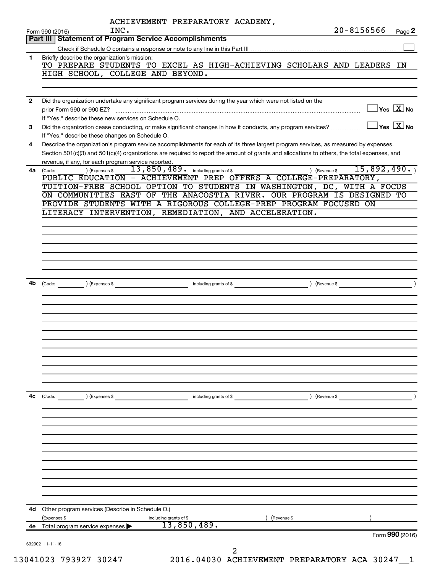|              | INC.<br>Form 990 (2016)                                                                                                                                                                                                                                                                                                                 | ACHIEVEMENT PREPARATORY ACADEMY,   |               | $20 - 8156566$                                                   | Page 2 |
|--------------|-----------------------------------------------------------------------------------------------------------------------------------------------------------------------------------------------------------------------------------------------------------------------------------------------------------------------------------------|------------------------------------|---------------|------------------------------------------------------------------|--------|
|              | Part III   Statement of Program Service Accomplishments                                                                                                                                                                                                                                                                                 |                                    |               |                                                                  |        |
|              |                                                                                                                                                                                                                                                                                                                                         |                                    |               |                                                                  |        |
| 1.           | Briefly describe the organization's mission:<br>TO PREPARE STUDENTS TO EXCEL AS HIGH-ACHIEVING SCHOLARS AND LEADERS IN<br>HIGH SCHOOL, COLLEGE AND BEYOND.                                                                                                                                                                              |                                    |               |                                                                  |        |
|              |                                                                                                                                                                                                                                                                                                                                         |                                    |               |                                                                  |        |
| $\mathbf{2}$ | Did the organization undertake any significant program services during the year which were not listed on the<br>prior Form 990 or 990-EZ?<br>If "Yes," describe these new services on Schedule O.                                                                                                                                       |                                    |               | $\overline{\ }$ Yes $\overline{\ \ \ }$ No                       |        |
| 3            | Did the organization cease conducting, or make significant changes in how it conducts, any program services?                                                                                                                                                                                                                            |                                    |               | $ {\mathsf Y}{\mathsf e}{\mathsf s} \ \overline{{\mathsf X}}$ No |        |
| 4            | If "Yes," describe these changes on Schedule O.<br>Describe the organization's program service accomplishments for each of its three largest program services, as measured by expenses.<br>Section 501(c)(3) and 501(c)(4) organizations are required to report the amount of grants and allocations to others, the total expenses, and |                                    |               |                                                                  |        |
| 4a           | revenue, if any, for each program service reported.<br>) (Expenses \$<br>(Code:                                                                                                                                                                                                                                                         | 13,850,489. including grants of \$ | ) (Revenue \$ | 15,892,490.                                                      |        |
|              | PUBLIC EDUCATION - ACHIEVEMENT PREP OFFERS A COLLEGE-PREPARATORY,                                                                                                                                                                                                                                                                       |                                    |               |                                                                  |        |
|              | TUITION-FREE SCHOOL OPTION TO STUDENTS IN WASHINGTON, DC, WITH A FOCUS                                                                                                                                                                                                                                                                  |                                    |               |                                                                  |        |
|              | ON COMMUNITIES EAST OF THE ANACOSTIA RIVER. OUR PROGRAM IS DESIGNED TO<br>PROVIDE STUDENTS WITH A RIGOROUS COLLEGE-PREP PROGRAM FOCUSED ON                                                                                                                                                                                              |                                    |               |                                                                  |        |
|              | LITERACY INTERVENTION, REMEDIATION, AND ACCELERATION.                                                                                                                                                                                                                                                                                   |                                    |               |                                                                  |        |
|              |                                                                                                                                                                                                                                                                                                                                         |                                    |               |                                                                  |        |
|              |                                                                                                                                                                                                                                                                                                                                         |                                    |               |                                                                  |        |
|              |                                                                                                                                                                                                                                                                                                                                         |                                    |               |                                                                  |        |
|              |                                                                                                                                                                                                                                                                                                                                         |                                    |               |                                                                  |        |
|              |                                                                                                                                                                                                                                                                                                                                         |                                    |               |                                                                  |        |
|              |                                                                                                                                                                                                                                                                                                                                         |                                    |               |                                                                  |        |
|              |                                                                                                                                                                                                                                                                                                                                         |                                    |               | $\overline{\phantom{a}}$                                         |        |
| 4b           | (Code: ) (Expenses \$                                                                                                                                                                                                                                                                                                                   |                                    |               |                                                                  |        |
|              |                                                                                                                                                                                                                                                                                                                                         |                                    |               |                                                                  |        |
|              |                                                                                                                                                                                                                                                                                                                                         |                                    |               |                                                                  |        |
|              |                                                                                                                                                                                                                                                                                                                                         |                                    |               |                                                                  |        |
|              |                                                                                                                                                                                                                                                                                                                                         |                                    |               |                                                                  |        |
|              |                                                                                                                                                                                                                                                                                                                                         |                                    |               |                                                                  |        |
|              |                                                                                                                                                                                                                                                                                                                                         |                                    |               |                                                                  |        |
|              |                                                                                                                                                                                                                                                                                                                                         |                                    |               |                                                                  |        |
|              |                                                                                                                                                                                                                                                                                                                                         |                                    |               |                                                                  |        |
|              |                                                                                                                                                                                                                                                                                                                                         |                                    |               |                                                                  |        |
|              |                                                                                                                                                                                                                                                                                                                                         |                                    |               |                                                                  |        |
| 4c           | (Code:<br>) (Expenses \$                                                                                                                                                                                                                                                                                                                | including grants of \$             | ) (Revenue \$ |                                                                  |        |
|              |                                                                                                                                                                                                                                                                                                                                         |                                    |               |                                                                  |        |
|              |                                                                                                                                                                                                                                                                                                                                         |                                    |               |                                                                  |        |
|              |                                                                                                                                                                                                                                                                                                                                         |                                    |               |                                                                  |        |
|              |                                                                                                                                                                                                                                                                                                                                         |                                    |               |                                                                  |        |
|              |                                                                                                                                                                                                                                                                                                                                         |                                    |               |                                                                  |        |
|              |                                                                                                                                                                                                                                                                                                                                         |                                    |               |                                                                  |        |
|              |                                                                                                                                                                                                                                                                                                                                         |                                    |               |                                                                  |        |
|              |                                                                                                                                                                                                                                                                                                                                         |                                    |               |                                                                  |        |
|              | 4d Other program services (Describe in Schedule O.)<br>(Expenses \$                                                                                                                                                                                                                                                                     | including grants of \$             | (Revenue \$   |                                                                  |        |
|              | 4e Total program service expenses                                                                                                                                                                                                                                                                                                       | 13,850,489.                        |               |                                                                  |        |
|              |                                                                                                                                                                                                                                                                                                                                         |                                    |               |                                                                  |        |
|              |                                                                                                                                                                                                                                                                                                                                         |                                    |               | Form 990 (2016)                                                  |        |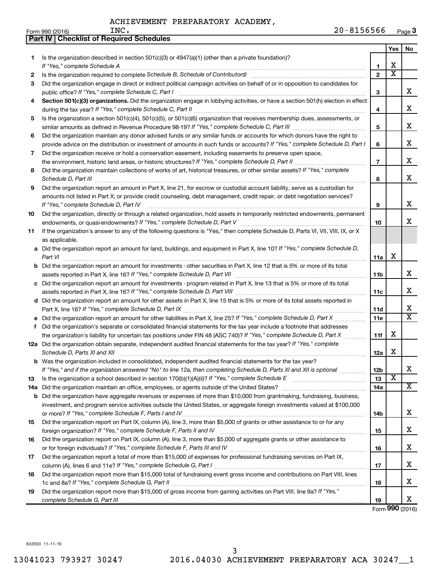|    | Part IV   Checklist of Required Schedules                                                                                                                                                                                           |                |                         |                         |
|----|-------------------------------------------------------------------------------------------------------------------------------------------------------------------------------------------------------------------------------------|----------------|-------------------------|-------------------------|
|    |                                                                                                                                                                                                                                     |                | Yes                     | No                      |
| 1  | Is the organization described in section $501(c)(3)$ or $4947(a)(1)$ (other than a private foundation)?                                                                                                                             |                |                         |                         |
|    |                                                                                                                                                                                                                                     | 1              | х                       |                         |
| 2  | Is the organization required to complete Schedule B, Schedule of Contributors? [11] the organization required to complete Schedule B, Schedule of Contributors?                                                                     | $\overline{2}$ | $\overline{\text{x}}$   |                         |
| З  | Did the organization engage in direct or indirect political campaign activities on behalf of or in opposition to candidates for                                                                                                     |                |                         |                         |
|    |                                                                                                                                                                                                                                     | 3              |                         | x                       |
| 4  | Section 501(c)(3) organizations. Did the organization engage in lobbying activities, or have a section 501(h) election in effect                                                                                                    |                |                         |                         |
|    |                                                                                                                                                                                                                                     | 4              |                         | X                       |
| 5  | Is the organization a section 501(c)(4), 501(c)(5), or 501(c)(6) organization that receives membership dues, assessments, or                                                                                                        |                |                         |                         |
|    |                                                                                                                                                                                                                                     | 5              |                         | X                       |
| 6  | Did the organization maintain any donor advised funds or any similar funds or accounts for which donors have the right to                                                                                                           |                |                         |                         |
|    | provide advice on the distribution or investment of amounts in such funds or accounts? If "Yes," complete Schedule D, Part I                                                                                                        | 6              |                         | X                       |
| 7  | Did the organization receive or hold a conservation easement, including easements to preserve open space,                                                                                                                           |                |                         |                         |
|    |                                                                                                                                                                                                                                     | $\overline{7}$ |                         | x                       |
|    |                                                                                                                                                                                                                                     |                |                         |                         |
| 8  | Did the organization maintain collections of works of art, historical treasures, or other similar assets? If "Yes," complete                                                                                                        |                |                         | x                       |
|    | Schedule D, Part III <b>Marting Communities</b> and the contract of the contract of the contract of the contract of the contract of the contract of the contract of the contract of the contract of the contract of the contract of | 8              |                         |                         |
| 9  | Did the organization report an amount in Part X, line 21, for escrow or custodial account liability, serve as a custodian for                                                                                                       |                |                         |                         |
|    | amounts not listed in Part X; or provide credit counseling, debt management, credit repair, or debt negotiation services?                                                                                                           |                |                         | X                       |
|    | If "Yes," complete Schedule D, Part IV                                                                                                                                                                                              | 9              |                         |                         |
| 10 | Did the organization, directly or through a related organization, hold assets in temporarily restricted endowments, permanent                                                                                                       |                |                         | x                       |
|    |                                                                                                                                                                                                                                     | 10             |                         |                         |
| 11 | If the organization's answer to any of the following questions is "Yes," then complete Schedule D, Parts VI, VII, VIII, IX, or X                                                                                                    |                |                         |                         |
|    | as applicable.                                                                                                                                                                                                                      |                |                         |                         |
|    | a Did the organization report an amount for land, buildings, and equipment in Part X, line 10? If "Yes," complete Schedule D,                                                                                                       |                |                         |                         |
|    | Part VI                                                                                                                                                                                                                             | 11a            | х                       |                         |
|    | <b>b</b> Did the organization report an amount for investments - other securities in Part X, line 12 that is 5% or more of its total                                                                                                |                |                         |                         |
|    |                                                                                                                                                                                                                                     | 11b            |                         | x                       |
|    | c Did the organization report an amount for investments - program related in Part X, line 13 that is 5% or more of its total                                                                                                        |                |                         |                         |
|    |                                                                                                                                                                                                                                     | 11c            |                         | x                       |
|    | d Did the organization report an amount for other assets in Part X, line 15 that is 5% or more of its total assets reported in                                                                                                      |                |                         |                         |
|    |                                                                                                                                                                                                                                     | 11d            |                         | х                       |
|    | e Did the organization report an amount for other liabilities in Part X, line 25? If "Yes," complete Schedule D, Part X                                                                                                             | 11e            |                         | $\overline{\mathbf{X}}$ |
| f  | Did the organization's separate or consolidated financial statements for the tax year include a footnote that addresses                                                                                                             |                |                         |                         |
|    | the organization's liability for uncertain tax positions under FIN 48 (ASC 740)? If "Yes," complete Schedule D, Part X                                                                                                              | 11f            | х                       |                         |
|    | 12a Did the organization obtain separate, independent audited financial statements for the tax year? If "Yes," complete                                                                                                             |                |                         |                         |
|    | Schedule D, Parts XI and XII <b>continuum continuum continuum continuum continuum continuum continuum continuum</b> continuum continuum continuum continuum continuum continuum continuum continuum continuum continuum continuum c | 12a            | х                       |                         |
|    | b Was the organization included in consolidated, independent audited financial statements for the tax year?                                                                                                                         |                |                         |                         |
|    | If "Yes," and if the organization answered "No" to line 12a, then completing Schedule D, Parts XI and XII is optional                                                                                                               | 12b            |                         | х                       |
| 13 |                                                                                                                                                                                                                                     | 13             | $\overline{\textbf{x}}$ |                         |
|    |                                                                                                                                                                                                                                     | 14a            |                         | х                       |
|    | <b>b</b> Did the organization have aggregate revenues or expenses of more than \$10,000 from grantmaking, fundraising, business,                                                                                                    |                |                         |                         |
|    | investment, and program service activities outside the United States, or aggregate foreign investments valued at \$100,000                                                                                                          |                |                         |                         |
|    |                                                                                                                                                                                                                                     | 14b            |                         | x                       |
| 15 | Did the organization report on Part IX, column (A), line 3, more than \$5,000 of grants or other assistance to or for any                                                                                                           |                |                         |                         |
|    |                                                                                                                                                                                                                                     | 15             |                         | х                       |
| 16 | Did the organization report on Part IX, column (A), line 3, more than \$5,000 of aggregate grants or other assistance to                                                                                                            |                |                         |                         |
|    |                                                                                                                                                                                                                                     | 16             |                         | х                       |
| 17 | Did the organization report a total of more than \$15,000 of expenses for professional fundraising services on Part IX,                                                                                                             |                |                         |                         |
|    |                                                                                                                                                                                                                                     | 17             |                         | х                       |
| 18 | Did the organization report more than \$15,000 total of fundraising event gross income and contributions on Part VIII, lines                                                                                                        |                |                         |                         |
|    |                                                                                                                                                                                                                                     | 18             |                         | x                       |
| 19 | Did the organization report more than \$15,000 of gross income from gaming activities on Part VIII, line 9a? If "Yes,"                                                                                                              |                |                         |                         |
|    |                                                                                                                                                                                                                                     | 19             |                         | x                       |

Form (2016) **990**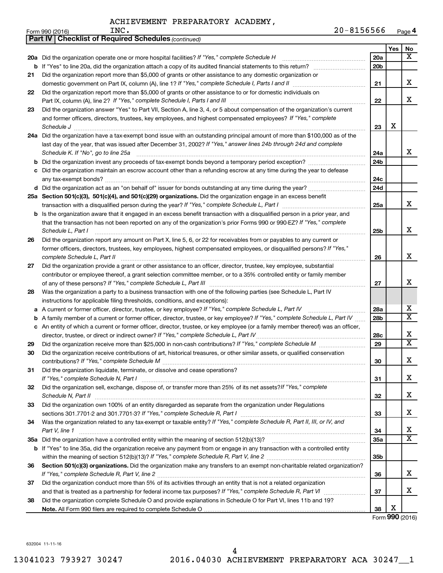|    | <b>Part IV   Checklist of Required Schedules (continued)</b>                                                                      |                 |     |                         |
|----|-----------------------------------------------------------------------------------------------------------------------------------|-----------------|-----|-------------------------|
|    |                                                                                                                                   |                 | Yes | No                      |
|    | 20a Did the organization operate one or more hospital facilities? If "Yes," complete Schedule H                                   | <b>20a</b>      |     | x                       |
| b  |                                                                                                                                   | 20 <sub>b</sub> |     |                         |
| 21 | Did the organization report more than \$5,000 of grants or other assistance to any domestic organization or                       |                 |     |                         |
|    |                                                                                                                                   | 21              |     | x                       |
| 22 | Did the organization report more than \$5,000 of grants or other assistance to or for domestic individuals on                     |                 |     |                         |
|    |                                                                                                                                   | 22              |     | x                       |
| 23 | Did the organization answer "Yes" to Part VII, Section A, line 3, 4, or 5 about compensation of the organization's current        |                 |     |                         |
|    | and former officers, directors, trustees, key employees, and highest compensated employees? If "Yes," complete                    |                 |     |                         |
|    | Schedule J <b>Execute Schedule J Execute Schedule J</b>                                                                           | 23              | X   |                         |
|    | 24a Did the organization have a tax-exempt bond issue with an outstanding principal amount of more than \$100,000 as of the       |                 |     |                         |
|    | last day of the year, that was issued after December 31, 2002? If "Yes," answer lines 24b through 24d and complete                |                 |     |                         |
|    | Schedule K. If "No", go to line 25a                                                                                               | 24a             |     | x                       |
| b  |                                                                                                                                   | 24 <sub>b</sub> |     |                         |
|    | Did the organization maintain an escrow account other than a refunding escrow at any time during the year to defease              |                 |     |                         |
|    |                                                                                                                                   | 24c             |     |                         |
|    |                                                                                                                                   | 24 <sub>d</sub> |     |                         |
|    | 25a Section 501(c)(3), 501(c)(4), and 501(c)(29) organizations. Did the organization engage in an excess benefit                  |                 |     |                         |
|    |                                                                                                                                   | 25a             |     | x                       |
| b  | Is the organization aware that it engaged in an excess benefit transaction with a disqualified person in a prior year, and        |                 |     |                         |
|    | that the transaction has not been reported on any of the organization's prior Forms 990 or 990-EZ? If "Yes," complete             |                 |     |                         |
|    | Schedule L, Part I                                                                                                                | 25b             |     | x                       |
| 26 | Did the organization report any amount on Part X, line 5, 6, or 22 for receivables from or payables to any current or             |                 |     |                         |
|    | former officers, directors, trustees, key employees, highest compensated employees, or disqualified persons? If "Yes,"            |                 |     |                         |
|    | complete Schedule L, Part II                                                                                                      | 26              |     | x                       |
| 27 | Did the organization provide a grant or other assistance to an officer, director, trustee, key employee, substantial              |                 |     |                         |
|    | contributor or employee thereof, a grant selection committee member, or to a 35% controlled entity or family member               |                 |     |                         |
|    |                                                                                                                                   | 27              |     | X                       |
| 28 | Was the organization a party to a business transaction with one of the following parties (see Schedule L, Part IV                 |                 |     |                         |
|    | instructions for applicable filing thresholds, conditions, and exceptions):                                                       |                 |     |                         |
| а  | A current or former officer, director, trustee, or key employee? If "Yes," complete Schedule L, Part IV                           | 28a             |     | х                       |
| b  | A family member of a current or former officer, director, trustee, or key employee? If "Yes," complete Schedule L, Part IV        | 28 <sub>b</sub> |     | $\overline{\texttt{x}}$ |
|    | c An entity of which a current or former officer, director, trustee, or key employee (or a family member thereof) was an officer, |                 |     |                         |
|    | director, trustee, or direct or indirect owner? If "Yes," complete Schedule L, Part IV                                            | 28c             |     | х                       |
| 29 |                                                                                                                                   | 29              |     | $\overline{\text{X}}$   |
| 30 | Did the organization receive contributions of art, historical treasures, or other similar assets, or qualified conservation       |                 |     |                         |
|    |                                                                                                                                   | 30              |     | Χ                       |
| 31 | Did the organization liquidate, terminate, or dissolve and cease operations?                                                      |                 |     | x                       |
|    |                                                                                                                                   | 31              |     |                         |
| 32 | Did the organization sell, exchange, dispose of, or transfer more than 25% of its net assets?/f "Yes," complete                   |                 |     | x                       |
|    | Did the organization own 100% of an entity disregarded as separate from the organization under Regulations                        | 32              |     |                         |
| 33 |                                                                                                                                   | 33              |     | x                       |
| 34 | Was the organization related to any tax-exempt or taxable entity? If "Yes," complete Schedule R, Part II, III, or IV, and         |                 |     |                         |
|    | Part V, line 1                                                                                                                    | 34              |     | х                       |
|    |                                                                                                                                   | 35a             |     | $\overline{\text{X}}$   |
| b  | If "Yes" to line 35a, did the organization receive any payment from or engage in any transaction with a controlled entity         |                 |     |                         |
|    |                                                                                                                                   | 35 <sub>b</sub> |     |                         |
| 36 | Section 501(c)(3) organizations. Did the organization make any transfers to an exempt non-charitable related organization?        |                 |     |                         |
|    |                                                                                                                                   | 36              |     | x                       |
| 37 | Did the organization conduct more than 5% of its activities through an entity that is not a related organization                  |                 |     |                         |
|    |                                                                                                                                   | 37              |     | x                       |
| 38 | Did the organization complete Schedule O and provide explanations in Schedule O for Part VI, lines 11b and 19?                    |                 |     |                         |
|    |                                                                                                                                   | 38              | х   |                         |

Form (2016) **990**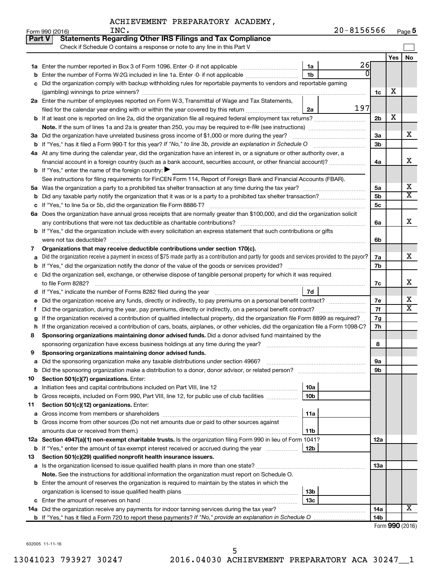| ACHIEVEMENT PREPARATORY ACADEMY, |  |
|----------------------------------|--|
|----------------------------------|--|

|               | INC.<br>Form 990 (2016)                                                                                                                         |                 | $20 - 8156566$ |                 |     | Page 5                  |
|---------------|-------------------------------------------------------------------------------------------------------------------------------------------------|-----------------|----------------|-----------------|-----|-------------------------|
| <b>Part V</b> | <b>Statements Regarding Other IRS Filings and Tax Compliance</b>                                                                                |                 |                |                 |     |                         |
|               | Check if Schedule O contains a response or note to any line in this Part V                                                                      |                 |                |                 |     |                         |
|               |                                                                                                                                                 |                 |                |                 | Yes | No                      |
|               |                                                                                                                                                 | 1a              | 26             |                 |     |                         |
| b             | Enter the number of Forms W-2G included in line 1a. Enter -0- if not applicable                                                                 | 1 <sub>b</sub>  |                |                 |     |                         |
|               | c Did the organization comply with backup withholding rules for reportable payments to vendors and reportable gaming                            |                 |                |                 |     |                         |
|               |                                                                                                                                                 |                 |                | 1c              | х   |                         |
|               | 2a Enter the number of employees reported on Form W-3, Transmittal of Wage and Tax Statements,                                                  |                 |                |                 |     |                         |
|               | filed for the calendar year ending with or within the year covered by this return <i>manumumumum</i>                                            | 2a              | 197            |                 |     |                         |
|               |                                                                                                                                                 |                 |                | 2 <sub>b</sub>  | х   |                         |
|               |                                                                                                                                                 |                 |                |                 |     |                         |
|               | 3a Did the organization have unrelated business gross income of \$1,000 or more during the year?                                                |                 |                | За              |     | x                       |
|               |                                                                                                                                                 |                 |                | 3 <sub>b</sub>  |     |                         |
|               | 4a At any time during the calendar year, did the organization have an interest in, or a signature or other authority over, a                    |                 |                |                 |     |                         |
|               | financial account in a foreign country (such as a bank account, securities account, or other financial account)?                                |                 |                | 4a              |     | х                       |
|               | <b>b</b> If "Yes," enter the name of the foreign country: $\blacktriangleright$                                                                 |                 |                |                 |     |                         |
|               | See instructions for filing requirements for FinCEN Form 114, Report of Foreign Bank and Financial Accounts (FBAR).                             |                 |                |                 |     |                         |
|               |                                                                                                                                                 |                 |                | 5a              |     | x                       |
|               |                                                                                                                                                 |                 |                | 5 <sub>b</sub>  |     | $\overline{\mathbf{X}}$ |
|               |                                                                                                                                                 |                 |                | 5 <sub>c</sub>  |     |                         |
|               | 6a Does the organization have annual gross receipts that are normally greater than \$100,000, and did the organization solicit                  |                 |                |                 |     |                         |
|               |                                                                                                                                                 |                 |                | 6a              |     | x                       |
|               | b If "Yes," did the organization include with every solicitation an express statement that such contributions or gifts                          |                 |                |                 |     |                         |
|               |                                                                                                                                                 |                 |                | 6b              |     |                         |
| 7             | Organizations that may receive deductible contributions under section 170(c).                                                                   |                 |                |                 |     |                         |
| a             | Did the organization receive a payment in excess of \$75 made partly as a contribution and partly for goods and services provided to the payor? |                 |                | 7a              |     | х                       |
|               |                                                                                                                                                 |                 |                | 7b              |     |                         |
|               | c Did the organization sell, exchange, or otherwise dispose of tangible personal property for which it was required                             |                 |                |                 |     |                         |
|               |                                                                                                                                                 |                 |                | 7c              |     | х                       |
|               |                                                                                                                                                 | 7d              |                |                 |     |                         |
|               | e Did the organization receive any funds, directly or indirectly, to pay premiums on a personal benefit contract?                               |                 |                | 7е              |     | х                       |
|               | Did the organization, during the year, pay premiums, directly or indirectly, on a personal benefit contract?                                    |                 |                | 7f              |     | $\overline{X}$          |
|               | If the organization received a contribution of qualified intellectual property, did the organization file Form 8899 as required?                |                 |                | 7g              |     |                         |
|               | h If the organization received a contribution of cars, boats, airplanes, or other vehicles, did the organization file a Form 1098-C?            |                 |                | 7h              |     |                         |
| 8             | Sponsoring organizations maintaining donor advised funds. Did a donor advised fund maintained by the                                            |                 |                |                 |     |                         |
|               | sponsoring organization have excess business holdings at any time during the year?                                                              |                 |                | 8               |     |                         |
|               | Sponsoring organizations maintaining donor advised funds.                                                                                       |                 |                |                 |     |                         |
| а             | Did the sponsoring organization make any taxable distributions under section 4966?                                                              |                 |                | 9а              |     |                         |
|               | <b>b</b> Did the sponsoring organization make a distribution to a donor, donor advisor, or related person?                                      |                 |                | 9b              |     |                         |
| 10            | Section 501(c)(7) organizations. Enter:                                                                                                         |                 |                |                 |     |                         |
| а             |                                                                                                                                                 | 10a             |                |                 |     |                         |
| b             | Gross receipts, included on Form 990, Part VIII, line 12, for public use of club facilities                                                     | 10 <sub>b</sub> |                |                 |     |                         |
| 11            | Section 501(c)(12) organizations. Enter:                                                                                                        |                 |                |                 |     |                         |
| а             |                                                                                                                                                 | 11a             |                |                 |     |                         |
|               | b Gross income from other sources (Do not net amounts due or paid to other sources against                                                      |                 |                |                 |     |                         |
|               |                                                                                                                                                 | 11b             |                |                 |     |                         |
|               | 12a Section 4947(a)(1) non-exempt charitable trusts. Is the organization filing Form 990 in lieu of Form 1041?                                  |                 |                | 12a             |     |                         |
|               | <b>b</b> If "Yes," enter the amount of tax-exempt interest received or accrued during the year                                                  | 12b             |                |                 |     |                         |
| 13            | Section 501(c)(29) qualified nonprofit health insurance issuers.                                                                                |                 |                |                 |     |                         |
|               | a Is the organization licensed to issue qualified health plans in more than one state?                                                          |                 |                | 1За             |     |                         |
|               | Note. See the instructions for additional information the organization must report on Schedule O.                                               |                 |                |                 |     |                         |
|               | <b>b</b> Enter the amount of reserves the organization is required to maintain by the states in which the                                       |                 |                |                 |     |                         |
|               |                                                                                                                                                 | 13b             |                |                 |     |                         |
|               | <b>c</b> Enter the amount of reserves on hand                                                                                                   | 13 <sub>c</sub> |                |                 |     |                         |
|               | 14a Did the organization receive any payments for indoor tanning services during the tax year?                                                  |                 |                | 14a             |     | X                       |
|               |                                                                                                                                                 |                 |                | 14 <sub>b</sub> |     |                         |

| Form 990 (2016) |  |
|-----------------|--|
|-----------------|--|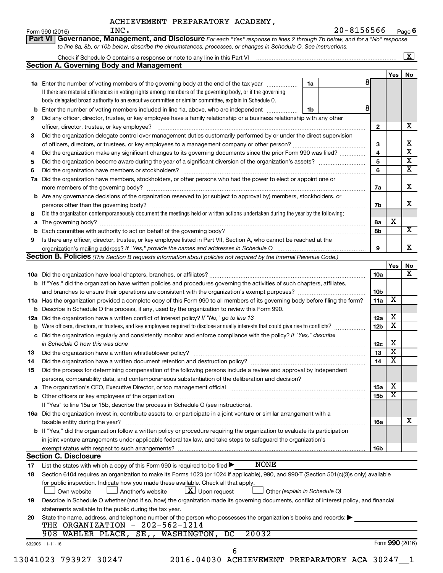| ACHIEVEMENT PREPARATORY ACADEMY, |  |
|----------------------------------|--|
|----------------------------------|--|

|    | INC.<br>Form 990 (2016)                                                                                                                                                                                                            | 20-8156566                    |                        |                         | Page 6                  |
|----|------------------------------------------------------------------------------------------------------------------------------------------------------------------------------------------------------------------------------------|-------------------------------|------------------------|-------------------------|-------------------------|
|    | Part VI Governance, Management, and Disclosure For each "Yes" response to lines 2 through 7b below, and for a "No" response                                                                                                        |                               |                        |                         |                         |
|    | to line 8a, 8b, or 10b below, describe the circumstances, processes, or changes in Schedule O. See instructions.                                                                                                                   |                               |                        |                         |                         |
|    |                                                                                                                                                                                                                                    |                               |                        |                         | $\boxed{\text{X}}$      |
|    | <b>Section A. Governing Body and Management</b>                                                                                                                                                                                    |                               |                        |                         |                         |
|    |                                                                                                                                                                                                                                    |                               | 8                      | Yes                     | No                      |
|    | 1a Enter the number of voting members of the governing body at the end of the tax year<br>If there are material differences in voting rights among members of the governing body, or if the governing                              | 1a                            |                        |                         |                         |
|    | body delegated broad authority to an executive committee or similar committee, explain in Schedule O.                                                                                                                              |                               |                        |                         |                         |
| b  | Enter the number of voting members included in line 1a, above, who are independent <i>manamer</i>                                                                                                                                  | 1b                            | 8                      |                         |                         |
| 2  | Did any officer, director, trustee, or key employee have a family relationship or a business relationship with any other                                                                                                           |                               |                        |                         |                         |
|    | officer, director, trustee, or key employee?                                                                                                                                                                                       |                               | $\mathbf{2}$           |                         | х                       |
| 3  | Did the organization delegate control over management duties customarily performed by or under the direct supervision                                                                                                              |                               |                        |                         |                         |
|    |                                                                                                                                                                                                                                    |                               | 3                      |                         | х                       |
| 4  | Did the organization make any significant changes to its governing documents since the prior Form 990 was filed?                                                                                                                   |                               | 4                      |                         | $\overline{\textbf{x}}$ |
| 5  |                                                                                                                                                                                                                                    |                               | 5                      |                         | х                       |
| 6  |                                                                                                                                                                                                                                    |                               | 6                      |                         | $\overline{\textbf{x}}$ |
|    | 7a Did the organization have members, stockholders, or other persons who had the power to elect or appoint one or                                                                                                                  |                               |                        |                         |                         |
|    |                                                                                                                                                                                                                                    |                               | 7a                     |                         | x                       |
|    | <b>b</b> Are any governance decisions of the organization reserved to (or subject to approval by) members, stockholders, or                                                                                                        |                               |                        |                         |                         |
|    | persons other than the governing body?                                                                                                                                                                                             |                               | 7b                     |                         | x                       |
| 8  | Did the organization contemporaneously document the meetings held or written actions undertaken during the year by the following:                                                                                                  |                               |                        |                         |                         |
|    |                                                                                                                                                                                                                                    |                               | 8а                     | X                       |                         |
|    |                                                                                                                                                                                                                                    |                               | 8b                     |                         | X                       |
| 9  | Is there any officer, director, trustee, or key employee listed in Part VII, Section A, who cannot be reached at the                                                                                                               |                               |                        |                         |                         |
|    |                                                                                                                                                                                                                                    |                               | 9                      |                         | x                       |
|    | <b>Section B. Policies</b> (This Section B requests information about policies not required by the Internal Revenue Code.)                                                                                                         |                               |                        |                         |                         |
|    |                                                                                                                                                                                                                                    |                               |                        | Yes                     | No                      |
|    |                                                                                                                                                                                                                                    |                               | 10a                    |                         | x                       |
|    | b If "Yes," did the organization have written policies and procedures governing the activities of such chapters, affiliates,                                                                                                       |                               |                        |                         |                         |
|    |                                                                                                                                                                                                                                    |                               | 10 <sub>b</sub>        | X                       |                         |
|    | 11a Has the organization provided a complete copy of this Form 990 to all members of its governing body before filing the form?                                                                                                    |                               | 11a                    |                         |                         |
|    | <b>b</b> Describe in Schedule O the process, if any, used by the organization to review this Form 990.                                                                                                                             |                               |                        | х                       |                         |
|    | 12a Did the organization have a written conflict of interest policy? If "No," go to line 13<br>Were officers, directors, or trustees, and key employees required to disclose annually interests that could give rise to conflicts? |                               | 12a<br>12 <sub>b</sub> | X                       |                         |
| b  | c Did the organization regularly and consistently monitor and enforce compliance with the policy? If "Yes," describe                                                                                                               |                               |                        |                         |                         |
|    | in Schedule O how this was done encourance and an according to the state of the state of the state of the state of the state of the state of the state of the state of the state of the state of the state of the state of the     |                               | 12c                    | х                       |                         |
| 13 |                                                                                                                                                                                                                                    |                               | 13                     | $\overline{\textbf{x}}$ |                         |
| 14 | Did the organization have a written document retention and destruction policy? [11] manufaction in the organization have a written document retention and destruction policy?                                                      |                               | 14                     | $\overline{\textbf{x}}$ |                         |
| 15 | Did the process for determining compensation of the following persons include a review and approval by independent                                                                                                                 |                               |                        |                         |                         |
|    | persons, comparability data, and contemporaneous substantiation of the deliberation and decision?                                                                                                                                  |                               |                        |                         |                         |
|    | a The organization's CEO, Executive Director, or top management official manufactured content content of the organization's CEO, Executive Director, or top management official manufactured content of the state of the state     |                               | 15a                    | х                       |                         |
|    |                                                                                                                                                                                                                                    |                               | 15 <sub>b</sub>        | X                       |                         |
|    | If "Yes" to line 15a or 15b, describe the process in Schedule O (see instructions).                                                                                                                                                |                               |                        |                         |                         |
|    | 16a Did the organization invest in, contribute assets to, or participate in a joint venture or similar arrangement with a                                                                                                          |                               |                        |                         |                         |
|    | taxable entity during the year?                                                                                                                                                                                                    |                               | 16a                    |                         | х                       |
|    | b If "Yes," did the organization follow a written policy or procedure requiring the organization to evaluate its participation                                                                                                     |                               |                        |                         |                         |
|    | in joint venture arrangements under applicable federal tax law, and take steps to safeguard the organization's                                                                                                                     |                               |                        |                         |                         |
|    |                                                                                                                                                                                                                                    |                               | 16b                    |                         |                         |
|    | <b>Section C. Disclosure</b>                                                                                                                                                                                                       |                               |                        |                         |                         |
| 17 | <b>NONE</b><br>List the states with which a copy of this Form 990 is required to be filed $\blacktriangleright$                                                                                                                    |                               |                        |                         |                         |
| 18 | Section 6104 requires an organization to make its Forms 1023 (or 1024 if applicable), 990, and 990-T (Section 501(c)(3)s only) available                                                                                           |                               |                        |                         |                         |
|    | for public inspection. Indicate how you made these available. Check all that apply.                                                                                                                                                |                               |                        |                         |                         |
|    | $\lfloor x \rfloor$ Upon request<br>Own website<br>Another's website                                                                                                                                                               | Other (explain in Schedule O) |                        |                         |                         |
| 19 | Describe in Schedule O whether (and if so, how) the organization made its governing documents, conflict of interest policy, and financial                                                                                          |                               |                        |                         |                         |
|    | statements available to the public during the tax year.                                                                                                                                                                            |                               |                        |                         |                         |
| 20 | State the name, address, and telephone number of the person who possesses the organization's books and records:                                                                                                                    |                               |                        |                         |                         |
|    | THE ORGANIZATION - 202-562-1214<br>20032<br>SE, WASHINGTON, DC<br>908 WAHLER PLACE,                                                                                                                                                |                               |                        |                         |                         |
|    |                                                                                                                                                                                                                                    |                               |                        |                         |                         |
|    | 632006 11-11-16<br>6                                                                                                                                                                                                               |                               |                        | Form 990 (2016)         |                         |
|    | 13041023 793927 30247<br>2016.04030 ACHIEVEMENT PREPARATORY ACA 30247_1                                                                                                                                                            |                               |                        |                         |                         |
|    |                                                                                                                                                                                                                                    |                               |                        |                         |                         |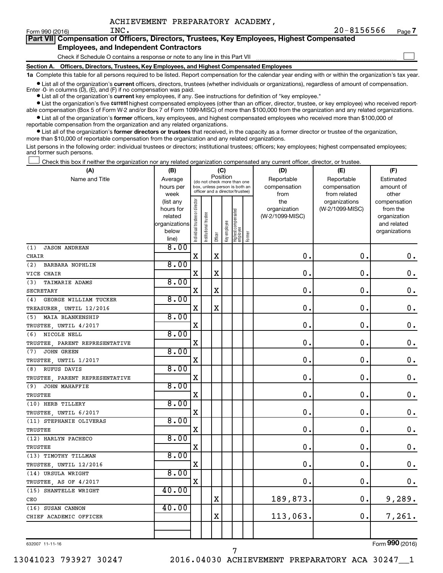| Form 990 (2016) |  | INC. | $20 - 8156566$ | Page |
|-----------------|--|------|----------------|------|
|-----------------|--|------|----------------|------|

| Part VII Compensation of Officers, Directors, Trustees, Key Employees, Highest Compensated |  |
|--------------------------------------------------------------------------------------------|--|
| <b>Employees, and Independent Contractors</b>                                              |  |
| Check if Schedule O contains a response or note to any line in this Part VII               |  |
|                                                                                            |  |

**Section A. Officers, Directors, Trustees, Key Employees, and Highest Compensated Employees**

**1a**  Complete this table for all persons required to be listed. Report compensation for the calendar year ending with or within the organization's tax year.

**•** List all of the organization's current officers, directors, trustees (whether individuals or organizations), regardless of amount of compensation. Enter -0- in columns  $(D)$ ,  $(E)$ , and  $(F)$  if no compensation was paid.

**•** List all of the organization's **current** key employees, if any. See instructions for definition of "key employee."

**•** List the organization's five current highest compensated employees (other than an officer, director, trustee, or key employee) who received reportable compensation (Box 5 of Form W-2 and/or Box 7 of Form 1099-MISC) of more than \$100,000 from the organization and any related organizations.

**•** List all of the organization's former officers, key employees, and highest compensated employees who received more than \$100,000 of reportable compensation from the organization and any related organizations.

**•** List all of the organization's former directors or trustees that received, in the capacity as a former director or trustee of the organization, more than \$10,000 of reportable compensation from the organization and any related organizations.

List persons in the following order: individual trustees or directors; institutional trustees; officers; key employees; highest compensated employees; and former such persons.

Check this box if neither the organization nor any related organization compensated any current officer, director, or trustee.  $\Box$ 

| (A)                            | (B)                    |                               |                                 | (C)         |              |                                 |        | (D)             | (E)             | (F)           |
|--------------------------------|------------------------|-------------------------------|---------------------------------|-------------|--------------|---------------------------------|--------|-----------------|-----------------|---------------|
| Name and Title                 | Average                |                               | (do not check more than one     | Position    |              |                                 |        | Reportable      | Reportable      | Estimated     |
|                                | hours per              |                               | box, unless person is both an   |             |              |                                 |        | compensation    | compensation    | amount of     |
|                                | week                   |                               | officer and a director/trustee) |             |              |                                 |        | from            | from related    | other         |
|                                | (list any              |                               |                                 |             |              |                                 |        | the             | organizations   | compensation  |
|                                | hours for              |                               |                                 |             |              |                                 |        | organization    | (W-2/1099-MISC) | from the      |
|                                | related                |                               |                                 |             |              |                                 |        | (W-2/1099-MISC) |                 | organization  |
|                                | organizations<br>below |                               |                                 |             |              |                                 |        |                 |                 | and related   |
|                                | line)                  | ndividual trustee or director | Institutional trustee           | Officer     | Key employee | Highest compensated<br>employee | Former |                 |                 | organizations |
| <b>JASON ANDREAN</b><br>(1)    | 8.00                   |                               |                                 |             |              |                                 |        |                 |                 |               |
| CHAIR                          |                        | $\rm X$                       |                                 | $\mathbf X$ |              |                                 |        | $\mathbf 0$     | $\mathbf 0$ .   | 0.            |
| (2)<br>BARBARA NOPHLIN         | 8.00                   |                               |                                 |             |              |                                 |        |                 |                 |               |
| VICE CHAIR                     |                        | $\mathbf X$                   |                                 | X           |              |                                 |        | 0               | $\mathbf 0$     | $\mathbf 0$ . |
| <b>TAIMARIE ADAMS</b><br>(3)   | 8.00                   |                               |                                 |             |              |                                 |        |                 |                 |               |
| <b>SECRETARY</b>               |                        | $\mathbf X$                   |                                 | $\rm X$     |              |                                 |        | 0               | $\mathbf 0$ .   | $\mathbf 0$ . |
| GEORGE WILLIAM TUCKER<br>(4)   | 8.00                   |                               |                                 |             |              |                                 |        |                 |                 |               |
| TREASURER, UNTIL 12/2016       |                        | $\mathbf X$                   |                                 | $\rm X$     |              |                                 |        | $\mathbf 0$     | $\mathbf 0$     | $\mathbf 0$ . |
| MAIA BLANKENSHIP<br>(5)        | 8.00                   |                               |                                 |             |              |                                 |        |                 |                 |               |
| TRUSTEE, UNTIL 4/2017          |                        | $\mathbf X$                   |                                 |             |              |                                 |        | $\mathbf 0$     | $\mathbf 0$ .   | $\mathbf 0$ . |
| NICOLE NELL<br>(6)             | 8.00                   |                               |                                 |             |              |                                 |        |                 |                 |               |
| TRUSTEE, PARENT REPRESENTATIVE |                        | $\mathbf X$                   |                                 |             |              |                                 |        | 0               | $\mathbf 0$ .   | $\mathbf 0$ . |
| JOHN GREEN<br>(7)              | 8.00                   |                               |                                 |             |              |                                 |        |                 |                 |               |
| TRUSTEE, UNTIL 1/2017          |                        | $\mathbf X$                   |                                 |             |              |                                 |        | 0               | 0.              | $\mathbf 0$ . |
| RUFUS DAVIS<br>(8)             | 8.00                   |                               |                                 |             |              |                                 |        |                 |                 |               |
| TRUSTEE, PARENT REPRESENTATIVE |                        | X                             |                                 |             |              |                                 |        | $\mathbf 0$     | $\mathbf 0$ .   | $\mathbf 0$ . |
| JOHN MAHAFFIE<br>(9)           | 8.00                   |                               |                                 |             |              |                                 |        |                 |                 |               |
| TRUSTEE                        |                        | $\mathbf X$                   |                                 |             |              |                                 |        | $\mathbf 0$     | 0.              | $\mathbf 0$ . |
| (10) HERB TILLERY              | 8.00                   |                               |                                 |             |              |                                 |        |                 |                 |               |
| TRUSTEE, UNTIL 6/2017          |                        | X                             |                                 |             |              |                                 |        | 0               | $\mathbf 0$ .   | $\mathbf 0$ . |
| (11) STEPHANIE OLIVERAS        | 8.00                   |                               |                                 |             |              |                                 |        |                 |                 |               |
| <b>TRUSTEE</b>                 |                        | X                             |                                 |             |              |                                 |        | $\mathbf 0$     | $\mathbf 0$ .   | $\mathbf 0$ . |
| (12) HARLYN PACHECO            | 8.00                   |                               |                                 |             |              |                                 |        |                 |                 |               |
| <b>TRUSTEE</b>                 |                        | X                             |                                 |             |              |                                 |        | $\mathbf 0$ .   | $\mathbf 0$ .   | $\mathbf 0$ . |
| (13) TIMOTHY TILLMAN           | 8.00                   |                               |                                 |             |              |                                 |        |                 |                 |               |
| TRUSTEE, UNTIL 12/2016         |                        | X                             |                                 |             |              |                                 |        | $\mathbf 0$ .   | $\mathbf 0$ .   | $\mathbf 0$ . |
| (14) URSULA WRIGHT             | 8.00                   |                               |                                 |             |              |                                 |        |                 |                 |               |
| TRUSTEE, AS OF 4/2017          |                        | $\mathbf X$                   |                                 |             |              |                                 |        | $\mathbf 0$ .   | 0.              | 0.            |
| (15) SHANTELLE WRIGHT          | 40.00                  |                               |                                 |             |              |                                 |        |                 |                 |               |
| CEO                            |                        |                               |                                 | $\rm X$     |              |                                 |        | 189,873.        | 0.              | 9,289.        |
| (16) SUSAN CANNON              | 40.00                  |                               |                                 |             |              |                                 |        |                 |                 |               |
| CHIEF ACADEMIC OFFICER         |                        |                               |                                 | X           |              |                                 |        | 113,063.        | 0.              | 7,261.        |
|                                |                        |                               |                                 |             |              |                                 |        |                 |                 |               |
|                                |                        |                               |                                 |             |              |                                 |        |                 |                 |               |

7

632007 11-11-16

Form (2016) **990**

13041023 793927 30247 2016.04030 ACHIEVEMENT PREPARATORY ACA 30247\_\_1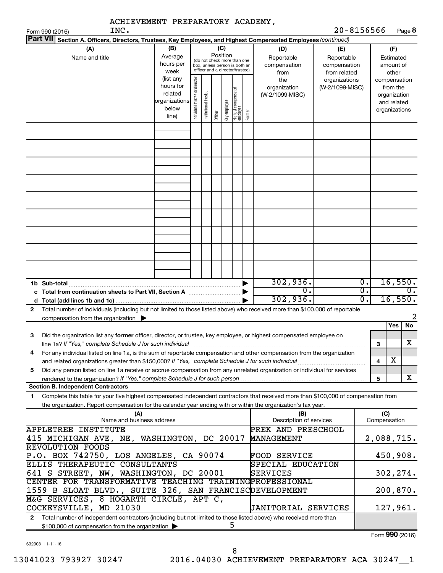| ACHIEVEMENT PREPARATORY ACADEMY,<br>INC.<br>Form 990 (2016)                                                                                                                                                                                                 |                                                                      |                                |                       |                 |              |                                                                                                 |        |                                                             | $20 - 8156566$                                    |                                                       |                                                                          |                                        | Page 8                      |
|-------------------------------------------------------------------------------------------------------------------------------------------------------------------------------------------------------------------------------------------------------------|----------------------------------------------------------------------|--------------------------------|-----------------------|-----------------|--------------|-------------------------------------------------------------------------------------------------|--------|-------------------------------------------------------------|---------------------------------------------------|-------------------------------------------------------|--------------------------------------------------------------------------|----------------------------------------|-----------------------------|
| <b>Part VII</b><br>Section A. Officers, Directors, Trustees, Key Employees, and Highest Compensated Employees (continued)                                                                                                                                   |                                                                      |                                |                       |                 |              |                                                                                                 |        |                                                             |                                                   |                                                       |                                                                          |                                        |                             |
| (A)<br>Name and title                                                                                                                                                                                                                                       | (B)<br>Average<br>hours per<br>week                                  |                                |                       | (C)<br>Position |              | (do not check more than one<br>box, unless person is both an<br>officer and a director/trustee) |        | (D)<br>Reportable<br>compensation<br>from                   | (E)<br>Reportable<br>compensation<br>from related |                                                       |                                                                          | (F)<br>Estimated<br>amount of<br>other |                             |
|                                                                                                                                                                                                                                                             | (list any<br>hours for<br>related<br>organizations<br>below<br>line) | Individual trustee or director | Institutional trustee | Officer         | Key employee | Highest compensated<br>employee                                                                 | Former | the<br>organization<br>(W-2/1099-MISC)                      | organizations<br>(W-2/1099-MISC)                  |                                                       | compensation<br>from the<br>organization<br>and related<br>organizations |                                        |                             |
|                                                                                                                                                                                                                                                             |                                                                      |                                |                       |                 |              |                                                                                                 |        |                                                             |                                                   |                                                       |                                                                          |                                        |                             |
|                                                                                                                                                                                                                                                             |                                                                      |                                |                       |                 |              |                                                                                                 |        |                                                             |                                                   |                                                       |                                                                          |                                        |                             |
|                                                                                                                                                                                                                                                             |                                                                      |                                |                       |                 |              |                                                                                                 |        |                                                             |                                                   |                                                       |                                                                          |                                        |                             |
|                                                                                                                                                                                                                                                             |                                                                      |                                |                       |                 |              |                                                                                                 |        |                                                             |                                                   |                                                       |                                                                          |                                        |                             |
|                                                                                                                                                                                                                                                             |                                                                      |                                |                       |                 |              |                                                                                                 |        |                                                             |                                                   |                                                       |                                                                          |                                        |                             |
| 1b Sub-total                                                                                                                                                                                                                                                |                                                                      |                                |                       |                 |              |                                                                                                 |        | 302,936.<br>0.<br>302,936.                                  |                                                   | $\overline{0}$ .<br>$\overline{\mathfrak{o}}$ .<br>σ. | 16,550.<br>0.<br>16,550.                                                 |                                        |                             |
| Total number of individuals (including but not limited to those listed above) who received more than \$100,000 of reportable<br>2<br>compensation from the organization $\blacktriangleright$                                                               |                                                                      |                                |                       |                 |              |                                                                                                 |        |                                                             |                                                   |                                                       |                                                                          |                                        | 2                           |
| Did the organization list any <b>former</b> officer, director, or trustee, key employee, or highest compensated employee on<br>З<br>line 1a? If "Yes," complete Schedule J for such individual manufactured content content for the complete schedu         |                                                                      |                                |                       |                 |              |                                                                                                 |        |                                                             |                                                   |                                                       | 3                                                                        | Yes                                    | No<br>$\overline{\text{X}}$ |
| For any individual listed on line 1a, is the sum of reportable compensation and other compensation from the organization<br>4                                                                                                                               |                                                                      |                                |                       |                 |              |                                                                                                 |        |                                                             |                                                   |                                                       | $\overline{\bf 4}$                                                       | х                                      |                             |
| Did any person listed on line 1a receive or accrue compensation from any unrelated organization or individual for services<br>5<br><b>Section B. Independent Contractors</b>                                                                                |                                                                      |                                |                       |                 |              |                                                                                                 |        |                                                             |                                                   |                                                       | 5                                                                        |                                        | x                           |
| Complete this table for your five highest compensated independent contractors that received more than \$100,000 of compensation from<br>1<br>the organization. Report compensation for the calendar year ending with or within the organization's tax year. |                                                                      |                                |                       |                 |              |                                                                                                 |        |                                                             |                                                   |                                                       |                                                                          |                                        |                             |
| (A)<br>Name and business address<br><b>APPLETREE INSTITUTE</b>                                                                                                                                                                                              |                                                                      |                                |                       |                 |              |                                                                                                 |        | (B)<br>Description of services<br><b>PREK AND PRESCHOOL</b> |                                                   |                                                       | (C)<br>Compensation                                                      |                                        |                             |
| 415 MICHIGAN AVE, NE, WASHINGTON, DC 20017<br><b>REVOLUTION FOODS</b>                                                                                                                                                                                       |                                                                      |                                |                       |                 |              |                                                                                                 |        | MANAGEMENT                                                  |                                                   |                                                       |                                                                          |                                        | 2,088,715.                  |
| P.O. BOX 742750, LOS ANGELES, CA 90074<br>ELLIS THERAPEUTIC CONSULTANTS                                                                                                                                                                                     |                                                                      |                                |                       |                 |              |                                                                                                 |        | <b>FOOD SERVICE</b><br>SPECIAL EDUCATION                    |                                                   |                                                       |                                                                          |                                        | 450,908.                    |
| 641 S STREET, NW, WASHINGTON, DC 20001<br>CENTER FOR TRANSFORMATIVE TEACHING TRAININGPROFESSIONAL<br>1559 B SLOAT BLVD., SUITE 326, SAN FRANCISCDEVELOPMENT                                                                                                 |                                                                      |                                |                       |                 |              |                                                                                                 |        | SERVICES                                                    |                                                   |                                                       |                                                                          |                                        | 302, 274.<br>200, 870.      |
| M&G SERVICES, 8 HOGARTH CIRCLE, APT C,<br>COCKEYSVILLE, MD 21030                                                                                                                                                                                            |                                                                      |                                |                       |                 |              |                                                                                                 |        | <b>JANITORIAL SERVICES</b>                                  |                                                   |                                                       |                                                                          |                                        | 127,961.                    |
| Total number of independent contractors (including but not limited to those listed above) who received more than<br>$\mathbf{2}$<br>\$100,000 of compensation from the organization >                                                                       |                                                                      |                                |                       |                 |              | ל                                                                                               |        |                                                             |                                                   |                                                       |                                                                          |                                        |                             |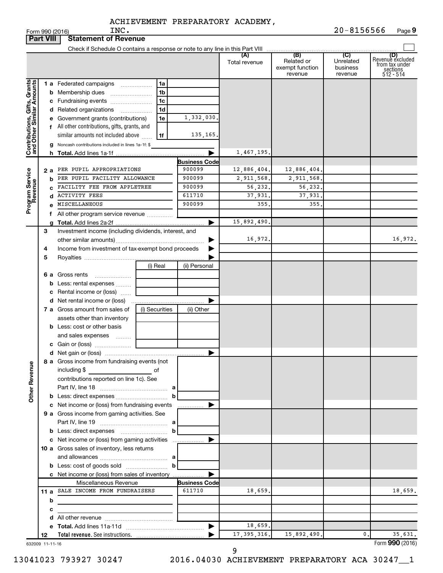|                                                           | <b>Part VIII</b> | <b>Statement of Revenue</b>                                                                              |                                              |                       |                      |                                                 |                                         |                                                                      |
|-----------------------------------------------------------|------------------|----------------------------------------------------------------------------------------------------------|----------------------------------------------|-----------------------|----------------------|-------------------------------------------------|-----------------------------------------|----------------------------------------------------------------------|
|                                                           |                  |                                                                                                          |                                              |                       |                      |                                                 |                                         |                                                                      |
|                                                           |                  |                                                                                                          |                                              |                       | (A)<br>Total revenue | (B)<br>Related or<br>exempt function<br>revenue | (C)<br>Unrelated<br>business<br>revenue | (D)<br>Revenue excluded<br>from tax under<br>sections<br>$512 - 514$ |
|                                                           |                  | <b>1 a</b> Federated campaigns                                                                           | 1a<br>.                                      |                       |                      |                                                 |                                         |                                                                      |
| Contributions, Gifts, Grants<br>and Other Similar Amounts |                  | <b>b</b> Membership dues                                                                                 | 1 <sub>b</sub>                               |                       |                      |                                                 |                                         |                                                                      |
|                                                           |                  | c Fundraising events                                                                                     | 1c                                           |                       |                      |                                                 |                                         |                                                                      |
|                                                           |                  | d Related organizations<br>.                                                                             | 1d                                           |                       |                      |                                                 |                                         |                                                                      |
|                                                           |                  | e Government grants (contributions)                                                                      | 1e                                           | 1,332,030.            |                      |                                                 |                                         |                                                                      |
|                                                           |                  | f All other contributions, gifts, grants, and                                                            |                                              |                       |                      |                                                 |                                         |                                                                      |
|                                                           |                  | similar amounts not included above                                                                       | 1f                                           | 135,165.              |                      |                                                 |                                         |                                                                      |
|                                                           |                  | g Noncash contributions included in lines 1a-1f: \$                                                      |                                              |                       |                      |                                                 |                                         |                                                                      |
|                                                           |                  |                                                                                                          |                                              |                       | 1,467,195.           |                                                 |                                         |                                                                      |
|                                                           |                  |                                                                                                          |                                              | <b>Business Code</b>  |                      |                                                 |                                         |                                                                      |
|                                                           | 2а               | PER PUPIL APPROPRIATIONS                                                                                 |                                              | 900099                | 12,886,404.          | 12,886,404.                                     |                                         |                                                                      |
|                                                           | b                | PER PUPIL FACILITY ALLOWANCE                                                                             |                                              | 900099                | 2,911,568.           | 2,911,568.                                      |                                         |                                                                      |
|                                                           |                  | FACILITY FEE FROM APPLETREE                                                                              |                                              | 900099                | 56,232.              | 56,232.                                         |                                         |                                                                      |
|                                                           |                  | d ACTIVITY FEES                                                                                          |                                              | 611710                | 37,931.              | 37,931                                          |                                         |                                                                      |
| Program Service<br>Revenue                                |                  | MISCELLANEOUS                                                                                            |                                              | 900099                | 355.                 | 355                                             |                                         |                                                                      |
|                                                           |                  | f All other program service revenue                                                                      |                                              |                       |                      |                                                 |                                         |                                                                      |
|                                                           |                  |                                                                                                          |                                              |                       | 15,892,490           |                                                 |                                         |                                                                      |
|                                                           | 3                | Investment income (including dividends, interest, and                                                    |                                              |                       |                      |                                                 |                                         |                                                                      |
|                                                           |                  |                                                                                                          |                                              |                       | 16,972.              |                                                 |                                         | 16,972.                                                              |
|                                                           | 4                | Income from investment of tax-exempt bond proceeds                                                       |                                              |                       |                      |                                                 |                                         |                                                                      |
|                                                           | 5                |                                                                                                          |                                              |                       |                      |                                                 |                                         |                                                                      |
|                                                           |                  |                                                                                                          | (i) Real                                     | (ii) Personal         |                      |                                                 |                                         |                                                                      |
|                                                           |                  | <b>6 a</b> Gross rents                                                                                   |                                              |                       |                      |                                                 |                                         |                                                                      |
|                                                           |                  | <b>b</b> Less: rental expenses                                                                           |                                              |                       |                      |                                                 |                                         |                                                                      |
|                                                           |                  | c Rental income or (loss)                                                                                |                                              |                       |                      |                                                 |                                         |                                                                      |
|                                                           |                  |                                                                                                          |                                              |                       |                      |                                                 |                                         |                                                                      |
|                                                           |                  | 7 a Gross amount from sales of                                                                           | (i) Securities                               | (ii) Other            |                      |                                                 |                                         |                                                                      |
|                                                           |                  | assets other than inventory                                                                              |                                              |                       |                      |                                                 |                                         |                                                                      |
|                                                           |                  | <b>b</b> Less: cost or other basis                                                                       |                                              |                       |                      |                                                 |                                         |                                                                      |
|                                                           |                  | and sales expenses                                                                                       |                                              |                       |                      |                                                 |                                         |                                                                      |
|                                                           |                  |                                                                                                          |                                              |                       |                      |                                                 |                                         |                                                                      |
|                                                           |                  |                                                                                                          |                                              | ▶                     |                      |                                                 |                                         |                                                                      |
| <b>Other Revenue</b>                                      |                  | 8 a Gross income from fundraising events (not<br>including \$<br><u> 1990 - Johann Barbara, martin a</u> | of                                           |                       |                      |                                                 |                                         |                                                                      |
|                                                           |                  | contributions reported on line 1c). See                                                                  |                                              |                       |                      |                                                 |                                         |                                                                      |
|                                                           |                  |                                                                                                          |                                              |                       |                      |                                                 |                                         |                                                                      |
|                                                           |                  |                                                                                                          | $\mathbf b$                                  |                       |                      |                                                 |                                         |                                                                      |
|                                                           |                  | c Net income or (loss) from fundraising events                                                           |                                              |                       |                      |                                                 |                                         |                                                                      |
|                                                           |                  | 9 a Gross income from gaming activities. See                                                             |                                              |                       |                      |                                                 |                                         |                                                                      |
|                                                           |                  |                                                                                                          |                                              |                       |                      |                                                 |                                         |                                                                      |
|                                                           |                  | <b>b</b> Less: direct expenses <b>manually b</b>                                                         |                                              |                       |                      |                                                 |                                         |                                                                      |
|                                                           |                  |                                                                                                          |                                              |                       |                      |                                                 |                                         |                                                                      |
|                                                           |                  | 10 a Gross sales of inventory, less returns                                                              |                                              |                       |                      |                                                 |                                         |                                                                      |
|                                                           |                  |                                                                                                          |                                              |                       |                      |                                                 |                                         |                                                                      |
|                                                           |                  |                                                                                                          |                                              |                       |                      |                                                 |                                         |                                                                      |
|                                                           |                  | c Net income or (loss) from sales of inventory                                                           |                                              |                       |                      |                                                 |                                         |                                                                      |
|                                                           |                  | Miscellaneous Revenue                                                                                    |                                              | <b>Business Code</b>  |                      |                                                 |                                         |                                                                      |
|                                                           |                  | 11 a SALE INCOME FROM FUNDRAISERS                                                                        |                                              | 611710                | 18,659.              |                                                 |                                         | 18,659.                                                              |
|                                                           | b                |                                                                                                          |                                              |                       |                      |                                                 |                                         |                                                                      |
|                                                           | с                |                                                                                                          | the company of the company of the company of |                       |                      |                                                 |                                         |                                                                      |
|                                                           |                  |                                                                                                          |                                              |                       |                      |                                                 |                                         |                                                                      |
|                                                           |                  |                                                                                                          |                                              | $\blacktriangleright$ | 18,659.              |                                                 |                                         |                                                                      |
|                                                           | 12               |                                                                                                          |                                              |                       | 17, 395, 316.        | 15,892,490.                                     | 0.                                      | 35,631.                                                              |
|                                                           | 632009 11-11-16  |                                                                                                          |                                              |                       |                      |                                                 |                                         | Form 990 (2016)                                                      |

9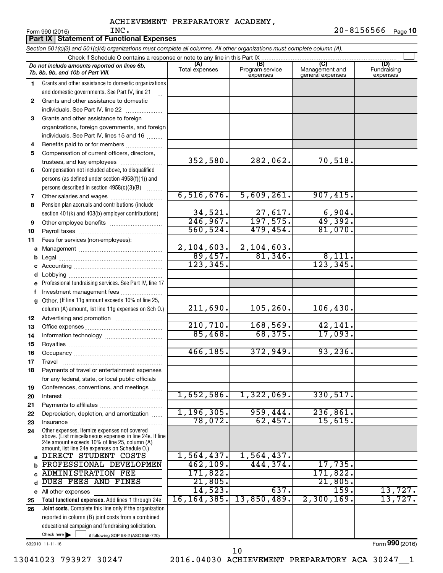$\blacksquare$ Form 990 (2016)  $\blacksquare$   $\blacksquare$   $\blacksquare$   $\blacksquare$   $\blacksquare$   $\blacksquare$   $\blacksquare$   $\blacksquare$   $\blacksquare$   $\blacksquare$   $\blacksquare$   $\blacksquare$   $\blacksquare$   $\blacksquare$   $\blacksquare$   $\blacksquare$   $\blacksquare$   $\blacksquare$   $\blacksquare$   $\blacksquare$   $\blacksquare$   $\blacksquare$   $\blacksquare$   $\blacksquare$   $\blacksquare$   $\blacksquare$   $\blacksquare$   $\blacksquare$   $\bl$ 20-8156566 Page 10 INC. 20-8156566

|              | Part IX   Statement of Functional Expenses                                                                                 |                          |                                    |                                           |                                |  |  |  |  |  |
|--------------|----------------------------------------------------------------------------------------------------------------------------|--------------------------|------------------------------------|-------------------------------------------|--------------------------------|--|--|--|--|--|
|              | Section 501(c)(3) and 501(c)(4) organizations must complete all columns. All other organizations must complete column (A). |                          |                                    |                                           |                                |  |  |  |  |  |
|              | Check if Schedule O contains a response or note to any line in this Part IX.                                               |                          |                                    |                                           |                                |  |  |  |  |  |
|              | Do not include amounts reported on lines 6b,<br>7b, 8b, 9b, and 10b of Part VIII.                                          | (A)<br>Total expenses    | (B)<br>Program service<br>expenses | (C)<br>Management and<br>general expenses | (D)<br>Fundraising<br>expenses |  |  |  |  |  |
| 1.           | Grants and other assistance to domestic organizations                                                                      |                          |                                    |                                           |                                |  |  |  |  |  |
|              | and domestic governments. See Part IV, line 21                                                                             |                          |                                    |                                           |                                |  |  |  |  |  |
| 2            | Grants and other assistance to domestic                                                                                    |                          |                                    |                                           |                                |  |  |  |  |  |
|              | individuals. See Part IV, line 22                                                                                          |                          |                                    |                                           |                                |  |  |  |  |  |
| 3            | Grants and other assistance to foreign                                                                                     |                          |                                    |                                           |                                |  |  |  |  |  |
|              | organizations, foreign governments, and foreign                                                                            |                          |                                    |                                           |                                |  |  |  |  |  |
|              | individuals. See Part IV, lines 15 and 16                                                                                  |                          |                                    |                                           |                                |  |  |  |  |  |
| 4            | Benefits paid to or for members                                                                                            |                          |                                    |                                           |                                |  |  |  |  |  |
| 5            | Compensation of current officers, directors,                                                                               |                          |                                    |                                           |                                |  |  |  |  |  |
|              | trustees, and key employees                                                                                                | 352,580.                 | 282,062.                           | 70,518.                                   |                                |  |  |  |  |  |
| 6            | Compensation not included above, to disqualified                                                                           |                          |                                    |                                           |                                |  |  |  |  |  |
|              | persons (as defined under section 4958(f)(1)) and                                                                          |                          |                                    |                                           |                                |  |  |  |  |  |
|              | persons described in section 4958(c)(3)(B)                                                                                 | 6,516,676.               | 5,609,261.                         | 907,415.                                  |                                |  |  |  |  |  |
| 7            | Other salaries and wages                                                                                                   |                          |                                    |                                           |                                |  |  |  |  |  |
| 8            | Pension plan accruals and contributions (include<br>section 401(k) and 403(b) employer contributions)                      |                          |                                    |                                           |                                |  |  |  |  |  |
| 9            | Other employee benefits                                                                                                    | $\frac{34,521}{246,967}$ | $\frac{27,617}{197,575}$           | $\frac{6,904.49,392.59996}$               |                                |  |  |  |  |  |
| 10           |                                                                                                                            | 560, 524.                | 479,454.                           | 81,070.                                   |                                |  |  |  |  |  |
| 11           | Fees for services (non-employees):                                                                                         |                          |                                    |                                           |                                |  |  |  |  |  |
| a            |                                                                                                                            | 2,104,603.               |                                    |                                           |                                |  |  |  |  |  |
| b            |                                                                                                                            | 89,457.                  | $\frac{2,104,603.}{81,346.}$       | 8,111                                     |                                |  |  |  |  |  |
|              |                                                                                                                            | 123, 345.                |                                    | 123, 345.                                 |                                |  |  |  |  |  |
| d            |                                                                                                                            |                          |                                    |                                           |                                |  |  |  |  |  |
| e            | Professional fundraising services. See Part IV, line 17                                                                    |                          |                                    |                                           |                                |  |  |  |  |  |
| f            | Investment management fees                                                                                                 |                          |                                    |                                           |                                |  |  |  |  |  |
| a            | Other. (If line 11g amount exceeds 10% of line 25,                                                                         |                          |                                    |                                           |                                |  |  |  |  |  |
|              | column (A) amount, list line 11g expenses on Sch O.)                                                                       | 211,690.                 | 105, 260.                          | 106,430.                                  |                                |  |  |  |  |  |
| 12           |                                                                                                                            |                          |                                    |                                           |                                |  |  |  |  |  |
| 13           |                                                                                                                            | 210, 710.                | 168, 569.                          | 42, 141.                                  |                                |  |  |  |  |  |
| 14           |                                                                                                                            | 85,468.                  | 68, 375.                           | 17,093.                                   |                                |  |  |  |  |  |
| 15           |                                                                                                                            |                          |                                    |                                           |                                |  |  |  |  |  |
| 16           |                                                                                                                            | 466, 185.                | 372,949.                           | 93, 236.                                  |                                |  |  |  |  |  |
| 17           | Travel                                                                                                                     |                          |                                    |                                           |                                |  |  |  |  |  |
| 18           | Payments of travel or entertainment expenses                                                                               |                          |                                    |                                           |                                |  |  |  |  |  |
|              | for any federal, state, or local public officials                                                                          |                          |                                    |                                           |                                |  |  |  |  |  |
| 19<br>20     | Conferences, conventions, and meetings<br>Interest                                                                         | 1,652,586.               | 1,322,069.                         | 330,517.                                  |                                |  |  |  |  |  |
| 21           |                                                                                                                            |                          |                                    |                                           |                                |  |  |  |  |  |
| 22           | Depreciation, depletion, and amortization                                                                                  | 1, 196, 305.             | 959,444.                           | 236,861.                                  |                                |  |  |  |  |  |
| 23           | Insurance                                                                                                                  | 78,072.                  | 62,457.                            | 15,615                                    |                                |  |  |  |  |  |
| 24           | Other expenses. Itemize expenses not covered                                                                               |                          |                                    |                                           |                                |  |  |  |  |  |
|              | above. (List miscellaneous expenses in line 24e. If line<br>24e amount exceeds 10% of line 25, column (A)                  |                          |                                    |                                           |                                |  |  |  |  |  |
|              | amount, list line 24e expenses on Schedule O.)                                                                             |                          |                                    |                                           |                                |  |  |  |  |  |
| $\mathbf{a}$ | DIRECT STUDENT COSTS                                                                                                       | 1,564,437.               | 1,564,437.                         |                                           |                                |  |  |  |  |  |
| b            | PROFESSIONAL DEVELOPMEN                                                                                                    | 462, 109.                | 444,374.                           | 17,735.                                   |                                |  |  |  |  |  |
| C            | <b>ADMINISTRATION FEE</b>                                                                                                  | 171,822.                 |                                    | 171,822.                                  |                                |  |  |  |  |  |
| d            | DUES FEES AND FINES                                                                                                        | 21,805.                  |                                    | 21,805.                                   |                                |  |  |  |  |  |
|              | e All other expenses                                                                                                       | 14,523.                  | 637.<br>13,850,489.                | 159.<br>2,300,169.                        | 13,727.<br>13,727.             |  |  |  |  |  |
| 25           | Total functional expenses. Add lines 1 through 24e                                                                         | 16, 164, 385.            |                                    |                                           |                                |  |  |  |  |  |
| 26           | Joint costs. Complete this line only if the organization                                                                   |                          |                                    |                                           |                                |  |  |  |  |  |
|              | reported in column (B) joint costs from a combined<br>educational campaign and fundraising solicitation.                   |                          |                                    |                                           |                                |  |  |  |  |  |
|              | Check here<br>if following SOP 98-2 (ASC 958-720)                                                                          |                          |                                    |                                           |                                |  |  |  |  |  |
|              | 632010 11-11-16                                                                                                            |                          |                                    |                                           | Form 990 (2016)                |  |  |  |  |  |

13041023 793927 30247 2016.04030 ACHIEVEMENT PREPARATORY ACA 30247\_\_1 10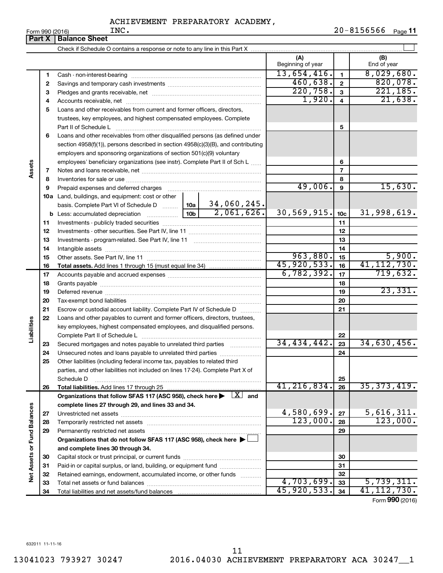Form 990 (2016) Page **11** INC. 20-8156566

| <b>Part X</b> | <b>Balance Sheet</b>                                                       |                   |                    |
|---------------|----------------------------------------------------------------------------|-------------------|--------------------|
|               | Check if Schedule O contains a response or note to any line in this Part X |                   |                    |
|               |                                                                            | Beginning of year | (B)<br>End of year |
|               | Cash - non-interest-bearing                                                |                   |                    |

 $\perp$ 

|                             |    |                                                                                                                           |  |              | (A)<br>Beginning of year |                         | (B)<br>End of year |
|-----------------------------|----|---------------------------------------------------------------------------------------------------------------------------|--|--------------|--------------------------|-------------------------|--------------------|
|                             | 1  |                                                                                                                           |  |              | 13,654,416.              | $\mathbf{1}$            | 8,029,680.         |
|                             | 2  |                                                                                                                           |  |              | 460,638.                 | $\mathbf{2}$            | 820,078.           |
|                             | З  |                                                                                                                           |  |              | 220,758.                 | $\mathbf{3}$            | 221, 185.          |
|                             | 4  |                                                                                                                           |  |              | 1,920.                   | $\overline{\mathbf{4}}$ | 21,638.            |
|                             | 5  | Loans and other receivables from current and former officers, directors,                                                  |  |              |                          |                         |                    |
|                             |    | trustees, key employees, and highest compensated employees. Complete                                                      |  |              |                          |                         |                    |
|                             |    | Part II of Schedule L                                                                                                     |  |              |                          | 5                       |                    |
|                             | 6  | Loans and other receivables from other disqualified persons (as defined under                                             |  |              |                          |                         |                    |
|                             |    | section 4958(f)(1)), persons described in section 4958(c)(3)(B), and contributing                                         |  |              |                          |                         |                    |
|                             |    | employers and sponsoring organizations of section 501(c)(9) voluntary                                                     |  |              |                          |                         |                    |
|                             |    | employees' beneficiary organizations (see instr). Complete Part II of Sch L                                               |  |              |                          | 6                       |                    |
| Assets                      | 7  |                                                                                                                           |  |              |                          | $\overline{7}$          |                    |
|                             | 8  |                                                                                                                           |  |              |                          | 8                       |                    |
|                             | 9  | Prepaid expenses and deferred charges                                                                                     |  |              | 49,006.                  | 9                       | 15,630.            |
|                             |    | <b>10a</b> Land, buildings, and equipment: cost or other                                                                  |  |              |                          |                         |                    |
|                             |    | basis. Complete Part VI of Schedule D    10a   34,060,245.                                                                |  |              |                          |                         |                    |
|                             |    | <b>b</b> Less: accumulated depreciation $\frac{10b}{2,061,626}$                                                           |  |              | 30,569,915.              | 10 <sub>c</sub>         | 31,998,619.        |
|                             | 11 |                                                                                                                           |  |              |                          | 11                      |                    |
|                             | 12 |                                                                                                                           |  |              |                          | 12                      |                    |
|                             | 13 |                                                                                                                           |  |              | 13                       |                         |                    |
|                             | 14 |                                                                                                                           |  |              | 14                       |                         |                    |
|                             | 15 |                                                                                                                           |  | 963,880.     | 15                       | 5,900.                  |                    |
|                             | 16 |                                                                                                                           |  |              | 45,920,533.              | 16                      | 41, 112, 730.      |
|                             | 17 |                                                                                                                           |  | 6, 782, 392. | 17                       | 719,632.                |                    |
|                             | 18 |                                                                                                                           |  | 18           |                          |                         |                    |
|                             | 19 |                                                                                                                           |  |              |                          | 19                      | 23,331.            |
|                             | 20 |                                                                                                                           |  |              |                          | 20                      |                    |
|                             | 21 | Escrow or custodial account liability. Complete Part IV of Schedule D                                                     |  |              |                          | 21                      |                    |
|                             | 22 | Loans and other payables to current and former officers, directors, trustees,                                             |  |              |                          |                         |                    |
| Liabilities                 |    | key employees, highest compensated employees, and disqualified persons.                                                   |  |              |                          |                         |                    |
|                             |    |                                                                                                                           |  |              |                          | 22                      |                    |
|                             | 23 | Secured mortgages and notes payable to unrelated third parties                                                            |  |              | 34,434,442.              | 23                      | 34,630,456.        |
|                             | 24 | Unsecured notes and loans payable to unrelated third parties                                                              |  |              |                          | 24                      |                    |
|                             | 25 | Other liabilities (including federal income tax, payables to related third                                                |  |              |                          |                         |                    |
|                             |    | parties, and other liabilities not included on lines 17-24). Complete Part X of                                           |  |              |                          |                         |                    |
|                             |    | Schedule D                                                                                                                |  |              |                          | 25                      |                    |
|                             | 26 |                                                                                                                           |  |              | 41, 216, 834.            | 26                      | 35, 373, 419.      |
|                             |    | Organizations that follow SFAS 117 (ASC 958), check here $\blacktriangleright \begin{array}{c} \boxed{X} \end{array}$ and |  |              |                          |                         |                    |
|                             |    | complete lines 27 through 29, and lines 33 and 34.                                                                        |  |              |                          |                         |                    |
|                             | 27 |                                                                                                                           |  |              | 4,580,699.               | 27                      | 5,616,311.         |
|                             | 28 |                                                                                                                           |  |              | 123,000.                 | 28                      | 123,000.           |
|                             | 29 | Permanently restricted net assets                                                                                         |  |              |                          | 29                      |                    |
|                             |    | Organizations that do not follow SFAS 117 (ASC 958), check here $\blacktriangleright$                                     |  |              |                          |                         |                    |
|                             |    | and complete lines 30 through 34.                                                                                         |  |              |                          |                         |                    |
| Net Assets or Fund Balances | 30 |                                                                                                                           |  |              |                          | 30                      |                    |
|                             | 31 | Paid-in or capital surplus, or land, building, or equipment fund                                                          |  |              |                          | 31                      |                    |
|                             | 32 | Retained earnings, endowment, accumulated income, or other funds                                                          |  |              | 4,703,699.               | 32                      | 5,739,311.         |
|                             | 33 |                                                                                                                           |  |              | 45,920,533.              | 33                      | 41, 112, 730.      |
|                             | 34 |                                                                                                                           |  |              |                          | 34                      |                    |

Form (2016) **990**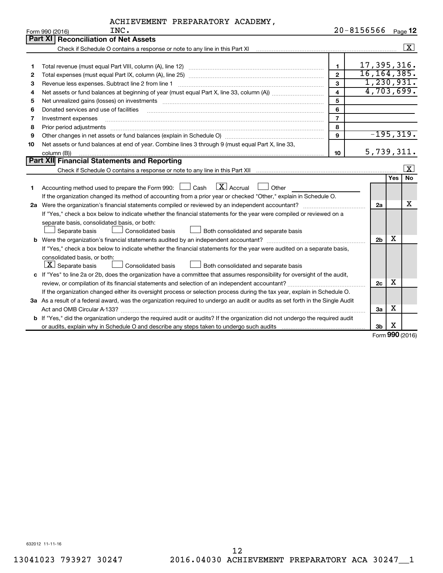| ACHIEVEMENT PREPARATORY ACADEMY, |  |  |
|----------------------------------|--|--|
|----------------------------------|--|--|

|    | INC.<br>Form 990 (2016)                                                                                                         |                         | 20-8156566    |                |            | Page 12                 |
|----|---------------------------------------------------------------------------------------------------------------------------------|-------------------------|---------------|----------------|------------|-------------------------|
|    | <b>Part XI Reconciliation of Net Assets</b>                                                                                     |                         |               |                |            |                         |
|    |                                                                                                                                 |                         |               |                |            | $\boxed{\text{X}}$      |
|    |                                                                                                                                 |                         |               |                |            |                         |
| 1  |                                                                                                                                 | $\mathbf{1}$            | 17,395,316.   |                |            |                         |
| 2  |                                                                                                                                 | $\mathbf{2}$            | 16, 164, 385. |                |            |                         |
| 3  | Revenue less expenses. Subtract line 2 from line 1                                                                              | 3                       |               |                |            | 1, 230, 931.            |
| 4  |                                                                                                                                 | $\overline{\mathbf{4}}$ |               |                |            | 4,703,699.              |
| 5  |                                                                                                                                 | 5                       |               |                |            |                         |
| 6  | Donated services and use of facilities                                                                                          | 6                       |               |                |            |                         |
| 7  | Investment expenses                                                                                                             | $\overline{7}$          |               |                |            |                         |
| 8  | Prior period adjustments                                                                                                        | 8                       |               |                |            |                         |
| 9  |                                                                                                                                 | $\mathbf{9}$            |               |                |            | $-195, 319.$            |
| 10 | Net assets or fund balances at end of year. Combine lines 3 through 9 (must equal Part X, line 33,                              |                         |               |                |            |                         |
|    | column (B))                                                                                                                     | 10                      |               |                |            | 5,739,311.              |
|    | Part XII Financial Statements and Reporting                                                                                     |                         |               |                |            |                         |
|    |                                                                                                                                 |                         |               |                |            | $\overline{\mathbf{x}}$ |
|    |                                                                                                                                 |                         |               |                | <b>Yes</b> | <b>No</b>               |
| 1  | Accounting method used to prepare the Form 990: $\Box$ Cash $\Box$ Accrual<br>Other                                             |                         |               |                |            |                         |
|    | If the organization changed its method of accounting from a prior year or checked "Other," explain in Schedule O.               |                         |               |                |            |                         |
|    | 2a Were the organization's financial statements compiled or reviewed by an independent accountant?                              |                         |               | 2a             |            | x                       |
|    | If "Yes," check a box below to indicate whether the financial statements for the year were compiled or reviewed on a            |                         |               |                |            |                         |
|    | separate basis, consolidated basis, or both:                                                                                    |                         |               |                |            |                         |
|    | Separate basis<br>Consolidated basis<br>Both consolidated and separate basis                                                    |                         |               |                |            |                         |
|    |                                                                                                                                 |                         |               | 2 <sub>b</sub> | х          |                         |
|    | If "Yes," check a box below to indicate whether the financial statements for the year were audited on a separate basis,         |                         |               |                |            |                         |
|    | consolidated basis, or both:                                                                                                    |                         |               |                |            |                         |
|    | $ \mathbf{X} $ Separate basis<br>Consolidated basis<br>Both consolidated and separate basis                                     |                         |               |                |            |                         |
|    | c If "Yes" to line 2a or 2b, does the organization have a committee that assumes responsibility for oversight of the audit,     |                         |               |                |            |                         |
|    | review, or compilation of its financial statements and selection of an independent accountant?                                  |                         |               | 2c             | x          |                         |
|    | If the organization changed either its oversight process or selection process during the tax year, explain in Schedule O.       |                         |               |                |            |                         |
|    | 3a As a result of a federal award, was the organization required to undergo an audit or audits as set forth in the Single Audit |                         |               |                |            |                         |
|    |                                                                                                                                 |                         |               | 3a             | х          |                         |
|    | b If "Yes," did the organization undergo the required audit or audits? If the organization did not undergo the required audit   |                         |               |                |            |                         |
|    |                                                                                                                                 |                         |               | 3 <sub>b</sub> | x          |                         |

Form (2016) **990**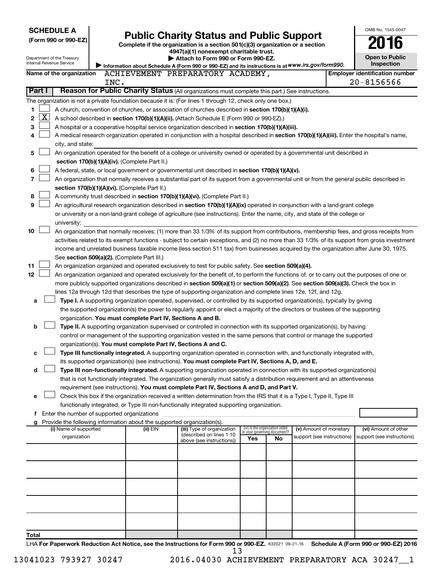| <b>SCHEDULE A</b>                                                                                         |      |                                                                        |                                                                                                                                               |     |                                 |                                                      | OMB No. 1545-0047                                  |
|-----------------------------------------------------------------------------------------------------------|------|------------------------------------------------------------------------|-----------------------------------------------------------------------------------------------------------------------------------------------|-----|---------------------------------|------------------------------------------------------|----------------------------------------------------|
| (Form 990 or 990-EZ)                                                                                      |      |                                                                        | <b>Public Charity Status and Public Support</b>                                                                                               |     |                                 |                                                      | U16                                                |
|                                                                                                           |      |                                                                        | Complete if the organization is a section 501(c)(3) organization or a section<br>4947(a)(1) nonexempt charitable trust.                       |     |                                 |                                                      |                                                    |
| Department of the Treasury                                                                                |      |                                                                        | Attach to Form 990 or Form 990-EZ.                                                                                                            |     |                                 |                                                      | <b>Open to Public</b>                              |
| Internal Revenue Service                                                                                  |      |                                                                        | Information about Schedule A (Form 990 or 990-EZ) and its instructions is at WWW.irs.gov/form990.                                             |     |                                 |                                                      | Inspection                                         |
| Name of the organization                                                                                  |      |                                                                        | ACHIEVEMENT PREPARATORY ACADEMY,                                                                                                              |     |                                 |                                                      | <b>Employer identification number</b>              |
|                                                                                                           | INC. |                                                                        |                                                                                                                                               |     |                                 |                                                      | $20 - 8156566$                                     |
| Part I                                                                                                    |      |                                                                        | Reason for Public Charity Status (All organizations must complete this part.) See instructions.                                               |     |                                 |                                                      |                                                    |
| The organization is not a private foundation because it is: (For lines 1 through 12, check only one box.) |      |                                                                        |                                                                                                                                               |     |                                 |                                                      |                                                    |
| 1                                                                                                         |      |                                                                        | A church, convention of churches, or association of churches described in section 170(b)(1)(A)(i).                                            |     |                                 |                                                      |                                                    |
| $\mathbf{X}$<br>2                                                                                         |      |                                                                        | A school described in section 170(b)(1)(A)(ii). (Attach Schedule E (Form 990 or 990-EZ).)                                                     |     |                                 |                                                      |                                                    |
| 3                                                                                                         |      |                                                                        | A hospital or a cooperative hospital service organization described in section 170(b)(1)(A)(iii).                                             |     |                                 |                                                      |                                                    |
| 4                                                                                                         |      |                                                                        | A medical research organization operated in conjunction with a hospital described in section 170(b)(1)(A)(iii). Enter the hospital's name,    |     |                                 |                                                      |                                                    |
| city, and state:                                                                                          |      |                                                                        |                                                                                                                                               |     |                                 |                                                      |                                                    |
| 5                                                                                                         |      |                                                                        | An organization operated for the benefit of a college or university owned or operated by a governmental unit described in                     |     |                                 |                                                      |                                                    |
|                                                                                                           |      | section 170(b)(1)(A)(iv). (Complete Part II.)                          |                                                                                                                                               |     |                                 |                                                      |                                                    |
| 6                                                                                                         |      |                                                                        | A federal, state, or local government or governmental unit described in section 170(b)(1)(A)(v).                                              |     |                                 |                                                      |                                                    |
| 7                                                                                                         |      |                                                                        |                                                                                                                                               |     |                                 |                                                      |                                                    |
|                                                                                                           |      |                                                                        | An organization that normally receives a substantial part of its support from a governmental unit or from the general public described in     |     |                                 |                                                      |                                                    |
| 8                                                                                                         |      | section 170(b)(1)(A)(vi). (Complete Part II.)                          | A community trust described in section 170(b)(1)(A)(vi). (Complete Part II.)                                                                  |     |                                 |                                                      |                                                    |
| 9                                                                                                         |      |                                                                        |                                                                                                                                               |     |                                 |                                                      |                                                    |
|                                                                                                           |      |                                                                        | An agricultural research organization described in section 170(b)(1)(A)(ix) operated in conjunction with a land-grant college                 |     |                                 |                                                      |                                                    |
|                                                                                                           |      |                                                                        | or university or a non-land-grant college of agriculture (see instructions). Enter the name, city, and state of the college or                |     |                                 |                                                      |                                                    |
| university:                                                                                               |      |                                                                        |                                                                                                                                               |     |                                 |                                                      |                                                    |
| 10                                                                                                        |      |                                                                        | An organization that normally receives: (1) more than 33 1/3% of its support from contributions, membership fees, and gross receipts from     |     |                                 |                                                      |                                                    |
|                                                                                                           |      |                                                                        | activities related to its exempt functions - subject to certain exceptions, and (2) no more than 33 1/3% of its support from gross investment |     |                                 |                                                      |                                                    |
|                                                                                                           |      |                                                                        | income and unrelated business taxable income (less section 511 tax) from businesses acquired by the organization after June 30, 1975.         |     |                                 |                                                      |                                                    |
|                                                                                                           |      | See section 509(a)(2). (Complete Part III.)                            |                                                                                                                                               |     |                                 |                                                      |                                                    |
| 11<br>12 <sub>2</sub>                                                                                     |      |                                                                        | An organization organized and operated exclusively to test for public safety. See section 509(a)(4).                                          |     |                                 |                                                      |                                                    |
|                                                                                                           |      |                                                                        | An organization organized and operated exclusively for the benefit of, to perform the functions of, or to carry out the purposes of one or    |     |                                 |                                                      |                                                    |
|                                                                                                           |      |                                                                        | more publicly supported organizations described in section 509(a)(1) or section 509(a)(2). See section 509(a)(3). Check the box in            |     |                                 |                                                      |                                                    |
|                                                                                                           |      |                                                                        | lines 12a through 12d that describes the type of supporting organization and complete lines 12e, 12f, and 12g.                                |     |                                 |                                                      |                                                    |
| a                                                                                                         |      |                                                                        | Type I. A supporting organization operated, supervised, or controlled by its supported organization(s), typically by giving                   |     |                                 |                                                      |                                                    |
|                                                                                                           |      |                                                                        | the supported organization(s) the power to regularly appoint or elect a majority of the directors or trustees of the supporting               |     |                                 |                                                      |                                                    |
|                                                                                                           |      | organization. You must complete Part IV, Sections A and B.             |                                                                                                                                               |     |                                 |                                                      |                                                    |
| b                                                                                                         |      |                                                                        | Type II. A supporting organization supervised or controlled in connection with its supported organization(s), by having                       |     |                                 |                                                      |                                                    |
|                                                                                                           |      |                                                                        | control or management of the supporting organization vested in the same persons that control or manage the supported                          |     |                                 |                                                      |                                                    |
|                                                                                                           |      | organization(s). You must complete Part IV, Sections A and C.          |                                                                                                                                               |     |                                 |                                                      |                                                    |
|                                                                                                           |      |                                                                        | Type III functionally integrated. A supporting organization operated in connection with, and functionally integrated with,                    |     |                                 |                                                      |                                                    |
|                                                                                                           |      |                                                                        | its supported organization(s) (see instructions). You must complete Part IV, Sections A, D, and E.                                            |     |                                 |                                                      |                                                    |
| d                                                                                                         |      |                                                                        | Type III non-functionally integrated. A supporting organization operated in connection with its supported organization(s)                     |     |                                 |                                                      |                                                    |
|                                                                                                           |      |                                                                        | that is not functionally integrated. The organization generally must satisfy a distribution requirement and an attentiveness                  |     |                                 |                                                      |                                                    |
|                                                                                                           |      |                                                                        | requirement (see instructions). You must complete Part IV, Sections A and D, and Part V.                                                      |     |                                 |                                                      |                                                    |
| е                                                                                                         |      |                                                                        | Check this box if the organization received a written determination from the IRS that it is a Type I, Type II, Type III                       |     |                                 |                                                      |                                                    |
|                                                                                                           |      |                                                                        | functionally integrated, or Type III non-functionally integrated supporting organization.                                                     |     |                                 |                                                      |                                                    |
| f Enter the number of supported organizations                                                             |      |                                                                        |                                                                                                                                               |     |                                 |                                                      |                                                    |
|                                                                                                           |      | Provide the following information about the supported organization(s). |                                                                                                                                               |     | (iv) Is the organization listed |                                                      |                                                    |
| (i) Name of supported<br>organization                                                                     |      | (ii) EIN                                                               | (iii) Type of organization<br>(described on lines 1-10                                                                                        |     | in your governing document?     | (v) Amount of monetary<br>support (see instructions) | (vi) Amount of other<br>support (see instructions) |
|                                                                                                           |      |                                                                        | above (see instructions))                                                                                                                     | Yes | No                              |                                                      |                                                    |
|                                                                                                           |      |                                                                        |                                                                                                                                               |     |                                 |                                                      |                                                    |
|                                                                                                           |      |                                                                        |                                                                                                                                               |     |                                 |                                                      |                                                    |
|                                                                                                           |      |                                                                        |                                                                                                                                               |     |                                 |                                                      |                                                    |
|                                                                                                           |      |                                                                        |                                                                                                                                               |     |                                 |                                                      |                                                    |
|                                                                                                           |      |                                                                        |                                                                                                                                               |     |                                 |                                                      |                                                    |
|                                                                                                           |      |                                                                        |                                                                                                                                               |     |                                 |                                                      |                                                    |
|                                                                                                           |      |                                                                        |                                                                                                                                               |     |                                 |                                                      |                                                    |
|                                                                                                           |      |                                                                        |                                                                                                                                               |     |                                 |                                                      |                                                    |
|                                                                                                           |      |                                                                        |                                                                                                                                               |     |                                 |                                                      |                                                    |
|                                                                                                           |      |                                                                        |                                                                                                                                               |     |                                 |                                                      |                                                    |
| Total                                                                                                     |      |                                                                        |                                                                                                                                               |     |                                 |                                                      |                                                    |

LHA For Paperwork Reduction Act Notice, see the Instructions for Form 990 or 990-EZ. 632021 09-21-16 Schedule A (Form 990 or 990-EZ) 2016 13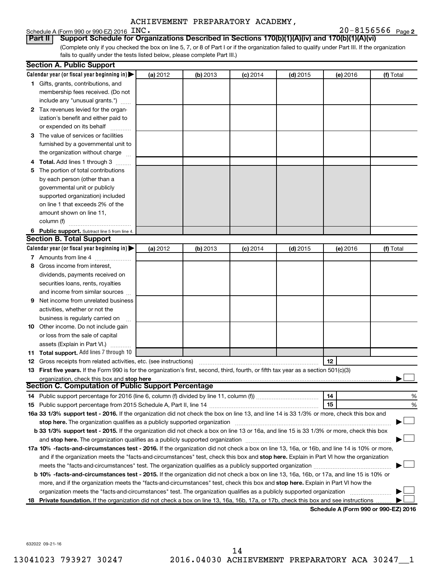# Schedule A (Form 990 or 990-EZ) 2016 INC.<br>**Part II** | Support Schedule for Orga

**2** INC. 20-8156566

(Complete only if you checked the box on line 5, 7, or 8 of Part I or if the organization failed to qualify under Part III. If the organization fails to qualify under the tests listed below, please complete Part III.) **Bupport Schedule for Organizations Described in Sections 170(b)(1)(A)(iv) and 170(b)(1)(A)(vi)** 

|    | <b>Section A. Public Support</b>                                                                                                               |          |          |            |            |          |                                      |
|----|------------------------------------------------------------------------------------------------------------------------------------------------|----------|----------|------------|------------|----------|--------------------------------------|
|    | Calendar year (or fiscal year beginning in)                                                                                                    | (a) 2012 | (b) 2013 | $(c)$ 2014 | $(d)$ 2015 | (e) 2016 | (f) Total                            |
|    | 1 Gifts, grants, contributions, and                                                                                                            |          |          |            |            |          |                                      |
|    | membership fees received. (Do not                                                                                                              |          |          |            |            |          |                                      |
|    | include any "unusual grants.")                                                                                                                 |          |          |            |            |          |                                      |
|    | 2 Tax revenues levied for the organ-                                                                                                           |          |          |            |            |          |                                      |
|    | ization's benefit and either paid to                                                                                                           |          |          |            |            |          |                                      |
|    | or expended on its behalf                                                                                                                      |          |          |            |            |          |                                      |
|    | 3 The value of services or facilities                                                                                                          |          |          |            |            |          |                                      |
|    | furnished by a governmental unit to                                                                                                            |          |          |            |            |          |                                      |
|    | the organization without charge                                                                                                                |          |          |            |            |          |                                      |
|    | 4 Total. Add lines 1 through 3                                                                                                                 |          |          |            |            |          |                                      |
| 5. | The portion of total contributions                                                                                                             |          |          |            |            |          |                                      |
|    | by each person (other than a                                                                                                                   |          |          |            |            |          |                                      |
|    | governmental unit or publicly                                                                                                                  |          |          |            |            |          |                                      |
|    | supported organization) included                                                                                                               |          |          |            |            |          |                                      |
|    | on line 1 that exceeds 2% of the                                                                                                               |          |          |            |            |          |                                      |
|    | amount shown on line 11,                                                                                                                       |          |          |            |            |          |                                      |
|    | column (f)                                                                                                                                     |          |          |            |            |          |                                      |
|    | 6 Public support. Subtract line 5 from line 4.                                                                                                 |          |          |            |            |          |                                      |
|    | <b>Section B. Total Support</b>                                                                                                                |          |          |            |            |          |                                      |
|    | Calendar year (or fiscal year beginning in)                                                                                                    | (a) 2012 | (b) 2013 | $(c)$ 2014 | $(d)$ 2015 | (e) 2016 | (f) Total                            |
|    | 7 Amounts from line 4                                                                                                                          |          |          |            |            |          |                                      |
| 8  | Gross income from interest,                                                                                                                    |          |          |            |            |          |                                      |
|    | dividends, payments received on                                                                                                                |          |          |            |            |          |                                      |
|    | securities loans, rents, royalties                                                                                                             |          |          |            |            |          |                                      |
|    | and income from similar sources                                                                                                                |          |          |            |            |          |                                      |
| 9. | Net income from unrelated business                                                                                                             |          |          |            |            |          |                                      |
|    | activities, whether or not the                                                                                                                 |          |          |            |            |          |                                      |
|    | business is regularly carried on                                                                                                               |          |          |            |            |          |                                      |
|    | 10 Other income. Do not include gain                                                                                                           |          |          |            |            |          |                                      |
|    | or loss from the sale of capital                                                                                                               |          |          |            |            |          |                                      |
|    | assets (Explain in Part VI.)                                                                                                                   |          |          |            |            |          |                                      |
|    | 11 Total support. Add lines 7 through 10                                                                                                       |          |          |            |            |          |                                      |
|    | <b>12</b> Gross receipts from related activities, etc. (see instructions)                                                                      |          |          |            |            | 12       |                                      |
|    | 13 First five years. If the Form 990 is for the organization's first, second, third, fourth, or fifth tax year as a section 501(c)(3)          |          |          |            |            |          |                                      |
|    | organization, check this box and stop here                                                                                                     |          |          |            |            |          |                                      |
|    | Section C. Computation of Public Support Percentage                                                                                            |          |          |            |            |          |                                      |
|    |                                                                                                                                                |          |          |            |            | 14       | %                                    |
|    |                                                                                                                                                |          |          |            |            | 15       | %                                    |
|    | 16a 33 1/3% support test - 2016. If the organization did not check the box on line 13, and line 14 is 33 1/3% or more, check this box and      |          |          |            |            |          |                                      |
|    | stop here. The organization qualifies as a publicly supported organization matchinary material content and the                                 |          |          |            |            |          |                                      |
|    | b 33 1/3% support test - 2015. If the organization did not check a box on line 13 or 16a, and line 15 is 33 1/3% or more, check this box       |          |          |            |            |          |                                      |
|    |                                                                                                                                                |          |          |            |            |          |                                      |
|    | 17a 10% -facts-and-circumstances test - 2016. If the organization did not check a box on line 13, 16a, or 16b, and line 14 is 10% or more,     |          |          |            |            |          |                                      |
|    | and if the organization meets the "facts-and-circumstances" test, check this box and stop here. Explain in Part VI how the organization        |          |          |            |            |          |                                      |
|    |                                                                                                                                                |          |          |            |            |          |                                      |
|    | <b>b 10%</b> -facts-and-circumstances test - 2015. If the organization did not check a box on line 13, 16a, 16b, or 17a, and line 15 is 10% or |          |          |            |            |          |                                      |
|    | more, and if the organization meets the "facts-and-circumstances" test, check this box and stop here. Explain in Part VI how the               |          |          |            |            |          |                                      |
|    | organization meets the "facts-and-circumstances" test. The organization qualifies as a publicly supported organization                         |          |          |            |            |          |                                      |
|    | 18 Private foundation. If the organization did not check a box on line 13, 16a, 16b, 17a, or 17b, check this box and see instructions          |          |          |            |            |          |                                      |
|    |                                                                                                                                                |          |          |            |            |          | Schedule A (Form 990 or 990-F7) 2016 |

**Schedule A (Form 990 or 990-EZ) 2016**

632022 09-21-16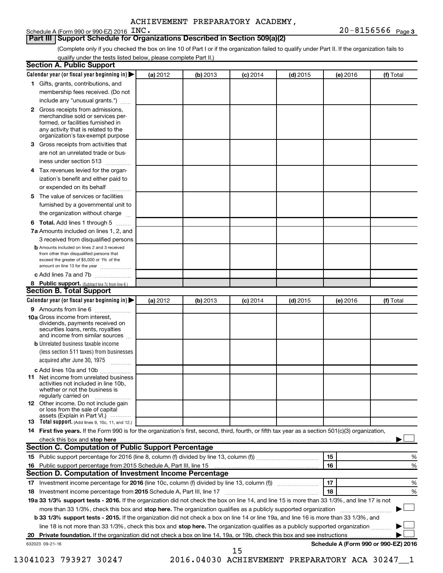### Schedule A (Form 990 or 990-EZ) 2016  $\overline{INC}$ .

(Complete only if you checked the box on line 10 of Part I or if the organization failed to qualify under Part II. If the organization fails to qualify under the tests listed below, please complete Part II.)

| <b>Section A. Public Support</b>                                                                                                                                                                                                        |          |          |                 |            |          |                                      |
|-----------------------------------------------------------------------------------------------------------------------------------------------------------------------------------------------------------------------------------------|----------|----------|-----------------|------------|----------|--------------------------------------|
| Calendar year (or fiscal year beginning in)                                                                                                                                                                                             | (a) 2012 | (b) 2013 | $(c)$ 2014      | $(d)$ 2015 | (e) 2016 | (f) Total                            |
| 1 Gifts, grants, contributions, and                                                                                                                                                                                                     |          |          |                 |            |          |                                      |
| membership fees received. (Do not                                                                                                                                                                                                       |          |          |                 |            |          |                                      |
| include any "unusual grants.")                                                                                                                                                                                                          |          |          |                 |            |          |                                      |
| 2 Gross receipts from admissions,<br>merchandise sold or services per-<br>formed, or facilities furnished in<br>any activity that is related to the<br>organization's tax-exempt purpose                                                |          |          |                 |            |          |                                      |
| 3 Gross receipts from activities that                                                                                                                                                                                                   |          |          |                 |            |          |                                      |
| are not an unrelated trade or bus-                                                                                                                                                                                                      |          |          |                 |            |          |                                      |
| iness under section 513                                                                                                                                                                                                                 |          |          |                 |            |          |                                      |
| 4 Tax revenues levied for the organ-                                                                                                                                                                                                    |          |          |                 |            |          |                                      |
| ization's benefit and either paid to                                                                                                                                                                                                    |          |          |                 |            |          |                                      |
| or expended on its behalf                                                                                                                                                                                                               |          |          |                 |            |          |                                      |
| 5 The value of services or facilities                                                                                                                                                                                                   |          |          |                 |            |          |                                      |
| furnished by a governmental unit to                                                                                                                                                                                                     |          |          |                 |            |          |                                      |
| the organization without charge                                                                                                                                                                                                         |          |          |                 |            |          |                                      |
| 6 Total. Add lines 1 through 5                                                                                                                                                                                                          |          |          |                 |            |          |                                      |
| 7a Amounts included on lines 1, 2, and                                                                                                                                                                                                  |          |          |                 |            |          |                                      |
| 3 received from disqualified persons                                                                                                                                                                                                    |          |          |                 |            |          |                                      |
| <b>b</b> Amounts included on lines 2 and 3 received<br>from other than disqualified persons that<br>exceed the greater of \$5,000 or 1% of the<br>amount on line 13 for the year                                                        |          |          |                 |            |          |                                      |
| c Add lines 7a and 7b                                                                                                                                                                                                                   |          |          |                 |            |          |                                      |
| 8 Public support. (Subtract line 7c from line 6.)                                                                                                                                                                                       |          |          |                 |            |          |                                      |
| <b>Section B. Total Support</b>                                                                                                                                                                                                         |          |          |                 |            |          |                                      |
| Calendar year (or fiscal year beginning in)                                                                                                                                                                                             | (a) 2012 | (b) 2013 | <b>(c)</b> 2014 | $(d)$ 2015 | (e) 2016 | (f) Total                            |
| 9 Amounts from line 6                                                                                                                                                                                                                   |          |          |                 |            |          |                                      |
| <b>10a</b> Gross income from interest,<br>dividends, payments received on<br>securities loans, rents, royalties<br>and income from similar sources                                                                                      |          |          |                 |            |          |                                      |
| <b>b</b> Unrelated business taxable income<br>(less section 511 taxes) from businesses<br>acquired after June 30, 1975                                                                                                                  |          |          |                 |            |          |                                      |
| c Add lines 10a and 10b<br><b>11</b> Net income from unrelated business<br>activities not included in line 10b.<br>whether or not the business is<br>regularly carried on<br><b>12</b> Other income. Do not include gain                |          |          |                 |            |          |                                      |
| or loss from the sale of capital<br>assets (Explain in Part VI.)                                                                                                                                                                        |          |          |                 |            |          |                                      |
| <b>13</b> Total support. (Add lines 9, 10c, 11, and 12.)                                                                                                                                                                                |          |          |                 |            |          |                                      |
| 14 First five years. If the Form 990 is for the organization's first, second, third, fourth, or fifth tax year as a section 501(c)(3) organization,                                                                                     |          |          |                 |            |          |                                      |
| check this box and stop here <b>contained and the contained and stop here</b> check this box and stop here <b>contained and the contained and stop here</b> contained and stop here contained and and stop here contained and stop here |          |          |                 |            |          |                                      |
| Section C. Computation of Public Support Percentage                                                                                                                                                                                     |          |          |                 |            |          |                                      |
|                                                                                                                                                                                                                                         |          |          |                 |            | 15       | ℅                                    |
| 16 Public support percentage from 2015 Schedule A, Part III, line 15                                                                                                                                                                    |          |          |                 |            | 16       | %                                    |
| Section D. Computation of Investment Income Percentage                                                                                                                                                                                  |          |          |                 |            |          |                                      |
|                                                                                                                                                                                                                                         |          |          |                 |            | 17       | %                                    |
| 18 Investment income percentage from 2015 Schedule A, Part III, line 17                                                                                                                                                                 |          |          |                 |            | 18       | %                                    |
| 19a 33 1/3% support tests - 2016. If the organization did not check the box on line 14, and line 15 is more than 33 1/3%, and line 17 is not                                                                                            |          |          |                 |            |          |                                      |
| more than 33 1/3%, check this box and stop here. The organization qualifies as a publicly supported organization                                                                                                                        |          |          |                 |            |          |                                      |
| b 33 1/3% support tests - 2015. If the organization did not check a box on line 14 or line 19a, and line 16 is more than 33 1/3%, and                                                                                                   |          |          |                 |            |          |                                      |
| line 18 is not more than 33 1/3%, check this box and stop here. The organization qualifies as a publicly supported organization                                                                                                         |          |          |                 |            |          |                                      |
|                                                                                                                                                                                                                                         |          |          |                 |            |          |                                      |
| 632023 09-21-16                                                                                                                                                                                                                         |          |          |                 |            |          | Schedule A (Form 990 or 990-EZ) 2016 |
|                                                                                                                                                                                                                                         |          |          | 15              |            |          |                                      |

13041023 793927 30247 2016.04030 ACHIEVEMENT PREPARATORY ACA 30247\_\_1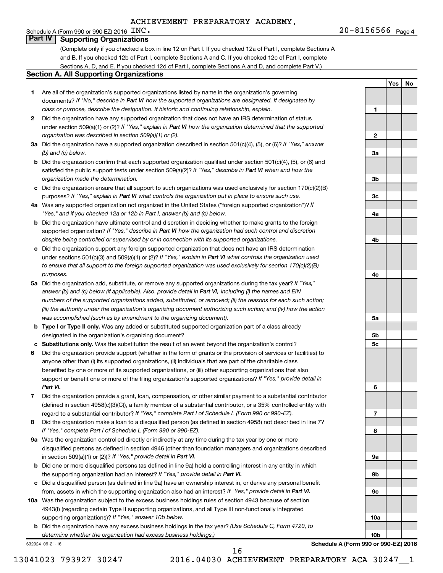Schedule A (Form 990 or 990-EZ) 2016  $\overline{INC}$ .

**1**

**2**

**3a**

**3b**

**3c**

**4a**

**4b**

**4c**

**5a**

**5b 5c**

**6**

**7**

**8**

**9a**

**9b**

**9c**

**10a**

**10b**

**Yes No**

### **Part IV Supporting Organizations**

(Complete only if you checked a box in line 12 on Part I. If you checked 12a of Part I, complete Sections A and B. If you checked 12b of Part I, complete Sections A and C. If you checked 12c of Part I, complete Sections A, D, and E. If you checked 12d of Part I, complete Sections A and D, and complete Part V.)

### **Section A. All Supporting Organizations**

- **1** Are all of the organization's supported organizations listed by name in the organization's governing documents? If "No," describe in Part VI how the supported organizations are designated. If designated by *class or purpose, describe the designation. If historic and continuing relationship, explain.*
- **2** Did the organization have any supported organization that does not have an IRS determination of status under section 509(a)(1) or (2)? If "Yes," explain in Part VI how the organization determined that the supported *organization was described in section 509(a)(1) or (2).*
- **3a** Did the organization have a supported organization described in section 501(c)(4), (5), or (6)? If "Yes," answer *(b) and (c) below.*
- **b** Did the organization confirm that each supported organization qualified under section 501(c)(4), (5), or (6) and satisfied the public support tests under section 509(a)(2)? If "Yes," describe in Part VI when and how the *organization made the determination.*
- **c** Did the organization ensure that all support to such organizations was used exclusively for section 170(c)(2)(B) purposes? If "Yes," explain in Part VI what controls the organization put in place to ensure such use.
- **4 a** *If* Was any supported organization not organized in the United States ("foreign supported organization")? *"Yes," and if you checked 12a or 12b in Part I, answer (b) and (c) below.*
- **b** Did the organization have ultimate control and discretion in deciding whether to make grants to the foreign supported organization? If "Yes," describe in Part VI how the organization had such control and discretion *despite being controlled or supervised by or in connection with its supported organizations.*
- **c** Did the organization support any foreign supported organization that does not have an IRS determination under sections 501(c)(3) and 509(a)(1) or (2)? If "Yes," explain in Part VI what controls the organization used *to ensure that all support to the foreign supported organization was used exclusively for section 170(c)(2)(B) purposes.*
- **5a** Did the organization add, substitute, or remove any supported organizations during the tax year? If "Yes," answer (b) and (c) below (if applicable). Also, provide detail in Part VI, including (i) the names and EIN *numbers of the supported organizations added, substituted, or removed; (ii) the reasons for each such action; (iii) the authority under the organization's organizing document authorizing such action; and (iv) how the action was accomplished (such as by amendment to the organizing document).*
- **b Type I or Type II only.** Was any added or substituted supported organization part of a class already designated in the organization's organizing document?
- **c Substitutions only.**  Was the substitution the result of an event beyond the organization's control?
- **6** Did the organization provide support (whether in the form of grants or the provision of services or facilities) to support or benefit one or more of the filing organization's supported organizations? If "Yes," provide detail in anyone other than (i) its supported organizations, (ii) individuals that are part of the charitable class benefited by one or more of its supported organizations, or (iii) other supporting organizations that also *Part VI.*
- **7** Did the organization provide a grant, loan, compensation, or other similar payment to a substantial contributor regard to a substantial contributor? If "Yes," complete Part I of Schedule L (Form 990 or 990-EZ). (defined in section 4958(c)(3)(C)), a family member of a substantial contributor, or a 35% controlled entity with
- **8** Did the organization make a loan to a disqualified person (as defined in section 4958) not described in line 7? *If "Yes," complete Part I of Schedule L (Form 990 or 990-EZ).*
- **9 a** Was the organization controlled directly or indirectly at any time during the tax year by one or more in section 509(a)(1) or (2))? If "Yes," provide detail in Part VI. disqualified persons as defined in section 4946 (other than foundation managers and organizations described
- **b** Did one or more disqualified persons (as defined in line 9a) hold a controlling interest in any entity in which the supporting organization had an interest? If "Yes," provide detail in Part VI.
- **c** Did a disqualified person (as defined in line 9a) have an ownership interest in, or derive any personal benefit from, assets in which the supporting organization also had an interest? If "Yes," provide detail in Part VI.
- **10 a** Was the organization subject to the excess business holdings rules of section 4943 because of section supporting organizations)? If "Yes," answer 10b below. 4943(f) (regarding certain Type II supporting organizations, and all Type III non-functionally integrated
	- **b** Did the organization have any excess business holdings in the tax year? (Use Schedule C, Form 4720, to *determine whether the organization had excess business holdings.)*

632024 09-21-16

**Schedule A (Form 990 or 990-EZ) 2016**

16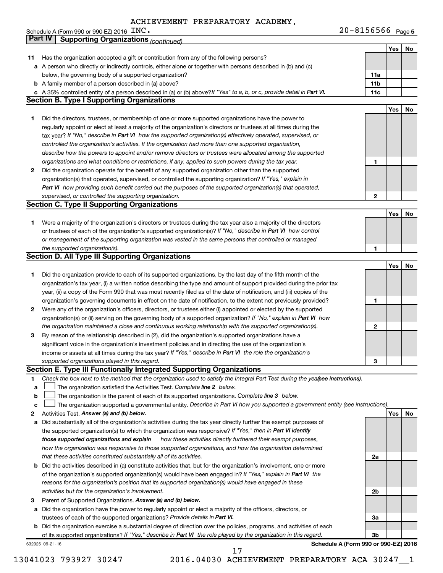|    | Schedule A (Form 990 or 990-EZ) 2016 $\,$ INC $\,$                                                                                                                                                                                      | 20-8156566 Page 5                    |     |    |
|----|-----------------------------------------------------------------------------------------------------------------------------------------------------------------------------------------------------------------------------------------|--------------------------------------|-----|----|
|    | <b>Part IV</b><br><b>Supporting Organizations (continued)</b>                                                                                                                                                                           |                                      |     |    |
|    |                                                                                                                                                                                                                                         |                                      | Yes | No |
| 11 | Has the organization accepted a gift or contribution from any of the following persons?                                                                                                                                                 |                                      |     |    |
|    | a A person who directly or indirectly controls, either alone or together with persons described in (b) and (c)                                                                                                                          |                                      |     |    |
|    | below, the governing body of a supported organization?                                                                                                                                                                                  | 11a                                  |     |    |
|    | <b>b</b> A family member of a person described in (a) above?                                                                                                                                                                            | 11 <sub>b</sub>                      |     |    |
|    | c A 35% controlled entity of a person described in (a) or (b) above? If "Yes" to a, b, or c, provide detail in Part VI.                                                                                                                 | 11c                                  |     |    |
|    | <b>Section B. Type I Supporting Organizations</b>                                                                                                                                                                                       |                                      |     |    |
|    |                                                                                                                                                                                                                                         |                                      | Yes | No |
| 1  | Did the directors, trustees, or membership of one or more supported organizations have the power to                                                                                                                                     |                                      |     |    |
|    | regularly appoint or elect at least a majority of the organization's directors or trustees at all times during the                                                                                                                      |                                      |     |    |
|    | tax year? If "No," describe in Part VI how the supported organization(s) effectively operated, supervised, or                                                                                                                           |                                      |     |    |
|    | controlled the organization's activities. If the organization had more than one supported organization,                                                                                                                                 |                                      |     |    |
|    | describe how the powers to appoint and/or remove directors or trustees were allocated among the supported                                                                                                                               |                                      |     |    |
|    | organizations and what conditions or restrictions, if any, applied to such powers during the tax year.                                                                                                                                  | 1                                    |     |    |
| 2  | Did the organization operate for the benefit of any supported organization other than the supported                                                                                                                                     |                                      |     |    |
|    | organization(s) that operated, supervised, or controlled the supporting organization? If "Yes," explain in                                                                                                                              |                                      |     |    |
|    | Part VI how providing such benefit carried out the purposes of the supported organization(s) that operated,                                                                                                                             |                                      |     |    |
|    | supervised, or controlled the supporting organization.                                                                                                                                                                                  | 2                                    |     |    |
|    | <b>Section C. Type II Supporting Organizations</b>                                                                                                                                                                                      |                                      |     |    |
|    |                                                                                                                                                                                                                                         |                                      | Yes | No |
| 1  | Were a majority of the organization's directors or trustees during the tax year also a majority of the directors                                                                                                                        |                                      |     |    |
|    | or trustees of each of the organization's supported organization(s)? If "No," describe in Part VI how control                                                                                                                           |                                      |     |    |
|    | or management of the supporting organization was vested in the same persons that controlled or managed                                                                                                                                  |                                      |     |    |
|    | the supported organization(s).                                                                                                                                                                                                          | 1                                    |     |    |
|    | <b>Section D. All Type III Supporting Organizations</b>                                                                                                                                                                                 |                                      |     |    |
|    |                                                                                                                                                                                                                                         |                                      | Yes | No |
| 1  |                                                                                                                                                                                                                                         |                                      |     |    |
|    | Did the organization provide to each of its supported organizations, by the last day of the fifth month of the<br>organization's tax year, (i) a written notice describing the type and amount of support provided during the prior tax |                                      |     |    |
|    | year, (ii) a copy of the Form 990 that was most recently filed as of the date of notification, and (iii) copies of the                                                                                                                  |                                      |     |    |
|    |                                                                                                                                                                                                                                         | 1                                    |     |    |
|    | organization's governing documents in effect on the date of notification, to the extent not previously provided?                                                                                                                        |                                      |     |    |
| 2  | Were any of the organization's officers, directors, or trustees either (i) appointed or elected by the supported                                                                                                                        |                                      |     |    |
|    | organization(s) or (ii) serving on the governing body of a supported organization? If "No," explain in Part VI how                                                                                                                      |                                      |     |    |
|    | the organization maintained a close and continuous working relationship with the supported organization(s).                                                                                                                             | 2                                    |     |    |
| З  | By reason of the relationship described in (2), did the organization's supported organizations have a                                                                                                                                   |                                      |     |    |
|    | significant voice in the organization's investment policies and in directing the use of the organization's                                                                                                                              |                                      |     |    |
|    | income or assets at all times during the tax year? If "Yes," describe in Part VI the role the organization's                                                                                                                            |                                      |     |    |
|    | supported organizations played in this regard.                                                                                                                                                                                          | З                                    |     |    |
|    | Section E. Type III Functionally Integrated Supporting Organizations                                                                                                                                                                    |                                      |     |    |
| 1  | Check the box next to the method that the organization used to satisfy the Integral Part Test during the yea(see instructions).                                                                                                         |                                      |     |    |
| a  | The organization satisfied the Activities Test. Complete line 2 below.                                                                                                                                                                  |                                      |     |    |
| b  | The organization is the parent of each of its supported organizations. Complete line 3 below.                                                                                                                                           |                                      |     |    |
| c  | The organization supported a governmental entity. Describe in Part VI how you supported a government entity (see instructions).                                                                                                         |                                      |     |    |
| 2  | Activities Test. Answer (a) and (b) below.                                                                                                                                                                                              |                                      | Yes | No |
| а  | Did substantially all of the organization's activities during the tax year directly further the exempt purposes of                                                                                                                      |                                      |     |    |
|    | the supported organization(s) to which the organization was responsive? If "Yes," then in Part VI identify                                                                                                                              |                                      |     |    |
|    | how these activities directly furthered their exempt purposes,<br>those supported organizations and explain                                                                                                                             |                                      |     |    |
|    | how the organization was responsive to those supported organizations, and how the organization determined                                                                                                                               |                                      |     |    |
|    | that these activities constituted substantially all of its activities.                                                                                                                                                                  | 2a                                   |     |    |
|    | <b>b</b> Did the activities described in (a) constitute activities that, but for the organization's involvement, one or more                                                                                                            |                                      |     |    |
|    | of the organization's supported organization(s) would have been engaged in? If "Yes," explain in Part VI the                                                                                                                            |                                      |     |    |
|    | reasons for the organization's position that its supported organization(s) would have engaged in these                                                                                                                                  |                                      |     |    |
|    | activities but for the organization's involvement.                                                                                                                                                                                      | 2b                                   |     |    |
| З  | Parent of Supported Organizations. Answer (a) and (b) below.                                                                                                                                                                            |                                      |     |    |
| а  | Did the organization have the power to regularly appoint or elect a majority of the officers, directors, or                                                                                                                             |                                      |     |    |
|    | trustees of each of the supported organizations? Provide details in Part VI.                                                                                                                                                            | За                                   |     |    |
|    | <b>b</b> Did the organization exercise a substantial degree of direction over the policies, programs, and activities of each                                                                                                            |                                      |     |    |
|    | of its supported organizations? If "Yes," describe in Part VI the role played by the organization in this regard.                                                                                                                       | Зb                                   |     |    |
|    | 632025 09-21-16                                                                                                                                                                                                                         | Schedule A (Form 990 or 990-EZ) 2016 |     |    |

**Schedule A (Form 990 or 990-EZ) 2016**

17

13041023 793927 30247 2016.04030 ACHIEVEMENT PREPARATORY ACA 30247\_\_1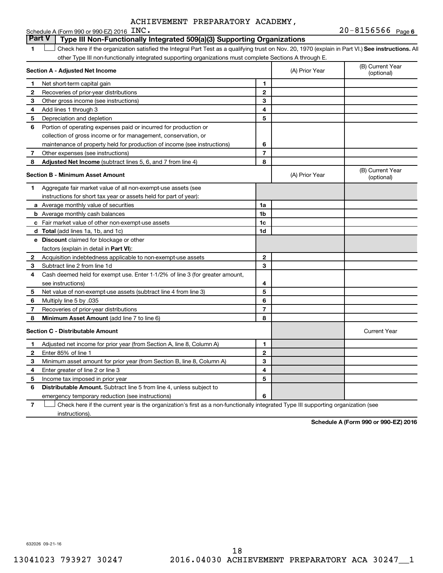#### **1 Letter or if the organization satisfied the Integral Part Test as a qualifying trust on Nov. 20, 1970 (explain in Part VI.) See instructions. All Section A - Adjusted Net Income 1 2 3 4 5 6 7 8 1 2 3 4 5 6 7 Adjusted Net Income** (subtract lines 5, 6, and 7 from line 4) **8 8 Section B - Minimum Asset Amount 1 2 3 4 5 6 7 8 a** Average monthly value of securities **b** Average monthly cash balances **c** Fair market value of other non-exempt-use assets **d Total**  (add lines 1a, 1b, and 1c) **e Discount** claimed for blockage or other **1a 1b 1c 1d 2 3 4 5 6 7 8** factors (explain in detail in Part VI): **Minimum Asset Amount**  (add line 7 to line 6) **Section C - Distributable Amount 1 2 3 4 5 6 1 2 3 4 5 6** Distributable Amount. Subtract line 5 from line 4, unless subject to Schedule A (Form 990 or 990-EZ) 2016  $\text{INC.}$ other Type III non-functionally integrated supporting organizations must complete Sections A through E. (B) Current Year (A) Prior Year Net short-term capital gain Recoveries of prior-year distributions Other gross income (see instructions) Add lines 1 through 3 Depreciation and depletion Portion of operating expenses paid or incurred for production or collection of gross income or for management, conservation, or maintenance of property held for production of income (see instructions) Other expenses (see instructions) (B) Current Year  $(A)$  Prior Year  $\left\{\n\begin{array}{ccc}\n\end{array}\n\right\}$  (optional) Aggregate fair market value of all non-exempt-use assets (see instructions for short tax year or assets held for part of year): Acquisition indebtedness applicable to non-exempt-use assets Subtract line 2 from line 1d Cash deemed held for exempt use. Enter 1-1/2% of line 3 (for greater amount, see instructions) Net value of non-exempt-use assets (subtract line 4 from line 3) Multiply line 5 by .035 Recoveries of prior-year distributions Current Year Adjusted net income for prior year (from Section A, line 8, Column A) Enter 85% of line 1 Minimum asset amount for prior year (from Section B, line 8, Column A) Enter greater of line 2 or line 3 Income tax imposed in prior year emergency temporary reduction (see instructions) **Part V Type III Non-Functionally Integrated 509(a)(3) Supporting Organizations**   $\Box$

**7** Check here if the current year is the organization's first as a non-functionally integrated Type III supporting organization (see † instructions).

**Schedule A (Form 990 or 990-EZ) 2016**

632026 09-21-16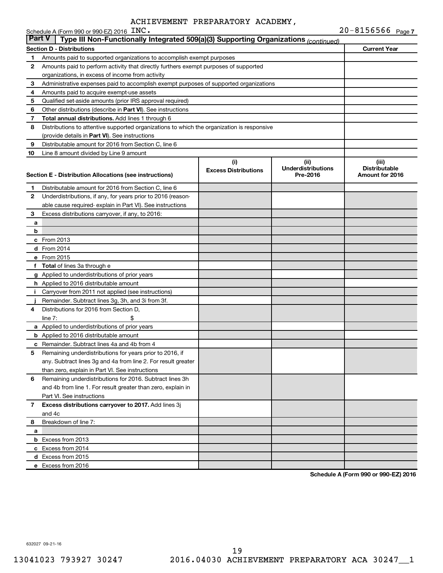|               | Schedule A (Form 990 or 990-EZ) 2016 $\text{INC}$ .                                        |                                    |                                                | 20-8156566 Page 7                                |
|---------------|--------------------------------------------------------------------------------------------|------------------------------------|------------------------------------------------|--------------------------------------------------|
| <b>Part V</b> | Type III Non-Functionally Integrated 509(a)(3) Supporting Organizations (continued)        |                                    |                                                |                                                  |
|               | <b>Section D - Distributions</b>                                                           |                                    |                                                | <b>Current Year</b>                              |
| 1             | Amounts paid to supported organizations to accomplish exempt purposes                      |                                    |                                                |                                                  |
| 2             | Amounts paid to perform activity that directly furthers exempt purposes of supported       |                                    |                                                |                                                  |
|               | organizations, in excess of income from activity                                           |                                    |                                                |                                                  |
| 3             | Administrative expenses paid to accomplish exempt purposes of supported organizations      |                                    |                                                |                                                  |
| 4             | Amounts paid to acquire exempt-use assets                                                  |                                    |                                                |                                                  |
| 5             | Qualified set-aside amounts (prior IRS approval required)                                  |                                    |                                                |                                                  |
| 6             | Other distributions (describe in Part VI). See instructions                                |                                    |                                                |                                                  |
| 7             | <b>Total annual distributions.</b> Add lines 1 through 6                                   |                                    |                                                |                                                  |
| 8             | Distributions to attentive supported organizations to which the organization is responsive |                                    |                                                |                                                  |
|               | (provide details in Part VI). See instructions                                             |                                    |                                                |                                                  |
| 9             | Distributable amount for 2016 from Section C, line 6                                       |                                    |                                                |                                                  |
| 10            | Line 8 amount divided by Line 9 amount                                                     |                                    |                                                |                                                  |
|               | Section E - Distribution Allocations (see instructions)                                    | (i)<br><b>Excess Distributions</b> | (iii)<br><b>Underdistributions</b><br>Pre-2016 | (iii)<br><b>Distributable</b><br>Amount for 2016 |
| 1             | Distributable amount for 2016 from Section C, line 6                                       |                                    |                                                |                                                  |
| 2             | Underdistributions, if any, for years prior to 2016 (reason-                               |                                    |                                                |                                                  |
|               | able cause required-explain in Part VI). See instructions                                  |                                    |                                                |                                                  |
| 3             | Excess distributions carryover, if any, to 2016:                                           |                                    |                                                |                                                  |
| a             |                                                                                            |                                    |                                                |                                                  |
| b             |                                                                                            |                                    |                                                |                                                  |
|               | $c$ From 2013                                                                              |                                    |                                                |                                                  |
|               | <b>d</b> From 2014                                                                         |                                    |                                                |                                                  |
|               | e From 2015                                                                                |                                    |                                                |                                                  |
|               | f Total of lines 3a through e                                                              |                                    |                                                |                                                  |
|               | g Applied to underdistributions of prior years                                             |                                    |                                                |                                                  |
|               | <b>h</b> Applied to 2016 distributable amount                                              |                                    |                                                |                                                  |
| i.            | Carryover from 2011 not applied (see instructions)                                         |                                    |                                                |                                                  |
|               | Remainder. Subtract lines 3g, 3h, and 3i from 3f.                                          |                                    |                                                |                                                  |
| 4             | Distributions for 2016 from Section D,                                                     |                                    |                                                |                                                  |
|               | \$<br>line $7:$                                                                            |                                    |                                                |                                                  |
|               | a Applied to underdistributions of prior years                                             |                                    |                                                |                                                  |
|               | <b>b</b> Applied to 2016 distributable amount                                              |                                    |                                                |                                                  |
|               | <b>c</b> Remainder. Subtract lines 4a and 4b from 4                                        |                                    |                                                |                                                  |
| 5             | Remaining underdistributions for years prior to 2016, if                                   |                                    |                                                |                                                  |
|               | any. Subtract lines 3g and 4a from line 2. For result greater                              |                                    |                                                |                                                  |
|               | than zero, explain in Part VI. See instructions                                            |                                    |                                                |                                                  |
| 6             | Remaining underdistributions for 2016. Subtract lines 3h                                   |                                    |                                                |                                                  |
|               | and 4b from line 1. For result greater than zero, explain in                               |                                    |                                                |                                                  |
|               | Part VI. See instructions                                                                  |                                    |                                                |                                                  |
| 7             | Excess distributions carryover to 2017. Add lines 3j                                       |                                    |                                                |                                                  |
|               | and 4c                                                                                     |                                    |                                                |                                                  |
| 8             | Breakdown of line 7:                                                                       |                                    |                                                |                                                  |
| a             |                                                                                            |                                    |                                                |                                                  |
|               | <b>b</b> Excess from 2013                                                                  |                                    |                                                |                                                  |
|               | c Excess from 2014                                                                         |                                    |                                                |                                                  |
|               | d Excess from 2015                                                                         |                                    |                                                |                                                  |
|               | e Excess from 2016                                                                         |                                    |                                                |                                                  |

**Schedule A (Form 990 or 990-EZ) 2016**

632027 09-21-16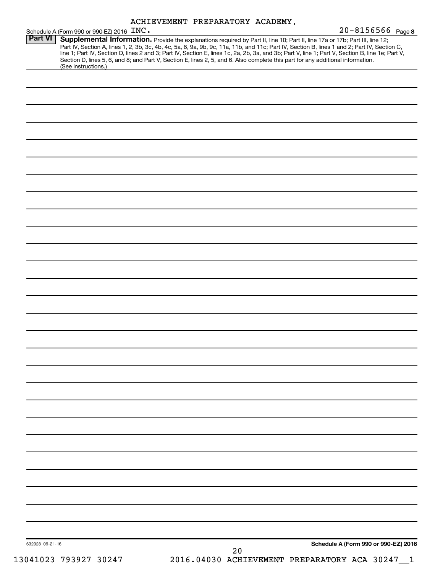|  | ACHIEVEMENT PREPARATORY ACADEMY, |  |
|--|----------------------------------|--|
|--|----------------------------------|--|

| Schedule A (Form 990 or 990-EZ) 2016 INC. |                                                                                                                                                                                                                                                                                                                                                                                                                                                                                                                                                                      | 20-8156566 Page 8                              |
|-------------------------------------------|----------------------------------------------------------------------------------------------------------------------------------------------------------------------------------------------------------------------------------------------------------------------------------------------------------------------------------------------------------------------------------------------------------------------------------------------------------------------------------------------------------------------------------------------------------------------|------------------------------------------------|
| <b>Part VI</b><br>(See instructions.)     | Supplemental Information. Provide the explanations required by Part II, line 10; Part II, line 17a or 17b; Part III, line 12;<br>Part IV, Section A, lines 1, 2, 3b, 3c, 4b, 4c, 5a, 6, 9a, 9b, 9c, 11a, 11b, and 11c; Part IV, Section B, lines 1 and 2; Part IV, Section C,<br>line 1; Part IV, Section D, lines 2 and 3; Part IV, Section E, lines 1c, 2a, 2b, 3a, and 3b; Part V, line 1; Part V, Section B, line 1e; Part V,<br>Section D, lines 5, 6, and 8; and Part V, Section E, lines 2, 5, and 6. Also complete this part for any additional information. |                                                |
|                                           |                                                                                                                                                                                                                                                                                                                                                                                                                                                                                                                                                                      |                                                |
|                                           |                                                                                                                                                                                                                                                                                                                                                                                                                                                                                                                                                                      |                                                |
|                                           |                                                                                                                                                                                                                                                                                                                                                                                                                                                                                                                                                                      |                                                |
|                                           |                                                                                                                                                                                                                                                                                                                                                                                                                                                                                                                                                                      |                                                |
|                                           |                                                                                                                                                                                                                                                                                                                                                                                                                                                                                                                                                                      |                                                |
|                                           |                                                                                                                                                                                                                                                                                                                                                                                                                                                                                                                                                                      |                                                |
|                                           |                                                                                                                                                                                                                                                                                                                                                                                                                                                                                                                                                                      |                                                |
|                                           |                                                                                                                                                                                                                                                                                                                                                                                                                                                                                                                                                                      |                                                |
|                                           |                                                                                                                                                                                                                                                                                                                                                                                                                                                                                                                                                                      |                                                |
|                                           |                                                                                                                                                                                                                                                                                                                                                                                                                                                                                                                                                                      |                                                |
|                                           |                                                                                                                                                                                                                                                                                                                                                                                                                                                                                                                                                                      |                                                |
|                                           |                                                                                                                                                                                                                                                                                                                                                                                                                                                                                                                                                                      |                                                |
|                                           |                                                                                                                                                                                                                                                                                                                                                                                                                                                                                                                                                                      |                                                |
|                                           |                                                                                                                                                                                                                                                                                                                                                                                                                                                                                                                                                                      |                                                |
|                                           |                                                                                                                                                                                                                                                                                                                                                                                                                                                                                                                                                                      |                                                |
|                                           |                                                                                                                                                                                                                                                                                                                                                                                                                                                                                                                                                                      |                                                |
|                                           |                                                                                                                                                                                                                                                                                                                                                                                                                                                                                                                                                                      |                                                |
|                                           |                                                                                                                                                                                                                                                                                                                                                                                                                                                                                                                                                                      |                                                |
|                                           |                                                                                                                                                                                                                                                                                                                                                                                                                                                                                                                                                                      |                                                |
|                                           |                                                                                                                                                                                                                                                                                                                                                                                                                                                                                                                                                                      |                                                |
|                                           |                                                                                                                                                                                                                                                                                                                                                                                                                                                                                                                                                                      |                                                |
|                                           |                                                                                                                                                                                                                                                                                                                                                                                                                                                                                                                                                                      |                                                |
|                                           |                                                                                                                                                                                                                                                                                                                                                                                                                                                                                                                                                                      |                                                |
|                                           |                                                                                                                                                                                                                                                                                                                                                                                                                                                                                                                                                                      |                                                |
|                                           |                                                                                                                                                                                                                                                                                                                                                                                                                                                                                                                                                                      |                                                |
|                                           |                                                                                                                                                                                                                                                                                                                                                                                                                                                                                                                                                                      |                                                |
|                                           |                                                                                                                                                                                                                                                                                                                                                                                                                                                                                                                                                                      |                                                |
|                                           |                                                                                                                                                                                                                                                                                                                                                                                                                                                                                                                                                                      |                                                |
|                                           |                                                                                                                                                                                                                                                                                                                                                                                                                                                                                                                                                                      |                                                |
|                                           |                                                                                                                                                                                                                                                                                                                                                                                                                                                                                                                                                                      |                                                |
|                                           |                                                                                                                                                                                                                                                                                                                                                                                                                                                                                                                                                                      |                                                |
|                                           |                                                                                                                                                                                                                                                                                                                                                                                                                                                                                                                                                                      |                                                |
|                                           |                                                                                                                                                                                                                                                                                                                                                                                                                                                                                                                                                                      |                                                |
|                                           |                                                                                                                                                                                                                                                                                                                                                                                                                                                                                                                                                                      |                                                |
|                                           |                                                                                                                                                                                                                                                                                                                                                                                                                                                                                                                                                                      |                                                |
| 632028 09-21-16                           | 20                                                                                                                                                                                                                                                                                                                                                                                                                                                                                                                                                                   | Schedule A (Form 990 or 990-EZ) 2016           |
| 13041023 793927 30247                     |                                                                                                                                                                                                                                                                                                                                                                                                                                                                                                                                                                      | 2016.04030 ACHIEVEMENT PREPARATORY ACA 30247_1 |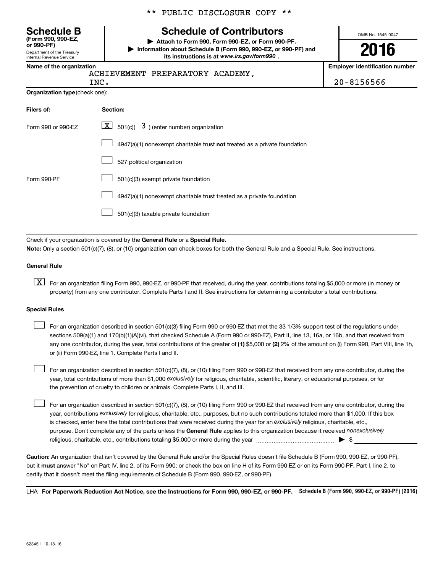\*\* PUBLIC DISCLOSURE COPY \*\*

## **Schedule B Schedule of Contributors**

**or 990-PF) | Attach to Form 990, Form 990-EZ, or Form 990-PF. | Information about Schedule B (Form 990, 990-EZ, or 990-PF) and** its instructions is at www.irs.gov/form990.

OMB No. 1545-0047

# **2016**

**Employer identification number** 

|  | Name of the organization |  |
|--|--------------------------|--|
|  |                          |  |

Department of the Treasury Internal Revenue Service

**(Form 990, 990-EZ,**

### ACHIEVEMENT PREPARATORY ACADEMY,

INC. 20-8156566

| TMC.                                  |
|---------------------------------------|
| <b>Organization type</b> (check one): |

| Filers of:         | Section:                                                                           |
|--------------------|------------------------------------------------------------------------------------|
| Form 990 or 990-EZ | $\underline{\mathbf{X}}$ 501(c)( 3) (enter number) organization                    |
|                    | $4947(a)(1)$ nonexempt charitable trust <b>not</b> treated as a private foundation |
|                    | 527 political organization                                                         |
| Form 990-PF        | 501(c)(3) exempt private foundation                                                |
|                    | 4947(a)(1) nonexempt charitable trust treated as a private foundation              |
|                    | 501(c)(3) taxable private foundation                                               |

Check if your organization is covered by the General Rule or a Special Rule.

**Note:**  Only a section 501(c)(7), (8), or (10) organization can check boxes for both the General Rule and a Special Rule. See instructions.

### **General Rule**

**K** For an organization filing Form 990, 990-EZ, or 990-PF that received, during the year, contributions totaling \$5,000 or more (in money or property) from any one contributor. Complete Parts I and II. See instructions for determining a contributor's total contributions.

### **Special Rules**

 $\Box$ 

any one contributor, during the year, total contributions of the greater of **(1)** \$5,000 or **(2)** 2% of the amount on (i) Form 990, Part VIII, line 1h, For an organization described in section 501(c)(3) filing Form 990 or 990-EZ that met the 33 1/3% support test of the regulations under sections 509(a)(1) and 170(b)(1)(A)(vi), that checked Schedule A (Form 990 or 990-EZ), Part II, line 13, 16a, or 16b, and that received from or (ii) Form 990-EZ, line 1. Complete Parts I and II.  $\Box$ 

year, total contributions of more than \$1,000 *exclusively* for religious, charitable, scientific, literary, or educational purposes, or for For an organization described in section 501(c)(7), (8), or (10) filing Form 990 or 990-EZ that received from any one contributor, during the the prevention of cruelty to children or animals. Complete Parts I, II, and III.  $\Box$ 

purpose. Don't complete any of the parts unless the General Rule applies to this organization because it received nonexclusively year, contributions exclusively for religious, charitable, etc., purposes, but no such contributions totaled more than \$1,000. If this box is checked, enter here the total contributions that were received during the year for an exclusively religious, charitable, etc., For an organization described in section 501(c)(7), (8), or (10) filing Form 990 or 990-EZ that received from any one contributor, during the religious, charitable, etc., contributions totaling \$5,000 or more during the year  $\ldots$  $\ldots$  $\ldots$  $\ldots$  $\ldots$  $\ldots$ 

**Caution:**  An organization that isn't covered by the General Rule and/or the Special Rules doesn't file Schedule B (Form 990, 990-EZ, or 990-PF),  **must** but it answer "No" on Part IV, line 2, of its Form 990; or check the box on line H of its Form 990-EZ or on its Form 990-PF, Part I, line 2, to certify that it doesn't meet the filing requirements of Schedule B (Form 990, 990-EZ, or 990-PF).

LHA For Paperwork Reduction Act Notice, see the Instructions for Form 990, 990-EZ, or 990-PF. Schedule B (Form 990, 990-EZ, or 990-PF) (2016)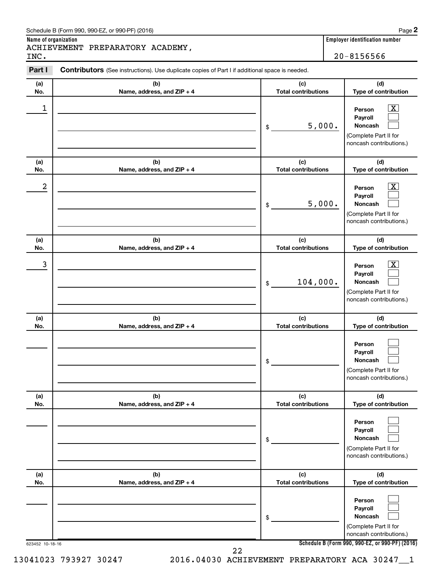| Schedule B (Form 990, 990-EZ, or 990-PF) (2016) | Page |
|-------------------------------------------------|------|
|                                                 |      |

| Name of organization |  |  |
|----------------------|--|--|
|----------------------|--|--|

**Employer identification number** 

 $20 - 8156566$ 

ACHIEVEMENT PREPARATORY ACADEMY, INC.

**Part I** Contributors (See instructions). Use duplicate copies of Part I if additional space is needed.

| (a)              | (b)                        | (c)                                                   | (d)                                                                                   |
|------------------|----------------------------|-------------------------------------------------------|---------------------------------------------------------------------------------------|
| No.              | Name, address, and ZIP + 4 | <b>Total contributions</b>                            | Type of contribution                                                                  |
| 1                |                            | 5,000.<br>\$                                          | x<br>Person<br>Payroll<br>Noncash<br>(Complete Part II for<br>noncash contributions.) |
| (a)              | (b)                        | (c)                                                   | (d)                                                                                   |
| No.              | Name, address, and ZIP + 4 | <b>Total contributions</b>                            | Type of contribution                                                                  |
| $\boldsymbol{2}$ |                            | 5,000.<br>\$                                          | x<br>Person<br>Payroll<br>Noncash<br>(Complete Part II for<br>noncash contributions.) |
| (a)              | (b)                        | (c)                                                   | (d)                                                                                   |
| No.              | Name, address, and ZIP + 4 | <b>Total contributions</b>                            | Type of contribution                                                                  |
| 3                |                            | 104,000.<br>\$                                        | х<br>Person<br>Payroll<br>Noncash<br>(Complete Part II for<br>noncash contributions.) |
| (a)              | (b)                        | (c)                                                   | (d)                                                                                   |
| No.              | Name, address, and ZIP + 4 | <b>Total contributions</b>                            | Type of contribution                                                                  |
|                  |                            | \$                                                    | Person<br>Payroll<br>Noncash<br>(Complete Part II for<br>noncash contributions.)      |
| (a)              | (b)                        | (c)                                                   | (d)                                                                                   |
| No.              | Name, address, and ZIP + 4 | <b>Total contributions</b>                            | Type of contribution                                                                  |
|                  |                            | \$                                                    | Person<br>Payroll<br>Noncash<br>(Complete Part II for<br>noncash contributions.)      |
| (a)              | (b)                        | (c)                                                   | (d)                                                                                   |
| No.              | Name, address, and ZIP + 4 | <b>Total contributions</b>                            | Type of contribution                                                                  |
|                  |                            | \$<br>Schedule B (Form 990, 990-EZ, or 990-PF) (2016) | Person<br>Payroll<br>Noncash<br>(Complete Part II for<br>noncash contributions.)      |

**2**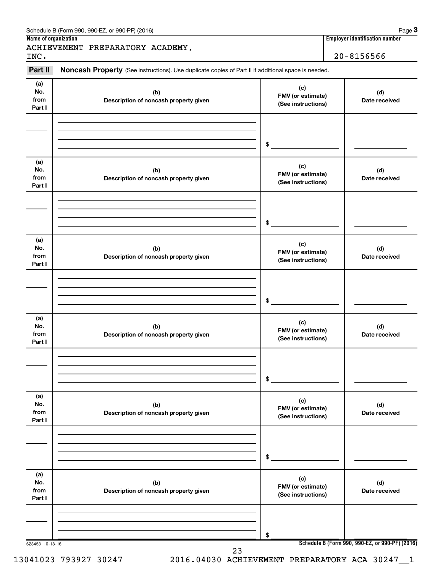| INC.<br>Part II              | Noncash Property (See instructions). Use duplicate copies of Part II if additional space is needed. |                                                | $20 - 8156566$       |
|------------------------------|-----------------------------------------------------------------------------------------------------|------------------------------------------------|----------------------|
|                              |                                                                                                     |                                                |                      |
| (a)<br>No.<br>from<br>Part I | (b)<br>Description of noncash property given                                                        | (c)<br>FMV (or estimate)<br>(See instructions) | (d)<br>Date received |
|                              |                                                                                                     | \$                                             |                      |
| (a)<br>No.<br>from<br>Part I | (b)<br>Description of noncash property given                                                        | (c)<br>FMV (or estimate)<br>(See instructions) | (d)<br>Date received |
|                              |                                                                                                     | \$                                             |                      |
| (a)<br>No.<br>from<br>Part I | (b)<br>Description of noncash property given                                                        | (c)<br>FMV (or estimate)<br>(See instructions) | (d)<br>Date received |
|                              |                                                                                                     | \$                                             |                      |
| (a)<br>No.<br>from<br>Part I | (b)<br>Description of noncash property given                                                        | (c)<br>FMV (or estimate)<br>(See instructions) | (d)<br>Date received |
|                              |                                                                                                     | \$                                             |                      |
| (a)<br>No.<br>from<br>Part I | (b)<br>Description of noncash property given                                                        | (c)<br>FMV (or estimate)<br>(See instructions) | (d)<br>Date received |
|                              |                                                                                                     | \$                                             |                      |
| (a)<br>No.<br>from<br>Part I | (b)<br>Description of noncash property given                                                        | (c)<br>FMV (or estimate)<br>(See instructions) | (d)<br>Date received |
|                              |                                                                                                     |                                                |                      |

13041023 793927 30247 2016.04030 ACHIEVEMENT PREPARATORY ACA 30247\_\_1

Schedule B (Form 990, 990-EZ, or 990-PF) (2016)

**3**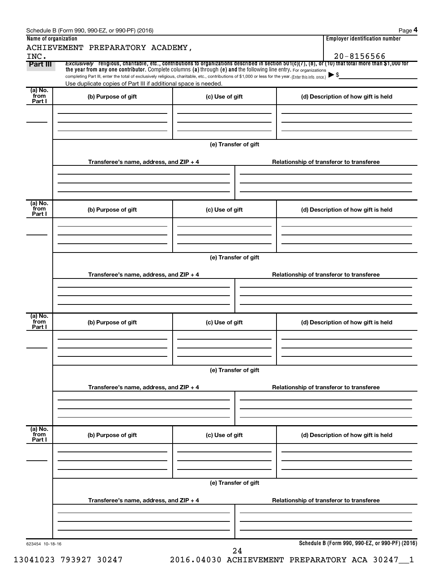|                  | ACHIEVEMENT PREPARATORY ACADEMY,                                                                                                                                                                                            |                      |  |                                                 |  |  |
|------------------|-----------------------------------------------------------------------------------------------------------------------------------------------------------------------------------------------------------------------------|----------------------|--|-------------------------------------------------|--|--|
| INC.             | Exclusively religious, charitable, etc., contributions to organizations described in section 501(c)(7), (8), or (10) that total more than \$1,000 for                                                                       |                      |  | $20 - 8156566$                                  |  |  |
| Part III         | the year from any one contributor. Complete columns (a) through (e) and the following line entry. For organizations                                                                                                         |                      |  |                                                 |  |  |
|                  | completing Part III, enter the total of exclusively religious, charitable, etc., contributions of \$1,000 or less for the year. (Enter this info. once.)<br>Use duplicate copies of Part III if additional space is needed. |                      |  | $\blacktriangleright$ \$                        |  |  |
| (a) No.          |                                                                                                                                                                                                                             |                      |  |                                                 |  |  |
| from<br>Part I   | (b) Purpose of gift                                                                                                                                                                                                         | (c) Use of gift      |  | (d) Description of how gift is held             |  |  |
|                  |                                                                                                                                                                                                                             |                      |  |                                                 |  |  |
|                  |                                                                                                                                                                                                                             |                      |  |                                                 |  |  |
|                  |                                                                                                                                                                                                                             |                      |  |                                                 |  |  |
|                  |                                                                                                                                                                                                                             | (e) Transfer of gift |  |                                                 |  |  |
|                  |                                                                                                                                                                                                                             |                      |  |                                                 |  |  |
|                  | Transferee's name, address, and ZIP + 4                                                                                                                                                                                     |                      |  | Relationship of transferor to transferee        |  |  |
|                  |                                                                                                                                                                                                                             |                      |  |                                                 |  |  |
|                  |                                                                                                                                                                                                                             |                      |  |                                                 |  |  |
| (a) No.          |                                                                                                                                                                                                                             |                      |  |                                                 |  |  |
| `from<br>Part I  | (b) Purpose of gift                                                                                                                                                                                                         | (c) Use of gift      |  | (d) Description of how gift is held             |  |  |
|                  |                                                                                                                                                                                                                             |                      |  |                                                 |  |  |
|                  |                                                                                                                                                                                                                             |                      |  |                                                 |  |  |
|                  |                                                                                                                                                                                                                             |                      |  |                                                 |  |  |
|                  |                                                                                                                                                                                                                             | (e) Transfer of gift |  |                                                 |  |  |
|                  | Transferee's name, address, and ZIP + 4                                                                                                                                                                                     |                      |  | Relationship of transferor to transferee        |  |  |
|                  |                                                                                                                                                                                                                             |                      |  |                                                 |  |  |
|                  |                                                                                                                                                                                                                             |                      |  |                                                 |  |  |
|                  |                                                                                                                                                                                                                             |                      |  |                                                 |  |  |
| (a) No.<br>`from |                                                                                                                                                                                                                             |                      |  |                                                 |  |  |
| Part I           | (b) Purpose of gift                                                                                                                                                                                                         | (c) Use of gift      |  | (d) Description of how gift is held             |  |  |
|                  |                                                                                                                                                                                                                             |                      |  |                                                 |  |  |
|                  |                                                                                                                                                                                                                             |                      |  |                                                 |  |  |
|                  |                                                                                                                                                                                                                             |                      |  |                                                 |  |  |
|                  | (e) Transfer of gift                                                                                                                                                                                                        |                      |  |                                                 |  |  |
|                  | Transferee's name, address, and ZIP + 4                                                                                                                                                                                     |                      |  | Relationship of transferor to transferee        |  |  |
|                  |                                                                                                                                                                                                                             |                      |  |                                                 |  |  |
|                  |                                                                                                                                                                                                                             |                      |  |                                                 |  |  |
|                  |                                                                                                                                                                                                                             |                      |  |                                                 |  |  |
| (a) No.<br>from  | (b) Purpose of gift                                                                                                                                                                                                         | (c) Use of gift      |  | (d) Description of how gift is held             |  |  |
| Part I           |                                                                                                                                                                                                                             |                      |  |                                                 |  |  |
|                  |                                                                                                                                                                                                                             |                      |  |                                                 |  |  |
|                  |                                                                                                                                                                                                                             |                      |  |                                                 |  |  |
|                  |                                                                                                                                                                                                                             | (e) Transfer of gift |  |                                                 |  |  |
|                  |                                                                                                                                                                                                                             |                      |  |                                                 |  |  |
|                  | Transferee's name, address, and ZIP + 4                                                                                                                                                                                     |                      |  | Relationship of transferor to transferee        |  |  |
|                  |                                                                                                                                                                                                                             |                      |  |                                                 |  |  |
|                  |                                                                                                                                                                                                                             |                      |  |                                                 |  |  |
|                  |                                                                                                                                                                                                                             |                      |  |                                                 |  |  |
| 623454 10-18-16  |                                                                                                                                                                                                                             |                      |  | Schedule B (Form 990, 990-EZ, or 990-PF) (2016) |  |  |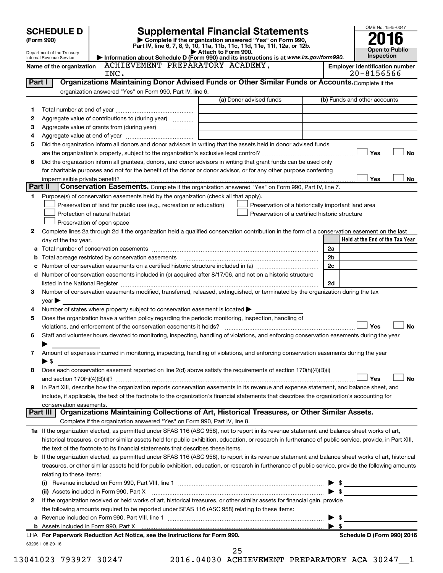|                                                                                                                               | <b>SCHEDULE D</b>                                                                                                                                       |                                                                                                                                                                                                                                                                                         | <b>Supplemental Financial Statements</b>                 |                          | OMB No. 1545-0047                                       |  |  |  |
|-------------------------------------------------------------------------------------------------------------------------------|---------------------------------------------------------------------------------------------------------------------------------------------------------|-----------------------------------------------------------------------------------------------------------------------------------------------------------------------------------------------------------------------------------------------------------------------------------------|----------------------------------------------------------|--------------------------|---------------------------------------------------------|--|--|--|
|                                                                                                                               | (Form 990)                                                                                                                                              |                                                                                                                                                                                                                                                                                         | Complete if the organization answered "Yes" on Form 990, |                          |                                                         |  |  |  |
| Part IV, line 6, 7, 8, 9, 10, 11a, 11b, 11c, 11d, 11e, 11f, 12a, or 12b.<br>Attach to Form 990.<br>Department of the Treasury |                                                                                                                                                         |                                                                                                                                                                                                                                                                                         |                                                          |                          |                                                         |  |  |  |
|                                                                                                                               | Information about Schedule D (Form 990) and its instructions is at www.irs.gov/form990.<br>Internal Revenue Service<br>ACHIEVEMENT PREPARATORY ACADEMY, |                                                                                                                                                                                                                                                                                         |                                                          |                          |                                                         |  |  |  |
|                                                                                                                               | Name of the organization                                                                                                                                | INC.                                                                                                                                                                                                                                                                                    |                                                          |                          | <b>Employer identification number</b><br>$20 - 8156566$ |  |  |  |
| Part I                                                                                                                        |                                                                                                                                                         | Organizations Maintaining Donor Advised Funds or Other Similar Funds or Accounts. Complete if the                                                                                                                                                                                       |                                                          |                          |                                                         |  |  |  |
|                                                                                                                               |                                                                                                                                                         | organization answered "Yes" on Form 990, Part IV, line 6.                                                                                                                                                                                                                               |                                                          |                          |                                                         |  |  |  |
|                                                                                                                               |                                                                                                                                                         |                                                                                                                                                                                                                                                                                         | (a) Donor advised funds                                  |                          | (b) Funds and other accounts                            |  |  |  |
| 1<br>2                                                                                                                        |                                                                                                                                                         | Aggregate value of contributions to (during year)                                                                                                                                                                                                                                       |                                                          |                          |                                                         |  |  |  |
| з                                                                                                                             |                                                                                                                                                         | Aggregate value of grants from (during year)                                                                                                                                                                                                                                            |                                                          |                          |                                                         |  |  |  |
| 4                                                                                                                             |                                                                                                                                                         |                                                                                                                                                                                                                                                                                         |                                                          |                          |                                                         |  |  |  |
| 5                                                                                                                             |                                                                                                                                                         | Did the organization inform all donors and donor advisors in writing that the assets held in donor advised funds                                                                                                                                                                        |                                                          |                          |                                                         |  |  |  |
|                                                                                                                               |                                                                                                                                                         |                                                                                                                                                                                                                                                                                         |                                                          |                          | Yes<br><b>No</b>                                        |  |  |  |
| 6                                                                                                                             |                                                                                                                                                         | Did the organization inform all grantees, donors, and donor advisors in writing that grant funds can be used only                                                                                                                                                                       |                                                          |                          |                                                         |  |  |  |
|                                                                                                                               |                                                                                                                                                         | for charitable purposes and not for the benefit of the donor or donor advisor, or for any other purpose conferring                                                                                                                                                                      |                                                          |                          |                                                         |  |  |  |
|                                                                                                                               | impermissible private benefit?                                                                                                                          |                                                                                                                                                                                                                                                                                         |                                                          |                          | Yes<br>No                                               |  |  |  |
|                                                                                                                               | Part II                                                                                                                                                 | Conservation Easements. Complete if the organization answered "Yes" on Form 990, Part IV, line 7.                                                                                                                                                                                       |                                                          |                          |                                                         |  |  |  |
| 1.                                                                                                                            |                                                                                                                                                         | Purpose(s) of conservation easements held by the organization (check all that apply).<br>Preservation of land for public use (e.g., recreation or education)                                                                                                                            | Preservation of a historically important land area       |                          |                                                         |  |  |  |
|                                                                                                                               |                                                                                                                                                         | Protection of natural habitat                                                                                                                                                                                                                                                           | Preservation of a certified historic structure           |                          |                                                         |  |  |  |
|                                                                                                                               |                                                                                                                                                         | Preservation of open space                                                                                                                                                                                                                                                              |                                                          |                          |                                                         |  |  |  |
| 2                                                                                                                             |                                                                                                                                                         | Complete lines 2a through 2d if the organization held a qualified conservation contribution in the form of a conservation easement on the last                                                                                                                                          |                                                          |                          |                                                         |  |  |  |
|                                                                                                                               | day of the tax year.                                                                                                                                    |                                                                                                                                                                                                                                                                                         |                                                          |                          | Held at the End of the Tax Year                         |  |  |  |
| а                                                                                                                             |                                                                                                                                                         |                                                                                                                                                                                                                                                                                         |                                                          | 2a                       |                                                         |  |  |  |
| b                                                                                                                             |                                                                                                                                                         |                                                                                                                                                                                                                                                                                         |                                                          | 2 <sub>b</sub>           |                                                         |  |  |  |
|                                                                                                                               |                                                                                                                                                         | c Number of conservation easements on a certified historic structure included in (a) manufacture included in (a)                                                                                                                                                                        |                                                          | 2c                       |                                                         |  |  |  |
|                                                                                                                               |                                                                                                                                                         | d Number of conservation easements included in (c) acquired after 8/17/06, and not on a historic structure                                                                                                                                                                              |                                                          |                          |                                                         |  |  |  |
|                                                                                                                               |                                                                                                                                                         | listed in the National Register [111] Marshall Register [11] Marshall Register [11] Marshall Register [11] Marshall Register [11] Marshall Register [11] Marshall Register [11] Marshall Register [11] Marshall Register [11]                                                           |                                                          | 2d                       |                                                         |  |  |  |
| 3                                                                                                                             |                                                                                                                                                         | Number of conservation easements modified, transferred, released, extinguished, or terminated by the organization during the tax                                                                                                                                                        |                                                          |                          |                                                         |  |  |  |
| 4                                                                                                                             | $year \blacktriangleright$                                                                                                                              | Number of states where property subject to conservation easement is located $\blacktriangleright$                                                                                                                                                                                       |                                                          |                          |                                                         |  |  |  |
| 5                                                                                                                             |                                                                                                                                                         | Does the organization have a written policy regarding the periodic monitoring, inspection, handling of                                                                                                                                                                                  |                                                          |                          |                                                         |  |  |  |
|                                                                                                                               |                                                                                                                                                         | violations, and enforcement of the conservation easements it holds?                                                                                                                                                                                                                     |                                                          |                          | Yes<br><b>No</b>                                        |  |  |  |
| 6                                                                                                                             |                                                                                                                                                         | Staff and volunteer hours devoted to monitoring, inspecting, handling of violations, and enforcing conservation easements during the year                                                                                                                                               |                                                          |                          |                                                         |  |  |  |
|                                                                                                                               |                                                                                                                                                         |                                                                                                                                                                                                                                                                                         |                                                          |                          |                                                         |  |  |  |
| 7                                                                                                                             |                                                                                                                                                         | Amount of expenses incurred in monitoring, inspecting, handling of violations, and enforcing conservation easements during the year                                                                                                                                                     |                                                          |                          |                                                         |  |  |  |
|                                                                                                                               | $\blacktriangleright$ \$                                                                                                                                |                                                                                                                                                                                                                                                                                         |                                                          |                          |                                                         |  |  |  |
| 8                                                                                                                             |                                                                                                                                                         | Does each conservation easement reported on line $2(d)$ above satisfy the requirements of section 170(h)(4)(B)(i)                                                                                                                                                                       |                                                          |                          |                                                         |  |  |  |
|                                                                                                                               |                                                                                                                                                         |                                                                                                                                                                                                                                                                                         |                                                          |                          | Yes<br><b>No</b>                                        |  |  |  |
| 9                                                                                                                             |                                                                                                                                                         | In Part XIII, describe how the organization reports conservation easements in its revenue and expense statement, and balance sheet, and<br>include, if applicable, the text of the footnote to the organization's financial statements that describes the organization's accounting for |                                                          |                          |                                                         |  |  |  |
|                                                                                                                               | conservation easements.                                                                                                                                 |                                                                                                                                                                                                                                                                                         |                                                          |                          |                                                         |  |  |  |
|                                                                                                                               |                                                                                                                                                         | Part III   Organizations Maintaining Collections of Art, Historical Treasures, or Other Similar Assets.                                                                                                                                                                                 |                                                          |                          |                                                         |  |  |  |
|                                                                                                                               |                                                                                                                                                         | Complete if the organization answered "Yes" on Form 990, Part IV, line 8.                                                                                                                                                                                                               |                                                          |                          |                                                         |  |  |  |
|                                                                                                                               |                                                                                                                                                         | 1a If the organization elected, as permitted under SFAS 116 (ASC 958), not to report in its revenue statement and balance sheet works of art,                                                                                                                                           |                                                          |                          |                                                         |  |  |  |
|                                                                                                                               |                                                                                                                                                         | historical treasures, or other similar assets held for public exhibition, education, or research in furtherance of public service, provide, in Part XIII,                                                                                                                               |                                                          |                          |                                                         |  |  |  |
|                                                                                                                               |                                                                                                                                                         | the text of the footnote to its financial statements that describes these items.                                                                                                                                                                                                        |                                                          |                          |                                                         |  |  |  |
|                                                                                                                               |                                                                                                                                                         | <b>b</b> If the organization elected, as permitted under SFAS 116 (ASC 958), to report in its revenue statement and balance sheet works of art, historical                                                                                                                              |                                                          |                          |                                                         |  |  |  |
|                                                                                                                               |                                                                                                                                                         | treasures, or other similar assets held for public exhibition, education, or research in furtherance of public service, provide the following amounts                                                                                                                                   |                                                          |                          |                                                         |  |  |  |
|                                                                                                                               | relating to these items:                                                                                                                                |                                                                                                                                                                                                                                                                                         |                                                          |                          |                                                         |  |  |  |
|                                                                                                                               |                                                                                                                                                         |                                                                                                                                                                                                                                                                                         |                                                          | $\blacktriangleright$ \$ | $\triangleright$ \$                                     |  |  |  |
| 2                                                                                                                             |                                                                                                                                                         | If the organization received or held works of art, historical treasures, or other similar assets for financial gain, provide                                                                                                                                                            |                                                          |                          |                                                         |  |  |  |
|                                                                                                                               |                                                                                                                                                         | the following amounts required to be reported under SFAS 116 (ASC 958) relating to these items:                                                                                                                                                                                         |                                                          |                          |                                                         |  |  |  |
|                                                                                                                               |                                                                                                                                                         |                                                                                                                                                                                                                                                                                         |                                                          | $\blacktriangleright$ \$ |                                                         |  |  |  |
|                                                                                                                               |                                                                                                                                                         |                                                                                                                                                                                                                                                                                         |                                                          | $\blacktriangleright$ s  |                                                         |  |  |  |
|                                                                                                                               |                                                                                                                                                         | LHA For Paperwork Reduction Act Notice, see the Instructions for Form 990.                                                                                                                                                                                                              |                                                          |                          | Schedule D (Form 990) 2016                              |  |  |  |
|                                                                                                                               | 632051 08-29-16                                                                                                                                         |                                                                                                                                                                                                                                                                                         |                                                          |                          |                                                         |  |  |  |
|                                                                                                                               |                                                                                                                                                         |                                                                                                                                                                                                                                                                                         | 25                                                       |                          |                                                         |  |  |  |

13041023 793927 30247 2016.04030 ACHIEVEMENT PREPARATORY ACA 30247\_\_1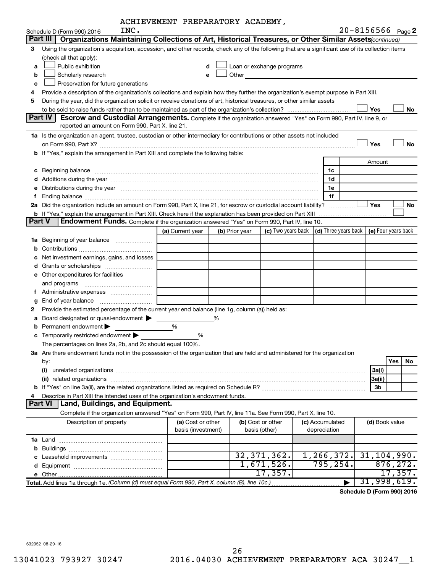|               | INC.                                                                                                                                                                                                                                 | ACHIEVEMENI PREPARAIORI ACADEMI, |   |                |                           |                                      |        | $20 - 8156566$ Page 2 |
|---------------|--------------------------------------------------------------------------------------------------------------------------------------------------------------------------------------------------------------------------------------|----------------------------------|---|----------------|---------------------------|--------------------------------------|--------|-----------------------|
|               | Schedule D (Form 990) 2016<br>Part III                                                                                                                                                                                               |                                  |   |                |                           |                                      |        |                       |
|               | Organizations Maintaining Collections of Art, Historical Treasures, or Other Similar Assets (continued)                                                                                                                              |                                  |   |                |                           |                                      |        |                       |
| 3             | Using the organization's acquisition, accession, and other records, check any of the following that are a significant use of its collection items                                                                                    |                                  |   |                |                           |                                      |        |                       |
|               | (check all that apply):                                                                                                                                                                                                              |                                  |   |                |                           |                                      |        |                       |
| a             | Public exhibition                                                                                                                                                                                                                    | d                                |   |                | Loan or exchange programs |                                      |        |                       |
| b             | Scholarly research                                                                                                                                                                                                                   | е                                |   | Other          |                           |                                      |        |                       |
| c             | Preservation for future generations                                                                                                                                                                                                  |                                  |   |                |                           |                                      |        |                       |
| 4             | Provide a description of the organization's collections and explain how they further the organization's exempt purpose in Part XIII.                                                                                                 |                                  |   |                |                           |                                      |        |                       |
| 5             | During the year, did the organization solicit or receive donations of art, historical treasures, or other similar assets                                                                                                             |                                  |   |                |                           |                                      |        |                       |
|               |                                                                                                                                                                                                                                      |                                  |   |                |                           |                                      | Yes    | No                    |
|               | <b>Part IV</b><br>Escrow and Custodial Arrangements. Complete if the organization answered "Yes" on Form 990, Part IV, line 9, or                                                                                                    |                                  |   |                |                           |                                      |        |                       |
|               | reported an amount on Form 990, Part X, line 21.                                                                                                                                                                                     |                                  |   |                |                           |                                      |        |                       |
|               | 1a Is the organization an agent, trustee, custodian or other intermediary for contributions or other assets not included                                                                                                             |                                  |   |                |                           |                                      |        |                       |
|               |                                                                                                                                                                                                                                      |                                  |   |                |                           |                                      | Yes    | <b>No</b>             |
|               | b If "Yes," explain the arrangement in Part XIII and complete the following table:                                                                                                                                                   |                                  |   |                |                           |                                      |        |                       |
|               |                                                                                                                                                                                                                                      |                                  |   |                |                           |                                      | Amount |                       |
|               | Beginning balance <b>contract to the contract of the contract of the contract of the contract of the contract of the contract of the contract of the contract of the contract of the contract of the contract of the contract of</b> |                                  |   |                |                           | 1c                                   |        |                       |
|               |                                                                                                                                                                                                                                      |                                  |   |                |                           | 1d                                   |        |                       |
|               | Distributions during the year measurement contains and all the year measurement of the state of the state of the state of the state of the state of the state of the state of the state of the state of the state of the state       |                                  |   |                |                           | 1e                                   |        |                       |
|               |                                                                                                                                                                                                                                      |                                  |   |                |                           | 1f                                   |        |                       |
|               | 2a Did the organization include an amount on Form 990, Part X, line 21, for escrow or custodial account liability?                                                                                                                   |                                  |   |                |                           |                                      | Yes    | No                    |
|               |                                                                                                                                                                                                                                      |                                  |   |                |                           |                                      |        |                       |
| <b>Part V</b> | Endowment Funds. Complete if the organization answered "Yes" on Form 990, Part IV, line 10.                                                                                                                                          |                                  |   |                |                           |                                      |        |                       |
|               |                                                                                                                                                                                                                                      | (a) Current year                 |   | (b) Prior year | (c) Two years back        | $\vert$ (d) Three years back $\vert$ |        | (e) Four years back   |
| 1a            | Beginning of year balance                                                                                                                                                                                                            |                                  |   |                |                           |                                      |        |                       |
| b             |                                                                                                                                                                                                                                      |                                  |   |                |                           |                                      |        |                       |
|               | Net investment earnings, gains, and losses                                                                                                                                                                                           |                                  |   |                |                           |                                      |        |                       |
| d             |                                                                                                                                                                                                                                      |                                  |   |                |                           |                                      |        |                       |
|               | <b>e</b> Other expenditures for facilities                                                                                                                                                                                           |                                  |   |                |                           |                                      |        |                       |
|               | and programs                                                                                                                                                                                                                         |                                  |   |                |                           |                                      |        |                       |
| Ť.            |                                                                                                                                                                                                                                      |                                  |   |                |                           |                                      |        |                       |
| g             |                                                                                                                                                                                                                                      |                                  |   |                |                           |                                      |        |                       |
| 2             | Provide the estimated percentage of the current year end balance (line 1g, column (a)) held as:                                                                                                                                      |                                  |   |                |                           |                                      |        |                       |
|               | Board designated or quasi-endowment                                                                                                                                                                                                  |                                  | % |                |                           |                                      |        |                       |
| b             | Permanent endowment                                                                                                                                                                                                                  | %                                |   |                |                           |                                      |        |                       |
|               | c Temporarily restricted endowment                                                                                                                                                                                                   | %                                |   |                |                           |                                      |        |                       |
|               | The percentages on lines 2a, 2b, and 2c should equal 100%.                                                                                                                                                                           |                                  |   |                |                           |                                      |        |                       |
|               |                                                                                                                                                                                                                                      |                                  |   |                |                           |                                      |        |                       |
|               | 3a Are there endowment funds not in the possession of the organization that are held and administered for the organization                                                                                                           |                                  |   |                |                           |                                      |        | Yes                   |
|               | by:                                                                                                                                                                                                                                  |                                  |   |                |                           |                                      |        | No                    |
|               | (i)                                                                                                                                                                                                                                  |                                  |   |                |                           |                                      | 3a(i)  |                       |
|               | (ii) related organizations                                                                                                                                                                                                           |                                  |   |                |                           |                                      | 3a(ii) |                       |
| b             |                                                                                                                                                                                                                                      |                                  |   |                |                           |                                      | 3b     |                       |
|               | Describe in Part XIII the intended uses of the organization's endowment funds.                                                                                                                                                       |                                  |   |                |                           |                                      |        |                       |
|               | Land, Buildings, and Equipment.<br>Part VI                                                                                                                                                                                           |                                  |   |                |                           |                                      |        |                       |
|               | Complete if the organization answered "Yes" on Form 990, Part IV, line 11a. See Form 990, Part X, line 10.                                                                                                                           |                                  |   |                |                           |                                      |        |                       |
|               | Description of property                                                                                                                                                                                                              | (a) Cost or other                |   |                | (b) Cost or other         | (c) Accumulated                      |        | (d) Book value        |
|               |                                                                                                                                                                                                                                      | basis (investment)               |   |                | basis (other)             | depreciation                         |        |                       |
|               |                                                                                                                                                                                                                                      |                                  |   |                |                           |                                      |        |                       |
| b             |                                                                                                                                                                                                                                      |                                  |   |                |                           |                                      |        |                       |
|               | Leasehold improvements                                                                                                                                                                                                               |                                  |   |                | 32, 371, 362.             | 1, 266, 372.                         |        | 31, 104, 990.         |
|               |                                                                                                                                                                                                                                      |                                  |   |                | 1,671,526.                | 795, 254.                            |        | 876, 272.             |
|               |                                                                                                                                                                                                                                      |                                  |   |                | 17,357.                   |                                      |        | 17,357.               |
|               | Total. Add lines 1a through 1e. (Column (d) must equal Form 990, Part X, column (B), line 10c.)                                                                                                                                      |                                  |   |                |                           |                                      |        | 31,998,619.           |

**Schedule D (Form 990) 2016**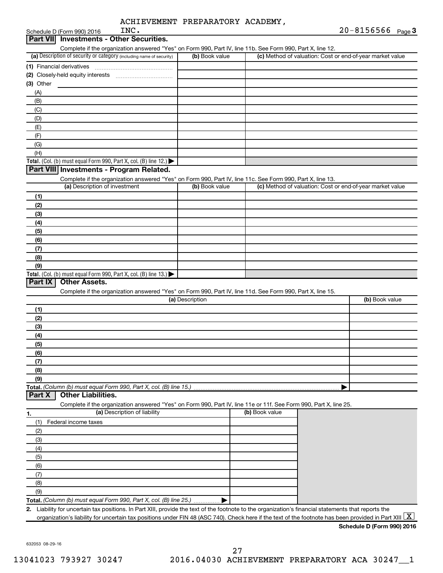|                  | INC.<br>Schedule D (Form 990) 2016                                                                                                                                    |                 |                |                                                           | $20 - 8156566$ Page 3      |
|------------------|-----------------------------------------------------------------------------------------------------------------------------------------------------------------------|-----------------|----------------|-----------------------------------------------------------|----------------------------|
| <b>Part VIII</b> | <b>Investments - Other Securities.</b>                                                                                                                                |                 |                |                                                           |                            |
|                  | Complete if the organization answered "Yes" on Form 990, Part IV, line 11b. See Form 990, Part X, line 12.                                                            |                 |                |                                                           |                            |
|                  | (a) Description of security or category (including name of security)                                                                                                  | (b) Book value  |                | (c) Method of valuation: Cost or end-of-year market value |                            |
|                  |                                                                                                                                                                       |                 |                |                                                           |                            |
|                  |                                                                                                                                                                       |                 |                |                                                           |                            |
| (3) Other        |                                                                                                                                                                       |                 |                |                                                           |                            |
| (A)              |                                                                                                                                                                       |                 |                |                                                           |                            |
| (B)              |                                                                                                                                                                       |                 |                |                                                           |                            |
| (C)              |                                                                                                                                                                       |                 |                |                                                           |                            |
| (D)              |                                                                                                                                                                       |                 |                |                                                           |                            |
| (E)              |                                                                                                                                                                       |                 |                |                                                           |                            |
| (F)<br>(G)       |                                                                                                                                                                       |                 |                |                                                           |                            |
| (H)              |                                                                                                                                                                       |                 |                |                                                           |                            |
|                  | Total. (Col. (b) must equal Form 990, Part X, col. (B) line 12.) $\blacktriangleright$                                                                                |                 |                |                                                           |                            |
|                  | Part VIII Investments - Program Related.                                                                                                                              |                 |                |                                                           |                            |
|                  | Complete if the organization answered "Yes" on Form 990, Part IV, line 11c. See Form 990, Part X, line 13.                                                            |                 |                |                                                           |                            |
|                  | (a) Description of investment                                                                                                                                         | (b) Book value  |                | (c) Method of valuation: Cost or end-of-year market value |                            |
| (1)              |                                                                                                                                                                       |                 |                |                                                           |                            |
| (2)              |                                                                                                                                                                       |                 |                |                                                           |                            |
| (3)              |                                                                                                                                                                       |                 |                |                                                           |                            |
| (4)              |                                                                                                                                                                       |                 |                |                                                           |                            |
| (5)              |                                                                                                                                                                       |                 |                |                                                           |                            |
| (6)              |                                                                                                                                                                       |                 |                |                                                           |                            |
| (7)              |                                                                                                                                                                       |                 |                |                                                           |                            |
| (8)              |                                                                                                                                                                       |                 |                |                                                           |                            |
| (9)              |                                                                                                                                                                       |                 |                |                                                           |                            |
|                  | Total. (Col. (b) must equal Form 990, Part X, col. (B) line 13.) $\blacktriangleright$                                                                                |                 |                |                                                           |                            |
| Part IX          | <b>Other Assets.</b>                                                                                                                                                  |                 |                |                                                           |                            |
|                  | Complete if the organization answered "Yes" on Form 990, Part IV, line 11d. See Form 990, Part X, line 15.                                                            |                 |                |                                                           |                            |
|                  |                                                                                                                                                                       | (a) Description |                |                                                           | (b) Book value             |
| (1)              |                                                                                                                                                                       |                 |                |                                                           |                            |
| (2)              |                                                                                                                                                                       |                 |                |                                                           |                            |
| (3)              |                                                                                                                                                                       |                 |                |                                                           |                            |
| (4)              |                                                                                                                                                                       |                 |                |                                                           |                            |
| (5)              |                                                                                                                                                                       |                 |                |                                                           |                            |
| (6)              |                                                                                                                                                                       |                 |                |                                                           |                            |
| (7)              |                                                                                                                                                                       |                 |                |                                                           |                            |
| (8)              |                                                                                                                                                                       |                 |                |                                                           |                            |
| (9)              |                                                                                                                                                                       |                 |                |                                                           |                            |
|                  | Total. (Column (b) must equal Form 990, Part X, col. (B) line 15.)                                                                                                    |                 |                |                                                           |                            |
| Part X           | <b>Other Liabilities.</b>                                                                                                                                             |                 |                |                                                           |                            |
|                  | Complete if the organization answered "Yes" on Form 990, Part IV, line 11e or 11f. See Form 990, Part X, line 25.                                                     |                 | (b) Book value |                                                           |                            |
| 1.               | (a) Description of liability                                                                                                                                          |                 |                |                                                           |                            |
| (1)              | Federal income taxes                                                                                                                                                  |                 |                |                                                           |                            |
| (2)              |                                                                                                                                                                       |                 |                |                                                           |                            |
| (3)              |                                                                                                                                                                       |                 |                |                                                           |                            |
| (4)              |                                                                                                                                                                       |                 |                |                                                           |                            |
| (5)              |                                                                                                                                                                       |                 |                |                                                           |                            |
| (6)              |                                                                                                                                                                       |                 |                |                                                           |                            |
| (7)              |                                                                                                                                                                       |                 |                |                                                           |                            |
| (8)              |                                                                                                                                                                       |                 |                |                                                           |                            |
| (9)              |                                                                                                                                                                       |                 |                |                                                           |                            |
|                  | Total. (Column (b) must equal Form 990, Part X, col. (B) line 25.)                                                                                                    |                 |                |                                                           |                            |
| 2.               | Liability for uncertain tax positions. In Part XIII, provide the text of the footnote to the organization's financial statements that reports the                     |                 |                |                                                           |                            |
|                  | organization's liability for uncertain tax positions under FIN 48 (ASC 740). Check here if the text of the footnote has been provided in Part XIII $\boxed{\text{X}}$ |                 |                |                                                           |                            |
|                  |                                                                                                                                                                       |                 |                |                                                           | Schedule D (Form 990) 2016 |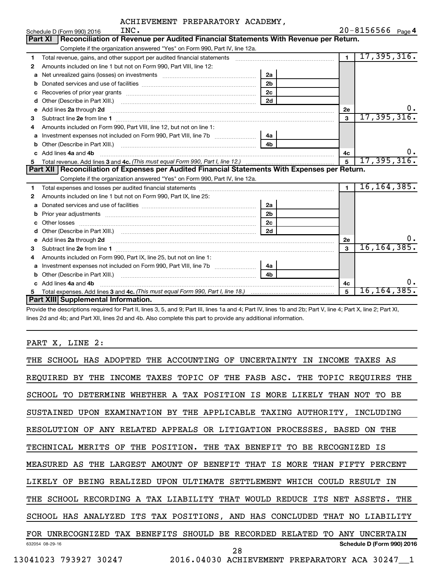|   | INC.<br>Schedule D (Form 990) 2016                                                                                                                                                                                                 |                |                | $20 - 8156566$ Page 4 |
|---|------------------------------------------------------------------------------------------------------------------------------------------------------------------------------------------------------------------------------------|----------------|----------------|-----------------------|
|   | Reconciliation of Revenue per Audited Financial Statements With Revenue per Return.<br>Part XI                                                                                                                                     |                |                |                       |
|   | Complete if the organization answered "Yes" on Form 990, Part IV, line 12a.                                                                                                                                                        |                |                |                       |
| 1 | Total revenue, gains, and other support per audited financial statements                                                                                                                                                           |                | $\overline{1}$ | 17, 395, 316.         |
| 2 | Amounts included on line 1 but not on Form 990, Part VIII, line 12:                                                                                                                                                                |                |                |                       |
| a | Net unrealized gains (losses) on investments [111] Net unrealized mains (losses) on investments [11] Metaman mains and the unrealized mains and the unrealized mains (losses) on investments [11] Metaman mains and the unreal     | 2a             |                |                       |
|   |                                                                                                                                                                                                                                    | 2 <sub>b</sub> |                |                       |
| с | Recoveries of prior year grants [111] Recoveries of prior year grants [11] Recoveries of prior year grants                                                                                                                         | 2c             |                |                       |
| d |                                                                                                                                                                                                                                    | 2d             |                |                       |
| е | Add lines 2a through 2d                                                                                                                                                                                                            |                | 2е             | 0.                    |
| 3 |                                                                                                                                                                                                                                    |                | 3              | 17, 395, 316.         |
| 4 | Amounts included on Form 990, Part VIII, line 12, but not on line 1:                                                                                                                                                               |                |                |                       |
| a | Investment expenses not included on Form 990, Part VIII, line 7b [11, 11, 11, 11, 11, 11]                                                                                                                                          | ∣ 4a l         |                |                       |
| b |                                                                                                                                                                                                                                    | 4 <sub>h</sub> |                |                       |
|   | Add lines 4a and 4b                                                                                                                                                                                                                | 4с             | υ.             |                       |
| 5 |                                                                                                                                                                                                                                    | 5              | 17, 395, 316.  |                       |
|   | Part XII   Reconciliation of Expenses per Audited Financial Statements With Expenses per Return.                                                                                                                                   |                |                |                       |
|   | Complete if the organization answered "Yes" on Form 990, Part IV, line 12a.                                                                                                                                                        |                |                |                       |
| 1 |                                                                                                                                                                                                                                    |                | $\blacksquare$ | 16, 164, 385.         |
| 2 | Amounts included on line 1 but not on Form 990, Part IX, line 25:                                                                                                                                                                  |                |                |                       |
| a |                                                                                                                                                                                                                                    | 2a             |                |                       |
|   | Prior year adjustments [ www.communications of the contract of the contract of the contract of the contract of                                                                                                                     | 2 <sub>b</sub> |                |                       |
| с |                                                                                                                                                                                                                                    | 2 <sub>c</sub> |                |                       |
| d |                                                                                                                                                                                                                                    | 2d             |                |                       |
| е | Add lines 2a through 2d <b>manufactures</b> in the contract of the contract of the contract of the contract of the contract of the contract of the contract of the contract of the contract of the contract of the contract of the |                | 2е             | 0.                    |
| З |                                                                                                                                                                                                                                    |                | 3              | 16, 164, 385.         |
| 4 | Amounts included on Form 990, Part IX, line 25, but not on line 1:                                                                                                                                                                 |                |                |                       |
| a | Investment expenses not included on Form 990, Part VIII, line 7b [11, 11, 12, 13, 13]                                                                                                                                              | 4a             |                |                       |
| b |                                                                                                                                                                                                                                    | 4 <sub>h</sub> |                |                       |
|   | Add lines 4a and 4b                                                                                                                                                                                                                |                | 4c             | ο.                    |
|   |                                                                                                                                                                                                                                    |                | 5              | 16, 164, 385.         |
|   | Part XIII Supplemental Information.                                                                                                                                                                                                |                |                |                       |

Provide the descriptions required for Part II, lines 3, 5, and 9; Part III, lines 1a and 4; Part IV, lines 1b and 2b; Part V, line 4; Part X, line 2; Part XI, lines 2d and 4b; and Part XII, lines 2d and 4b. Also complete this part to provide any additional information.

### PART X, LINE 2:

| THE SCHOOL HAS ADOPTED THE ACCOUNTING OF<br>UNCERTAINTY<br>IN INCOME<br>TAXES AS |
|----------------------------------------------------------------------------------|
| REQUIRED BY THE INCOME TAXES TOPIC OF THE FASB ASC. THE TOPIC REQUIRES THE       |
| DETERMINE WHETHER A TAX POSITION IS MORE LIKELY THAN NOT<br>SCHOOL TO<br>TO BE   |
| UPON EXAMINATION BY THE APPLICABLE TAXING AUTHORITY, INCLUDING<br>SUSTAINED      |
| RESOLUTION OF ANY RELATED APPEALS OR LITIGATION PROCESSES, BASED ON THE          |
| TECHNICAL MERITS OF THE POSITION. THE TAX BENEFIT TO BE RECOGNIZED IS            |
| MEASURED AS THE LARGEST AMOUNT OF BENEFIT THAT IS MORE THAN FIFTY PERCENT        |
| BEING REALIZED UPON ULTIMATE SETTLEMENT WHICH COULD RESULT IN<br>LIKELY OF       |
| THE SCHOOL RECORDING A TAX LIABILITY THAT WOULD REDUCE ITS NET ASSETS.<br>THE    |
| SCHOOL HAS ANALYZED ITS TAX POSITIONS, AND HAS CONCLUDED THAT NO LIABILITY       |
| FOR UNRECOGNIZED TAX BENEFITS SHOULD BE RECORDED RELATED TO<br>ANY UNCERTAIN     |
| Schedule D (Form 990) 2016<br>632054 08-29-16<br>28                              |
| 2016.04030 ACHIEVEMENT PREPARATORY ACA 30247 1<br>13041023 793927 30247          |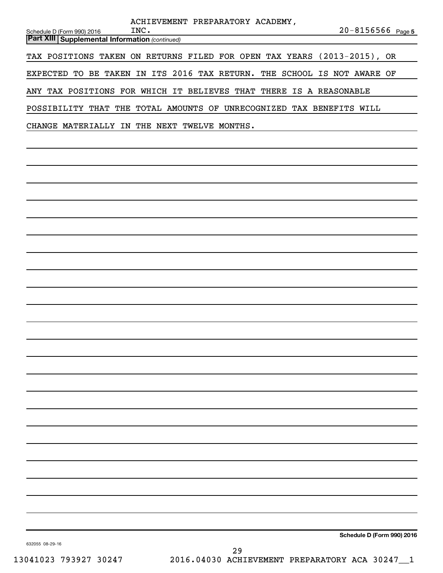|                                                                                     | ACHIEVEMENT PREPARATORY ACADEMY, |    |                            |
|-------------------------------------------------------------------------------------|----------------------------------|----|----------------------------|
| Schedule D (Form 990) 2016<br><b>Part XIII Supplemental Information (continued)</b> | INC.                             |    | $20 - 8156566$ Page 5      |
|                                                                                     |                                  |    |                            |
| TAX POSITIONS TAKEN ON RETURNS FILED FOR OPEN TAX YEARS (2013-2015), OR             |                                  |    |                            |
| EXPECTED TO BE TAKEN IN ITS 2016 TAX RETURN. THE SCHOOL IS NOT AWARE OF             |                                  |    |                            |
| ANY TAX POSITIONS FOR WHICH IT BELIEVES THAT THERE IS A REASONABLE                  |                                  |    |                            |
| POSSIBILITY THAT THE TOTAL AMOUNTS OF UNRECOGNIZED TAX BENEFITS WILL                |                                  |    |                            |
| CHANGE MATERIALLY IN THE NEXT TWELVE MONTHS.                                        |                                  |    |                            |
|                                                                                     |                                  |    |                            |
|                                                                                     |                                  |    |                            |
|                                                                                     |                                  |    |                            |
|                                                                                     |                                  |    |                            |
|                                                                                     |                                  |    |                            |
|                                                                                     |                                  |    |                            |
|                                                                                     |                                  |    |                            |
|                                                                                     |                                  |    |                            |
|                                                                                     |                                  |    |                            |
|                                                                                     |                                  |    |                            |
|                                                                                     |                                  |    |                            |
|                                                                                     |                                  |    |                            |
|                                                                                     |                                  |    |                            |
|                                                                                     |                                  |    |                            |
|                                                                                     |                                  |    |                            |
|                                                                                     |                                  |    |                            |
|                                                                                     |                                  |    |                            |
|                                                                                     |                                  |    |                            |
|                                                                                     |                                  |    |                            |
|                                                                                     |                                  |    |                            |
|                                                                                     |                                  |    |                            |
|                                                                                     |                                  |    |                            |
|                                                                                     |                                  |    |                            |
|                                                                                     |                                  |    | Schedule D (Form 990) 2016 |
| 632055 08-29-16                                                                     |                                  | ററ |                            |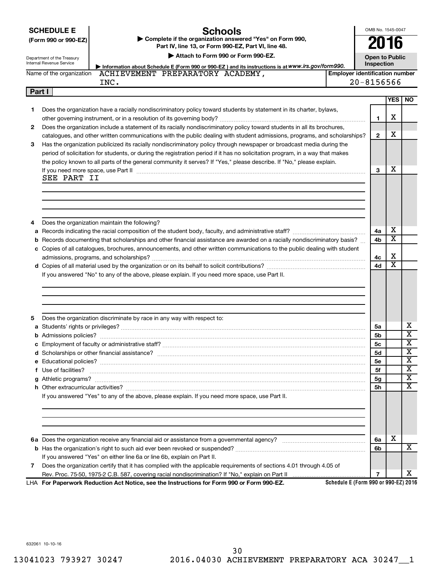|        | <b>SCHEDULE E</b><br><b>Schools</b><br>Complete if the organization answered "Yes" on Form 990,<br>(Form 990 or 990-EZ)<br>Part IV, line 13, or Form 990-EZ, Part VI, line 48.<br>Attach to Form 990 or Form 990-EZ.<br>Department of the Treasury<br>Internal Revenue Service |                | OMB No. 1545-0047<br><b>Open to Public</b><br>Inspection |                         |  |
|--------|--------------------------------------------------------------------------------------------------------------------------------------------------------------------------------------------------------------------------------------------------------------------------------|----------------|----------------------------------------------------------|-------------------------|--|
|        | Information about Schedule E (Form 990 or 990-EZ) and its instructions is at WWW.irs.gov/form990.<br>ACHIEVEMENT PREPARATORY ACADEMY,<br><b>Employer identification number</b><br>Name of the organization                                                                     |                |                                                          |                         |  |
|        | INC.                                                                                                                                                                                                                                                                           | $20 - 8156566$ |                                                          |                         |  |
| Part I |                                                                                                                                                                                                                                                                                |                |                                                          |                         |  |
|        |                                                                                                                                                                                                                                                                                |                | <b>YES</b>                                               | NO.                     |  |
| 1      | Does the organization have a racially nondiscriminatory policy toward students by statement in its charter, bylaws,                                                                                                                                                            | 1              | х                                                        |                         |  |
| 2      | Does the organization include a statement of its racially nondiscriminatory policy toward students in all its brochures,                                                                                                                                                       |                | x                                                        |                         |  |
| 3      | catalogues, and other written communications with the public dealing with student admissions, programs, and scholarships?                                                                                                                                                      | $\mathbf{2}$   |                                                          |                         |  |
|        | Has the organization publicized its racially nondiscriminatory policy through newspaper or broadcast media during the<br>period of solicitation for students, or during the registration period if it has no solicitation program, in a way that makes                         |                |                                                          |                         |  |
|        | the policy known to all parts of the general community it serves? If "Yes," please describe. If "No," please explain.                                                                                                                                                          |                |                                                          |                         |  |
|        | If you need more space, use Part II manufactured and continuum contract to the Part II manufactured and the contract of the space, use Part II and an announced and the space of the contract of the space of the space of the                                                 | 3              | x                                                        |                         |  |
|        | SEE PART II                                                                                                                                                                                                                                                                    |                |                                                          |                         |  |
|        |                                                                                                                                                                                                                                                                                |                |                                                          |                         |  |
|        |                                                                                                                                                                                                                                                                                |                |                                                          |                         |  |
|        |                                                                                                                                                                                                                                                                                |                |                                                          |                         |  |
|        |                                                                                                                                                                                                                                                                                |                |                                                          |                         |  |
| 4      | Does the organization maintain the following?                                                                                                                                                                                                                                  |                |                                                          |                         |  |
| a      |                                                                                                                                                                                                                                                                                | 4a             | х                                                        |                         |  |
|        | <b>b</b> Records documenting that scholarships and other financial assistance are awarded on a racially nondiscriminatory basis?                                                                                                                                               | 4b             | $\overline{\textbf{x}}$                                  |                         |  |
|        | c Copies of all catalogues, brochures, announcements, and other written communications to the public dealing with student                                                                                                                                                      |                | х                                                        |                         |  |
|        |                                                                                                                                                                                                                                                                                | 4с<br>4d       | $\overline{\textbf{x}}$                                  |                         |  |
|        | If you answered "No" to any of the above, please explain. If you need more space, use Part II.                                                                                                                                                                                 |                |                                                          |                         |  |
|        |                                                                                                                                                                                                                                                                                |                |                                                          |                         |  |
|        |                                                                                                                                                                                                                                                                                |                |                                                          |                         |  |
|        |                                                                                                                                                                                                                                                                                |                |                                                          |                         |  |
|        |                                                                                                                                                                                                                                                                                |                |                                                          |                         |  |
| 5      | Does the organization discriminate by race in any way with respect to:                                                                                                                                                                                                         |                |                                                          |                         |  |
|        |                                                                                                                                                                                                                                                                                | 5a             |                                                          | х                       |  |
|        |                                                                                                                                                                                                                                                                                | 5b             |                                                          | $\overline{\mathbf{X}}$ |  |
|        | <b>c</b> Employment of faculty or administrative staff?                                                                                                                                                                                                                        | 5c             |                                                          | $\overline{\text{x}}$   |  |
|        |                                                                                                                                                                                                                                                                                | 5d             |                                                          | Х                       |  |
|        |                                                                                                                                                                                                                                                                                | 5е             |                                                          | $\overline{\mathbf{X}}$ |  |
|        | f Use of facilities?                                                                                                                                                                                                                                                           | 5f             |                                                          | $\overline{\mathbf{X}}$ |  |
|        |                                                                                                                                                                                                                                                                                | 5g             |                                                          | X                       |  |
|        |                                                                                                                                                                                                                                                                                | 5h             |                                                          | X                       |  |
|        | If you answered "Yes" to any of the above, please explain. If you need more space, use Part II.                                                                                                                                                                                |                |                                                          |                         |  |
|        |                                                                                                                                                                                                                                                                                |                |                                                          |                         |  |
|        |                                                                                                                                                                                                                                                                                |                |                                                          |                         |  |
|        |                                                                                                                                                                                                                                                                                |                |                                                          |                         |  |
|        |                                                                                                                                                                                                                                                                                |                | х                                                        |                         |  |
|        |                                                                                                                                                                                                                                                                                | 6а             |                                                          | $\overline{\mathbf{X}}$ |  |
|        |                                                                                                                                                                                                                                                                                | 6b             |                                                          |                         |  |
|        | If you answered "Yes" on either line 6a or line 6b, explain on Part II.                                                                                                                                                                                                        |                |                                                          |                         |  |
| 7      | Does the organization certify that it has complied with the applicable requirements of sections 4.01 through 4.05 of                                                                                                                                                           | $\overline{7}$ |                                                          | x                       |  |
|        | Schedule E (Form 990 or 990-EZ) 2016<br>LHA For Paperwork Reduction Act Notice, see the Instructions for Form 990 or Form 990-EZ.                                                                                                                                              |                |                                                          |                         |  |

632061 10-10-16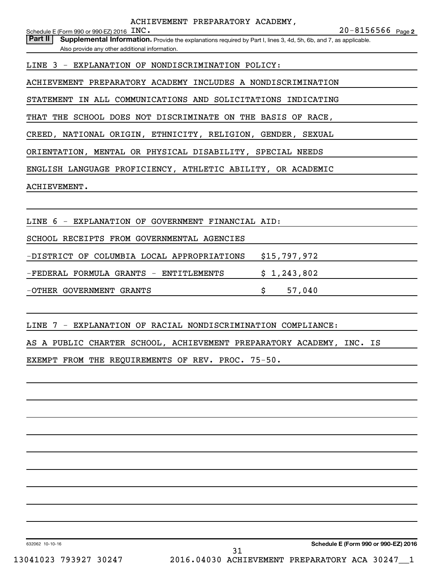**2** INC. 20-8156566 Schedule E (Form 990 or 990-EZ) 2016  $\text{INC.}$ 

Part II | Supplemental Information. Provide the explanations required by Part I, lines 3, 4d, 5h, 6b, and 7, as applicable. Also provide any other additional information.

LINE 3 - EXPLANATION OF NONDISCRIMINATION POLICY:

ACHIEVEMENT PREPARATORY ACADEMY INCLUDES A NONDISCRIMINATION

STATEMENT IN ALL COMMUNICATIONS AND SOLICITATIONS INDICATING

THAT THE SCHOOL DOES NOT DISCRIMINATE ON THE BASIS OF RACE,

CREED, NATIONAL ORIGIN, ETHNICITY, RELIGION, GENDER, SEXUAL

ORIENTATION, MENTAL OR PHYSICAL DISABILITY, SPECIAL NEEDS

ENGLISH LANGUAGE PROFICIENCY, ATHLETIC ABILITY, OR ACADEMIC

ACHIEVEMENT.

LINE 6 - EXPLANATION OF GOVERNMENT FINANCIAL AID:

SCHOOL RECEIPTS FROM GOVERNMENTAL AGENCIES

-DISTRICT OF COLUMBIA LOCAL APPROPRIATIONS \$15,797,972

-FEDERAL FORMULA GRANTS - ENTITLEMENTS  $\qquad \qquad$ \$ 1,243,802

-OTHER GOVERNMENT GRANTS \$ 57,040

LINE 7 - EXPLANATION OF RACIAL NONDISCRIMINATION COMPLIANCE:

AS A PUBLIC CHARTER SCHOOL, ACHIEVEMENT PREPARATORY ACADEMY, INC. IS

EXEMPT FROM THE REQUIREMENTS OF REV. PROC. 75-50.

632062 10-10-16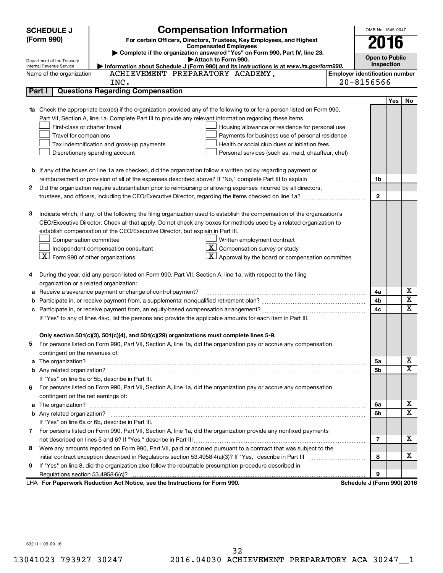| <b>SCHEDULE J</b>                  | <b>Compensation Information</b>                                                                                                                                                                |  |                                     |                                       | OMB No. 1545-0047            |  |  |
|------------------------------------|------------------------------------------------------------------------------------------------------------------------------------------------------------------------------------------------|--|-------------------------------------|---------------------------------------|------------------------------|--|--|
| (Form 990)                         | For certain Officers, Directors, Trustees, Key Employees, and Highest                                                                                                                          |  | 2016                                |                                       |                              |  |  |
|                                    | <b>Compensated Employees</b><br>Complete if the organization answered "Yes" on Form 990, Part IV, line 23.                                                                                     |  |                                     |                                       |                              |  |  |
| Department of the Treasury         | Attach to Form 990.                                                                                                                                                                            |  | <b>Open to Public</b><br>Inspection |                                       |                              |  |  |
| Internal Revenue Service           | ▶ Information about Schedule J (Form 990) and its instructions is at www.irs.gov/form990.                                                                                                      |  |                                     |                                       |                              |  |  |
| Name of the organization           | ACHIEVEMENT PREPARATORY ACADEMY,                                                                                                                                                               |  |                                     | <b>Employer identification number</b> |                              |  |  |
| Part I                             | INC.                                                                                                                                                                                           |  | $20 - 8156566$                      |                                       |                              |  |  |
|                                    | <b>Questions Regarding Compensation</b>                                                                                                                                                        |  |                                     |                                       |                              |  |  |
|                                    |                                                                                                                                                                                                |  |                                     | Yes                                   | No.                          |  |  |
|                                    | <b>1a</b> Check the appropriate box(es) if the organization provided any of the following to or for a person listed on Form 990,                                                               |  |                                     |                                       |                              |  |  |
|                                    | Part VII, Section A, line 1a. Complete Part III to provide any relevant information regarding these items.<br>First-class or charter travel<br>Housing allowance or residence for personal use |  |                                     |                                       |                              |  |  |
| Travel for companions              | Payments for business use of personal residence                                                                                                                                                |  |                                     |                                       |                              |  |  |
|                                    | Health or social club dues or initiation fees<br>Tax indemnification and gross-up payments                                                                                                     |  |                                     |                                       |                              |  |  |
|                                    | Discretionary spending account<br>Personal services (such as, maid, chauffeur, chef)                                                                                                           |  |                                     |                                       |                              |  |  |
|                                    |                                                                                                                                                                                                |  |                                     |                                       |                              |  |  |
|                                    | <b>b</b> If any of the boxes on line 1a are checked, did the organization follow a written policy regarding payment or                                                                         |  |                                     |                                       |                              |  |  |
|                                    |                                                                                                                                                                                                |  | 1b                                  |                                       |                              |  |  |
| 2                                  | Did the organization require substantiation prior to reimbursing or allowing expenses incurred by all directors,                                                                               |  |                                     |                                       |                              |  |  |
|                                    |                                                                                                                                                                                                |  | $\mathbf{2}$                        |                                       |                              |  |  |
|                                    |                                                                                                                                                                                                |  |                                     |                                       |                              |  |  |
| з                                  | Indicate which, if any, of the following the filing organization used to establish the compensation of the organization's                                                                      |  |                                     |                                       |                              |  |  |
|                                    | CEO/Executive Director. Check all that apply. Do not check any boxes for methods used by a related organization to                                                                             |  |                                     |                                       |                              |  |  |
|                                    | establish compensation of the CEO/Executive Director, but explain in Part III.                                                                                                                 |  |                                     |                                       |                              |  |  |
|                                    | Compensation committee<br>Written employment contract                                                                                                                                          |  |                                     |                                       |                              |  |  |
|                                    | $\underline{\mathbf{X}}$ Compensation survey or study<br>Independent compensation consultant                                                                                                   |  |                                     |                                       |                              |  |  |
|                                    | $ \mathbf{X} $ Form 990 of other organizations<br>$\mathbf{X}$ Approval by the board or compensation committee                                                                                 |  |                                     |                                       |                              |  |  |
|                                    |                                                                                                                                                                                                |  |                                     |                                       |                              |  |  |
| 4                                  | During the year, did any person listed on Form 990, Part VII, Section A, line 1a, with respect to the filing                                                                                   |  |                                     |                                       |                              |  |  |
|                                    | organization or a related organization:                                                                                                                                                        |  |                                     |                                       |                              |  |  |
| а                                  | Receive a severance payment or change-of-control payment?                                                                                                                                      |  | 4a                                  |                                       | х                            |  |  |
|                                    |                                                                                                                                                                                                |  | 4b                                  |                                       | $\overline{\mathbf{X}}$      |  |  |
|                                    |                                                                                                                                                                                                |  | 4c                                  |                                       | X                            |  |  |
|                                    | If "Yes" to any of lines 4a-c, list the persons and provide the applicable amounts for each item in Part III.                                                                                  |  |                                     |                                       |                              |  |  |
|                                    |                                                                                                                                                                                                |  |                                     |                                       |                              |  |  |
|                                    | Only section 501(c)(3), 501(c)(4), and 501(c)(29) organizations must complete lines 5-9.                                                                                                       |  |                                     |                                       |                              |  |  |
| 5                                  | For persons listed on Form 990, Part VII, Section A, line 1a, did the organization pay or accrue any compensation                                                                              |  |                                     |                                       |                              |  |  |
| contingent on the revenues of:     |                                                                                                                                                                                                |  |                                     |                                       |                              |  |  |
| a                                  |                                                                                                                                                                                                |  | 5a                                  |                                       | x<br>$\overline{\texttt{x}}$ |  |  |
|                                    |                                                                                                                                                                                                |  | 5b                                  |                                       |                              |  |  |
|                                    | If "Yes" on line 5a or 5b, describe in Part III.                                                                                                                                               |  |                                     |                                       |                              |  |  |
| 6.                                 | For persons listed on Form 990, Part VII, Section A, line 1a, did the organization pay or accrue any compensation                                                                              |  |                                     |                                       |                              |  |  |
| contingent on the net earnings of: |                                                                                                                                                                                                |  |                                     |                                       |                              |  |  |
| a                                  |                                                                                                                                                                                                |  | 6a                                  |                                       | x<br>$\overline{\textbf{X}}$ |  |  |
|                                    |                                                                                                                                                                                                |  | 6b                                  |                                       |                              |  |  |
|                                    | If "Yes" on line 6a or 6b, describe in Part III.                                                                                                                                               |  |                                     |                                       |                              |  |  |
|                                    | 7 For persons listed on Form 990, Part VII, Section A, line 1a, did the organization provide any nonfixed payments                                                                             |  |                                     |                                       | х                            |  |  |
|                                    |                                                                                                                                                                                                |  | 7                                   |                                       |                              |  |  |
| 8                                  | Were any amounts reported on Form 990, Part VII, paid or accrued pursuant to a contract that was subject to the                                                                                |  | 8                                   |                                       | х                            |  |  |
|                                    |                                                                                                                                                                                                |  |                                     |                                       |                              |  |  |
| 9                                  | If "Yes" on line 8, did the organization also follow the rebuttable presumption procedure described in                                                                                         |  | 9                                   |                                       |                              |  |  |
|                                    | LHA For Paperwork Reduction Act Notice, see the Instructions for Form 990.                                                                                                                     |  | Schedule J (Form 990) 2016          |                                       |                              |  |  |
|                                    |                                                                                                                                                                                                |  |                                     |                                       |                              |  |  |

632111 09-09-16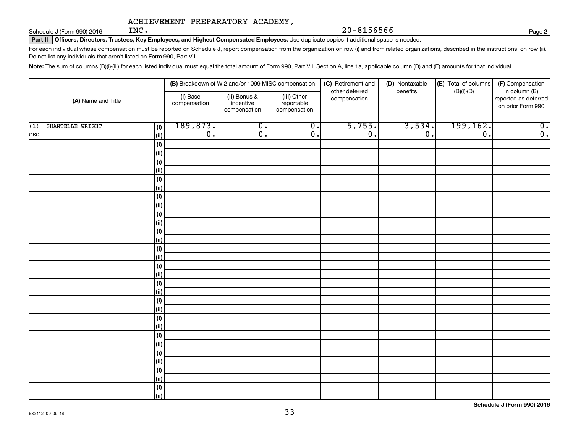Schedule J (Form 990) 2016  $\qquad \qquad \text{INC.}$ 

Part II | Officers, Directors, Trustees, Key Employees, and Highest Compensated Employees. Use duplicate copies if additional space is needed.

For each individual whose compensation must be reported on Schedule J, report compensation from the organization on row (i) and from related organizations, described in the instructions, on row (ii). Do not list any individuals that aren't listed on Form 990, Part VII.

Note: The sum of columns (B)(i)-(iii) for each listed individual must equal the total amount of Form 990, Part VII, Section A, line 1a, applicable column (D) and (E) amounts for that individual.

|                                | (B) Breakdown of W-2 and/or 1099-MISC compensation |                                           |                                           | (C) Retirement and             | (D) Nontaxable   | (E) Total of columns        | (F) Compensation                                           |
|--------------------------------|----------------------------------------------------|-------------------------------------------|-------------------------------------------|--------------------------------|------------------|-----------------------------|------------------------------------------------------------|
| (A) Name and Title             | (i) Base<br>compensation                           | (ii) Bonus &<br>incentive<br>compensation | (iii) Other<br>reportable<br>compensation | other deferred<br>compensation | benefits         | $(B)(i)-(D)$                | in column (B)<br>reported as deferred<br>on prior Form 990 |
| SHANTELLE WRIGHT<br>(1)<br>(i) | 189,873.                                           | $\overline{0}$ .                          | $\overline{\mathfrak{o}}$ .               | 5,755.                         | 3,534.           | 199, 162.                   | $\overline{0}$ .                                           |
| CEO<br>$\vert$ (ii)            | $\overline{0}$ .                                   | $\overline{\mathfrak{o}}$ .               | $\overline{0}$ .                          | $\overline{0}$ .               | $\overline{0}$ . | $\overline{\mathfrak{o}}$ . | $\overline{0}$ .                                           |
| (i)                            |                                                    |                                           |                                           |                                |                  |                             |                                                            |
| $\vert$ (ii)                   |                                                    |                                           |                                           |                                |                  |                             |                                                            |
| (i)                            |                                                    |                                           |                                           |                                |                  |                             |                                                            |
| $\vert$ (ii)                   |                                                    |                                           |                                           |                                |                  |                             |                                                            |
| (i)                            |                                                    |                                           |                                           |                                |                  |                             |                                                            |
| (ii)                           |                                                    |                                           |                                           |                                |                  |                             |                                                            |
| (i)                            |                                                    |                                           |                                           |                                |                  |                             |                                                            |
| $\vert$ (ii)                   |                                                    |                                           |                                           |                                |                  |                             |                                                            |
| (i)                            |                                                    |                                           |                                           |                                |                  |                             |                                                            |
| $\vert$ (ii)                   |                                                    |                                           |                                           |                                |                  |                             |                                                            |
| (i)<br>$\vert$ (ii)            |                                                    |                                           |                                           |                                |                  |                             |                                                            |
| (i)                            |                                                    |                                           |                                           |                                |                  |                             |                                                            |
| $\vert$ (ii)                   |                                                    |                                           |                                           |                                |                  |                             |                                                            |
| (i)                            |                                                    |                                           |                                           |                                |                  |                             |                                                            |
| $\vert$ (ii)                   |                                                    |                                           |                                           |                                |                  |                             |                                                            |
| (i)                            |                                                    |                                           |                                           |                                |                  |                             |                                                            |
| $\overline{(\text{ii})}$       |                                                    |                                           |                                           |                                |                  |                             |                                                            |
| (i)                            |                                                    |                                           |                                           |                                |                  |                             |                                                            |
| (ii)                           |                                                    |                                           |                                           |                                |                  |                             |                                                            |
| (i)                            |                                                    |                                           |                                           |                                |                  |                             |                                                            |
| (ii)                           |                                                    |                                           |                                           |                                |                  |                             |                                                            |
| (i)                            |                                                    |                                           |                                           |                                |                  |                             |                                                            |
| $\vert$ (ii)                   |                                                    |                                           |                                           |                                |                  |                             |                                                            |
| (i)                            |                                                    |                                           |                                           |                                |                  |                             |                                                            |
| $\vert$ (ii)                   |                                                    |                                           |                                           |                                |                  |                             |                                                            |
| (i)                            |                                                    |                                           |                                           |                                |                  |                             |                                                            |
| $\vert$ (ii)                   |                                                    |                                           |                                           |                                |                  |                             |                                                            |
| $\vert$ (i)<br>(iii)           |                                                    |                                           |                                           |                                |                  |                             |                                                            |
|                                |                                                    |                                           |                                           |                                |                  |                             |                                                            |

**2**

 $20 - 8156566$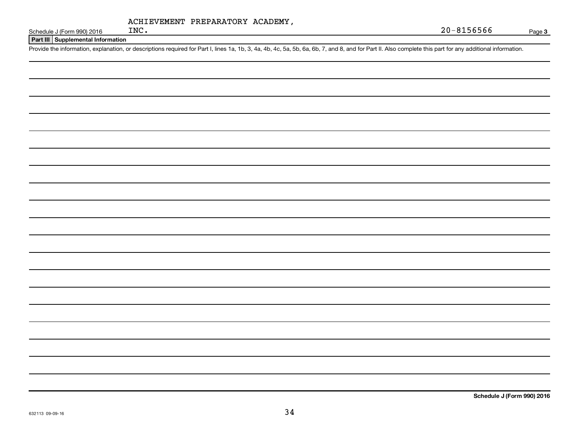$20 - 8156566$ 

**3**

Schedule J (Form 990) 2016  $INC$ .

**Part III Supplemental Information**

Provide the information, explanation, or descriptions required for Part I, lines 1a, 1b, 3, 4a, 4b, 4c, 5a, 5b, 6a, 6b, 7, and 8, and for Part II. Also complete this part for any additional information.

**Schedule J (Form 990) 2016**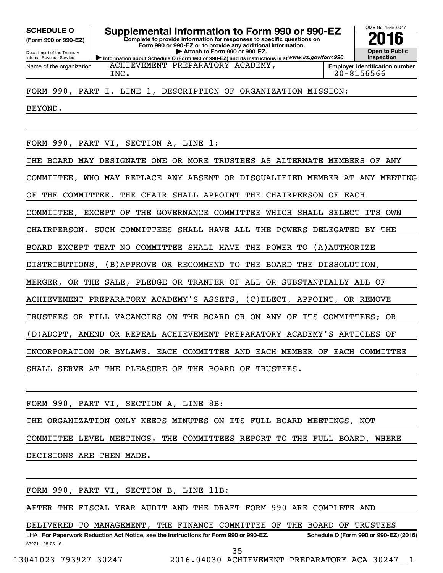**(Form 990 or 990-EZ)**

Department of the Treasury Internal Revenue Service Name of the organization

**Complete to provide information for responses to specific questions on SCHEDULE O Supplemental Information to Form 990 or 990-EZ 2016**

**Form 990 or 990-EZ or to provide any additional information. | Attach to Form 990 or 990-EZ.**

**Information about Schedule O (Form 990 or 990-EZ) and its instructions is at WWW.irs.gov/form990.** ACHIEVEMENT PREPARATORY ACADEMY,



**Employer identification number** INC. 20-8156566

### FORM 990, PART I, LINE 1, DESCRIPTION OF ORGANIZATION MISSION:

BEYOND.

FORM 990, PART VI, SECTION A, LINE 1:

THE BOARD MAY DESIGNATE ONE OR MORE TRUSTEES AS ALTERNATE MEMBERS OF ANY COMMITTEE, WHO MAY REPLACE ANY ABSENT OR DISQUALIFIED MEMBER AT ANY MEETING OF THE COMMITTEE. THE CHAIR SHALL APPOINT THE CHAIRPERSON OF EACH COMMITTEE, EXCEPT OF THE GOVERNANCE COMMITTEE WHICH SHALL SELECT ITS OWN CHAIRPERSON. SUCH COMMITTEES SHALL HAVE ALL THE POWERS DELEGATED BY THE BOARD EXCEPT THAT NO COMMITTEE SHALL HAVE THE POWER TO (A)AUTHORIZE DISTRIBUTIONS, (B)APPROVE OR RECOMMEND TO THE BOARD THE DISSOLUTION, MERGER, OR THE SALE, PLEDGE OR TRANFER OF ALL OR SUBSTANTIALLY ALL OF ACHIEVEMENT PREPARATORY ACADEMY'S ASSETS, (C)ELECT, APPOINT, OR REMOVE TRUSTEES OR FILL VACANCIES ON THE BOARD OR ON ANY OF ITS COMMITTEES; OR (D)ADOPT, AMEND OR REPEAL ACHIEVEMENT PREPARATORY ACADEMY'S ARTICLES OF INCORPORATION OR BYLAWS. EACH COMMITTEE AND EACH MEMBER OF EACH COMMITTEE SHALL SERVE AT THE PLEASURE OF THE BOARD OF TRUSTEES.

FORM 990, PART VI, SECTION A, LINE 8B: THE ORGANIZATION ONLY KEEPS MINUTES ON ITS FULL BOARD MEETINGS, NOT COMMITTEE LEVEL MEETINGS. THE COMMITTEES REPORT TO THE FULL BOARD, WHERE DECISIONS ARE THEN MADE.

FORM 990, PART VI, SECTION B, LINE 11B:

AFTER THE FISCAL YEAR AUDIT AND THE DRAFT FORM 990 ARE COMPLETE AND

632211 08-25-16 LHA For Paperwork Reduction Act Notice, see the Instructions for Form 990 or 990-EZ. Schedule O (Form 990 or 990-EZ) (2016) DELIVERED TO MANAGEMENT, THE FINANCE COMMITTEE OF THE BOARD OF TRUSTEES

35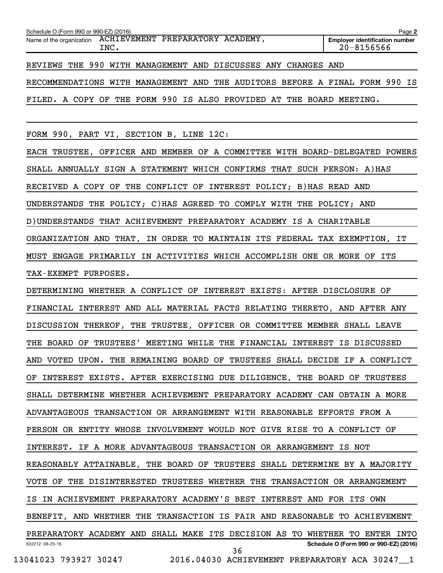| Schedule O (Form 990 or 990-EZ) (2016)                                      | Page 2                                                  |
|-----------------------------------------------------------------------------|---------------------------------------------------------|
| Name of the organization ACHIEVEMENT PREPARATORY ACADEMY,<br>INC.           | <b>Employer identification number</b><br>$20 - 8156566$ |
| REVIEWS THE 990 WITH MANAGEMENT AND DISCUSSES ANY CHANGES AND               |                                                         |
| RECOMMENDATIONS WITH MANAGEMENT AND THE AUDITORS BEFORE A FINAL FORM 990 IS |                                                         |
| FILED. A COPY OF THE FORM 990 IS ALSO PROVIDED AT THE BOARD MEETING.        |                                                         |

FORM 990, PART VI, SECTION B, LINE 12C:

EACH TRUSTEE, OFFICER AND MEMBER OF A COMMITTEE WITH BOARD-DELEGATED POWERS SHALL ANNUALLY SIGN A STATEMENT WHICH CONFIRMS THAT SUCH PERSON: A)HAS RECEIVED A COPY OF THE CONFLICT OF INTEREST POLICY; B)HAS READ AND UNDERSTANDS THE POLICY; C)HAS AGREED TO COMPLY WITH THE POLICY; AND D)UNDERSTANDS THAT ACHIEVEMENT PREPARATORY ACADEMY IS A CHARITABLE ORGANIZATION AND THAT, IN ORDER TO MAINTAIN ITS FEDERAL TAX EXEMPTION, IT MUST ENGAGE PRIMARILY IN ACTIVITIES WHICH ACCOMPLISH ONE OR MORE OF ITS TAX-EXEMPT PURPOSES.

632212 08-25-16 **Schedule O (Form 990 or 990-EZ) (2016)** DETERMINING WHETHER A CONFLICT OF INTEREST EXISTS: AFTER DISCLOSURE OF FINANCIAL INTEREST AND ALL MATERIAL FACTS RELATING THERETO, AND AFTER ANY DISCUSSION THEREOF, THE TRUSTEE, OFFICER OR COMMITTEE MEMBER SHALL LEAVE THE BOARD OF TRUSTEES' MEETING WHILE THE FINANCIAL INTEREST IS DISCUSSED AND VOTED UPON. THE REMAINING BOARD OF TRUSTEES SHALL DECIDE IF A CONFLICT OF INTEREST EXISTS. AFTER EXERCISING DUE DILIGENCE, THE BOARD OF TRUSTEES SHALL DETERMINE WHETHER ACHIEVEMENT PREPARATORY ACADEMY CAN OBTAIN A MORE ADVANTAGEOUS TRANSACTION OR ARRANGEMENT WITH REASONABLE EFFORTS FROM A PERSON OR ENTITY WHOSE INVOLVEMENT WOULD NOT GIVE RISE TO A CONFLICT OF INTEREST. IF A MORE ADVANTAGEOUS TRANSACTION OR ARRANGEMENT IS NOT REASONABLY ATTAINABLE, THE BOARD OF TRUSTEES SHALL DETERMINE BY A MAJORITY VOTE OF THE DISINTERESTED TRUSTEES WHETHER THE TRANSACTION OR ARRANGEMENT IS IN ACHIEVEMENT PREPARATORY ACADEMY'S BEST INTEREST AND FOR ITS OWN BENEFIT, AND WHETHER THE TRANSACTION IS FAIR AND REASONABLE TO ACHIEVEMENT PREPARATORY ACADEMY AND SHALL MAKE ITS DECISION AS TO WHETHER TO ENTER INTO 13041023 793927 30247 2016.04030 ACHIEVEMENT PREPARATORY ACA 30247\_\_1 36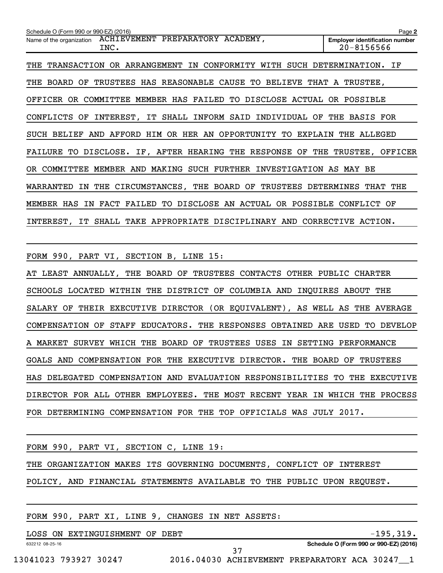| Schedule O (Form 990 or 990-EZ) (2016)                                      | Page 2                                              |
|-----------------------------------------------------------------------------|-----------------------------------------------------|
| Name of the organization ACHIEVEMENT PREPARATORY ACADEMY,<br>INC.           | <b>Employer identification number</b><br>20-8156566 |
| THE TRANSACTION OR ARRANGEMENT IN CONFORMITY WITH SUCH DETERMINATION.       | ΙF                                                  |
| THE BOARD OF TRUSTEES HAS REASONABLE CAUSE TO BELIEVE THAT A TRUSTEE,       |                                                     |
| OFFICER OR COMMITTEE MEMBER HAS FAILED TO DISCLOSE ACTUAL OR POSSIBLE       |                                                     |
| CONFLICTS OF INTEREST, IT SHALL INFORM SAID INDIVIDUAL OF THE BASIS FOR     |                                                     |
| AND AFFORD HIM OR HER AN OPPORTUNITY TO EXPLAIN<br>SUCH BELIEF              | THE ALLEGED                                         |
| FAILURE TO DISCLOSE. IF, AFTER HEARING THE RESPONSE OF THE TRUSTEE, OFFICER |                                                     |
| OR COMMITTEE MEMBER AND MAKING SUCH FURTHER INVESTIGATION AS MAY BE         |                                                     |
| WARRANTED IN THE CIRCUMSTANCES, THE BOARD OF TRUSTEES DETERMINES THAT THE   |                                                     |
| IN FACT FAILED TO DISCLOSE AN ACTUAL OR POSSIBLE CONFLICT OF<br>MEMBER HAS  |                                                     |
| SHALL TAKE APPROPRIATE DISCIPLINARY AND CORRECTIVE<br>INTEREST,<br>IT.      | ACTION.                                             |

FORM 990, PART VI, SECTION B, LINE 15:

AT LEAST ANNUALLY, THE BOARD OF TRUSTEES CONTACTS OTHER PUBLIC CHARTER SCHOOLS LOCATED WITHIN THE DISTRICT OF COLUMBIA AND INQUIRES ABOUT THE SALARY OF THEIR EXECUTIVE DIRECTOR (OR EQUIVALENT), AS WELL AS THE AVERAGE COMPENSATION OF STAFF EDUCATORS. THE RESPONSES OBTAINED ARE USED TO DEVELOP A MARKET SURVEY WHICH THE BOARD OF TRUSTEES USES IN SETTING PERFORMANCE GOALS AND COMPENSATION FOR THE EXECUTIVE DIRECTOR. THE BOARD OF TRUSTEES HAS DELEGATED COMPENSATION AND EVALUATION RESPONSIBILITIES TO THE EXECUTIVE DIRECTOR FOR ALL OTHER EMPLOYEES. THE MOST RECENT YEAR IN WHICH THE PROCESS FOR DETERMINING COMPENSATION FOR THE TOP OFFICIALS WAS JULY 2017.

| FORM 990, PART VI, SECTION C, LINE 19: |  |  |                                                                        |  |  |  |
|----------------------------------------|--|--|------------------------------------------------------------------------|--|--|--|
|                                        |  |  | THE ORGANIZATION MAKES ITS GOVERNING DOCUMENTS, CONFLICT OF INTEREST   |  |  |  |
|                                        |  |  | POLICY, AND FINANCIAL STATEMENTS AVAILABLE TO THE PUBLIC UPON REQUEST. |  |  |  |
|                                        |  |  |                                                                        |  |  |  |

| FORM 990, PART XI, LINE 9, CHANGES IN NET ASSETS: |  |
|---------------------------------------------------|--|
|---------------------------------------------------|--|

| $-195,319$ .                           | ON EXTINGUISHMENT OF<br>DEBT | LOSS            |
|----------------------------------------|------------------------------|-----------------|
| Schedule O (Form 990 or 990-EZ) (2016) |                              | 632212 08-25-16 |
|                                        |                              |                 |